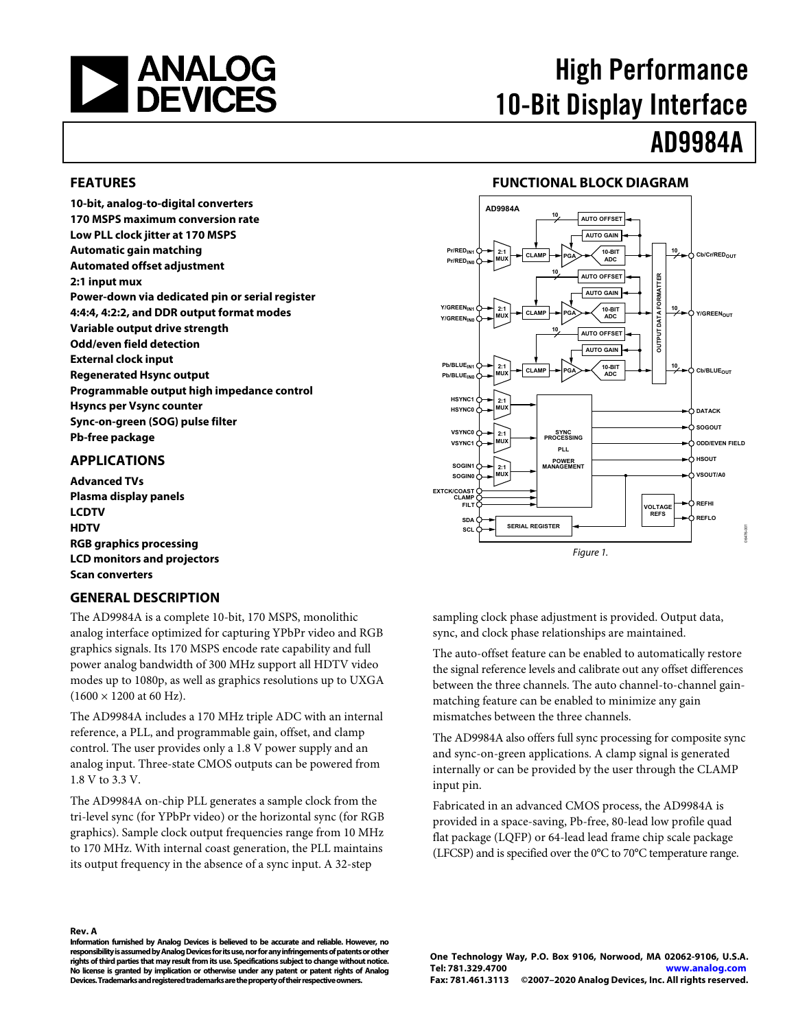<span id="page-0-0"></span>

# High Performance 10-Bit Display Interface

# AD9984A

## **FEATURES**

**10-bit, analog-to-digital converters 170 MSPS maximum conversion rate Low PLL clock jitter at 170 MSPS Automatic gain matching Automated offset adjustment 2:1 input mux Power-down via dedicated pin or serial register 4:4:4, 4:2:2, and DDR output format modes Variable output drive strength Odd/even field detection External clock input Regenerated Hsync output Programmable output high impedance control Hsyncs per Vsync counter Sync-on-green (SOG) pulse filter Pb-free package** 

# **APPLICATIONS**

**Advanced TVs Plasma display panels LCDTV HDTV RGB graphics processing LCD monitors and projectors Scan converters** 

# **GENERAL DESCRIPTION**

The AD9984A is a complete 10-bit, 170 MSPS, monolithic analog interface optimized for capturing YPbPr video and RGB graphics signals. Its 170 MSPS encode rate capability and full power analog bandwidth of 300 MHz support all HDTV video modes up to 1080p, as well as graphics resolutions up to UXGA  $(1600 \times 1200$  at 60 Hz).

The AD9984A includes a 170 MHz triple ADC with an internal reference, a PLL, and programmable gain, offset, and clamp control. The user provides only a 1.8 V power supply and an analog input. Three-state CMOS outputs can be powered from 1.8 V to 3.3 V.

The AD9984A on-chip PLL generates a sample clock from the tri-level sync (for YPbPr video) or the horizontal sync (for RGB graphics). Sample clock output frequencies range from 10 MHz to 170 MHz. With internal coast generation, the PLL maintains its output frequency in the absence of a sync input. A 32-step

# **FUNCTIONAL BLOCK DIAGRAM**



sampling clock phase adjustment is provided. Output data, sync, and clock phase relationships are maintained.

The auto-offset feature can be enabled to automatically restore the signal reference levels and calibrate out any offset differences between the three channels. The auto channel-to-channel gainmatching feature can be enabled to minimize any gain mismatches between the three channels.

The AD9984A also offers full sync processing for composite sync and sync-on-green applications. A clamp signal is generated internally or can be provided by the user through the CLAMP input pin.

Fabricated in an advanced CMOS process, the AD9984A is provided in a space-saving, Pb-free, 80-lead low profile quad flat package (LQFP) or 64-lead lead frame chip scale package (LFCSP) and is specified over the 0°C to 70°C temperature range.

#### **Rev. A**

**Information furnished by Analog Devices is believed to be accurate and reliable. However, no responsibility is assumed by Analog Devices for its use, nor for any infringements of patents or other rights of third parties that may result from its use. Specifications subject to change without notice. No license is granted by implication or otherwise under any patent or patent rights of Analog Devices. Trademarks and registered trademarks are the property of their respective owners.**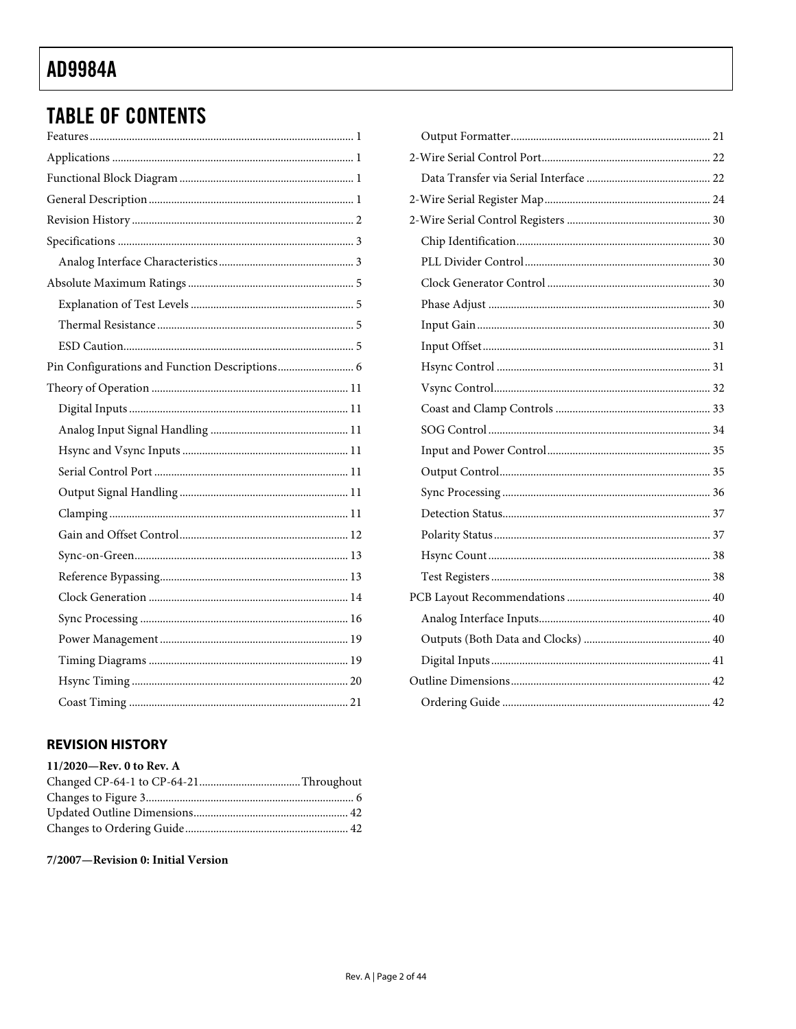# <span id="page-1-0"></span>**TABLE OF CONTENTS**

| Pin Configurations and Function Descriptions 6 |
|------------------------------------------------|
|                                                |
|                                                |
|                                                |
|                                                |
|                                                |
|                                                |
|                                                |
|                                                |
|                                                |
|                                                |
|                                                |
|                                                |
|                                                |
|                                                |
|                                                |
|                                                |

# **REVISION HISTORY**

| 11/2020-Rev. 0 to Rev. A |  |
|--------------------------|--|
|                          |  |
|                          |  |
|                          |  |
|                          |  |
|                          |  |

# 7/2007-Revision 0: Initial Version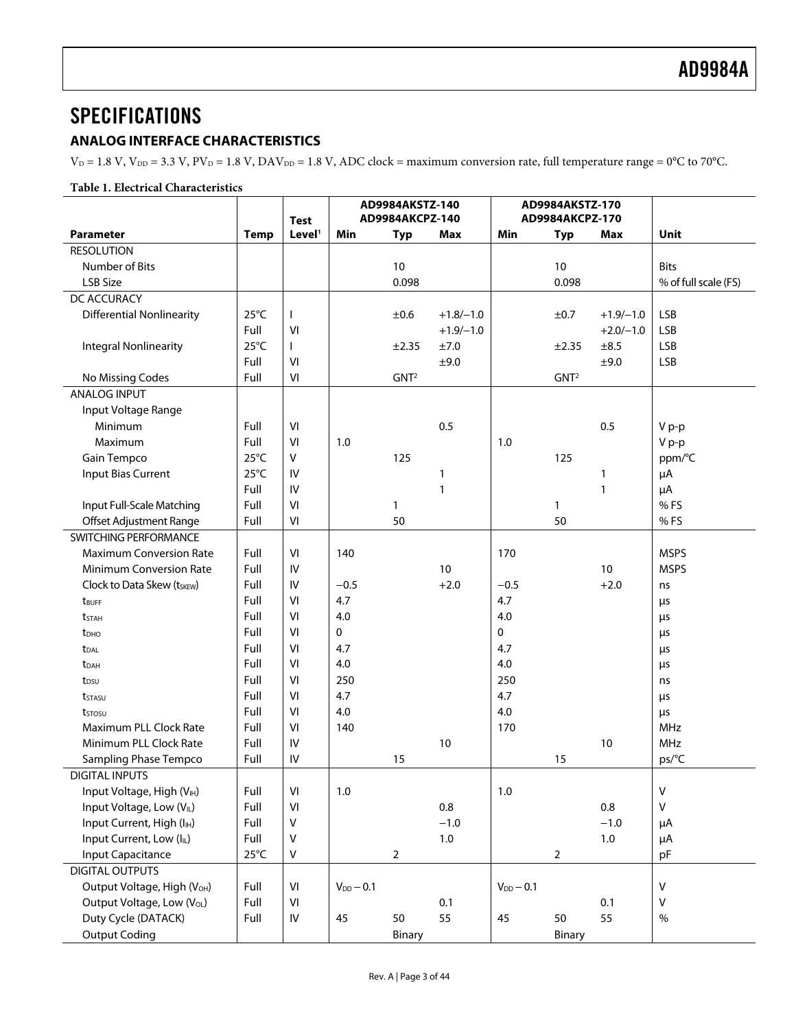# <span id="page-2-0"></span>**SPECIFICATIONS**

# **ANALOG INTERFACE CHARACTERISTICS**

 $V_D = 1.8$  V,  $V_{DD} = 3.3$  V,  $PV_D = 1.8$  V,  $DAV_{DD} = 1.8$  V,  $ADC clock = maximum conversion rate$ , full temperature range = 0°C to 70°C.

## **Table 1. Electrical Characteristics**

<span id="page-2-1"></span>

|                                         |                | <b>Test</b>        | AD9984AKSTZ-140<br>AD9984AKCPZ-140 |                  | AD9984AKSTZ-170<br>AD9984AKCPZ-170 |                |                  |              |                      |
|-----------------------------------------|----------------|--------------------|------------------------------------|------------------|------------------------------------|----------------|------------------|--------------|----------------------|
| <b>Parameter</b>                        | <b>Temp</b>    | Level <sup>1</sup> | Min                                | <b>Typ</b>       | Max                                | Min            | <b>Typ</b>       | <b>Max</b>   | Unit                 |
| <b>RESOLUTION</b>                       |                |                    |                                    |                  |                                    |                |                  |              |                      |
| Number of Bits                          |                |                    |                                    | 10               |                                    |                | 10               |              | <b>Bits</b>          |
| LSB Size                                |                |                    |                                    | 0.098            |                                    |                | 0.098            |              | % of full scale (FS) |
| DC ACCURACY                             |                |                    |                                    |                  |                                    |                |                  |              |                      |
| <b>Differential Nonlinearity</b>        | $25^{\circ}$ C | ı                  |                                    | ±0.6             | $+1.8/-1.0$                        |                | ±0.7             | $+1.9/-1.0$  | <b>LSB</b>           |
|                                         | Full           | VI                 |                                    |                  | $+1.9/-1.0$                        |                |                  | $+2.0/-1.0$  | <b>LSB</b>           |
| <b>Integral Nonlinearity</b>            | $25^{\circ}$ C | $\mathbf{I}$       |                                    | ±2.35            | ±7.0                               |                | ±2.35            | ±8.5         | <b>LSB</b>           |
|                                         | Full           | VI                 |                                    |                  | ±9.0                               |                |                  | ±9.0         | <b>LSB</b>           |
| No Missing Codes                        | Full           | VI                 |                                    | GNT <sup>2</sup> |                                    |                | GNT <sup>2</sup> |              |                      |
| <b>ANALOG INPUT</b>                     |                |                    |                                    |                  |                                    |                |                  |              |                      |
| Input Voltage Range                     |                |                    |                                    |                  |                                    |                |                  |              |                      |
| Minimum                                 | Full           | VI                 |                                    |                  | 0.5                                |                |                  | 0.5          | V p-p                |
| Maximum                                 | Full           | VI                 | 1.0                                |                  |                                    | 1.0            |                  |              | V p-p                |
| Gain Tempco                             | $25^{\circ}$ C | V                  |                                    | 125              |                                    |                | 125              |              | ppm/°C               |
| <b>Input Bias Current</b>               | $25^{\circ}$ C | IV                 |                                    |                  | 1                                  |                |                  | 1            | μA                   |
|                                         | Full           | IV                 |                                    |                  | $\mathbf{1}$                       |                |                  | $\mathbf{1}$ | $\mu$ A              |
| Input Full-Scale Matching               | Full           | VI                 |                                    | 1                |                                    |                | $\mathbf{1}$     |              | %FS                  |
| Offset Adjustment Range                 | Full           | VI                 |                                    | 50               |                                    |                | 50               |              | %FS                  |
| SWITCHING PERFORMANCE                   |                |                    |                                    |                  |                                    |                |                  |              |                      |
| <b>Maximum Conversion Rate</b>          | Full           | VI                 | 140                                |                  |                                    | 170            |                  |              | <b>MSPS</b>          |
| <b>Minimum Conversion Rate</b>          | Full           | IV                 |                                    |                  | 10 <sup>1</sup>                    |                |                  | 10           | <b>MSPS</b>          |
| Clock to Data Skew (tskEw)              | Full           | IV                 | $-0.5$                             |                  | $+2.0$                             | $-0.5$         |                  | $+2.0$       | ns                   |
| t <sub>BUFF</sub>                       | Full           | VI                 | 4.7                                |                  |                                    | 4.7            |                  |              | μs                   |
| <b>t</b> stah                           | Full           | VI                 | 4.0                                |                  |                                    | 4.0            |                  |              | μs                   |
| t <sub>DHO</sub>                        | Full           | VI                 | $\mathbf 0$                        |                  |                                    | 0              |                  |              | $\mu s$              |
| t <sub>DAL</sub>                        | Full           | VI                 | 4.7                                |                  |                                    | 4.7            |                  |              | μs                   |
| t <sub>DAH</sub>                        | Full           | VI                 | 4.0                                |                  |                                    | 4.0            |                  |              | μs                   |
| t <sub>DSU</sub>                        | Full           | VI                 | 250                                |                  |                                    | 250            |                  |              | ns                   |
| t <sub>STASU</sub>                      | Full           | VI                 | 4.7                                |                  |                                    | 4.7            |                  |              | μs                   |
| tstosu                                  | Full           | VI                 | 4.0                                |                  |                                    | 4.0            |                  |              | μs                   |
| Maximum PLL Clock Rate                  | Full           | VI                 | 140                                |                  |                                    | 170            |                  |              | MHz                  |
| Minimum PLL Clock Rate                  | Full           | IV                 |                                    |                  | 10                                 |                |                  | 10           | <b>MHz</b>           |
| <b>Sampling Phase Tempco</b>            | Full           | ${\sf IV}$         |                                    | 15               |                                    |                | 15               |              | ps/°C                |
| <b>DIGITAL INPUTS</b>                   |                |                    |                                    |                  |                                    |                |                  |              |                      |
| Input Voltage, High (VIH)               | Full           | VI                 | 1.0                                |                  |                                    | 1.0            |                  |              | $\mathsf{V}$         |
| Input Voltage, Low (VL)                 | Full           | VI                 |                                    |                  | 0.8                                |                |                  | 0.8          | $\vee$               |
| Input Current, High (I <sub>IH</sub> )  | Full           | V                  |                                    |                  | $-1.0$                             |                |                  | $-1.0$       | μA                   |
| Input Current, Low (IL)                 | Full           | v                  |                                    |                  | $1.0\,$                            |                |                  | 1.0          | μA                   |
| <b>Input Capacitance</b>                | $25^{\circ}$ C | V                  |                                    | $\overline{2}$   |                                    |                | $\overline{2}$   |              | pF                   |
| <b>DIGITAL OUTPUTS</b>                  |                |                    |                                    |                  |                                    |                |                  |              |                      |
| Output Voltage, High (V <sub>OH</sub> ) | Full           | VI                 | $V_{DD} - 0.1$                     |                  |                                    | $V_{DD} - 0.1$ |                  |              | $\vee$               |
| Output Voltage, Low (V <sub>OL</sub> )  | Full           | VI                 |                                    |                  | 0.1                                |                |                  | 0.1          | $\vee$               |
| Duty Cycle (DATACK)                     | Full           | ${\sf IV}$         | 45                                 | 50               | 55                                 | 45             | 50               | 55           | %                    |
| <b>Output Coding</b>                    |                |                    |                                    | Binary           |                                    |                | Binary           |              |                      |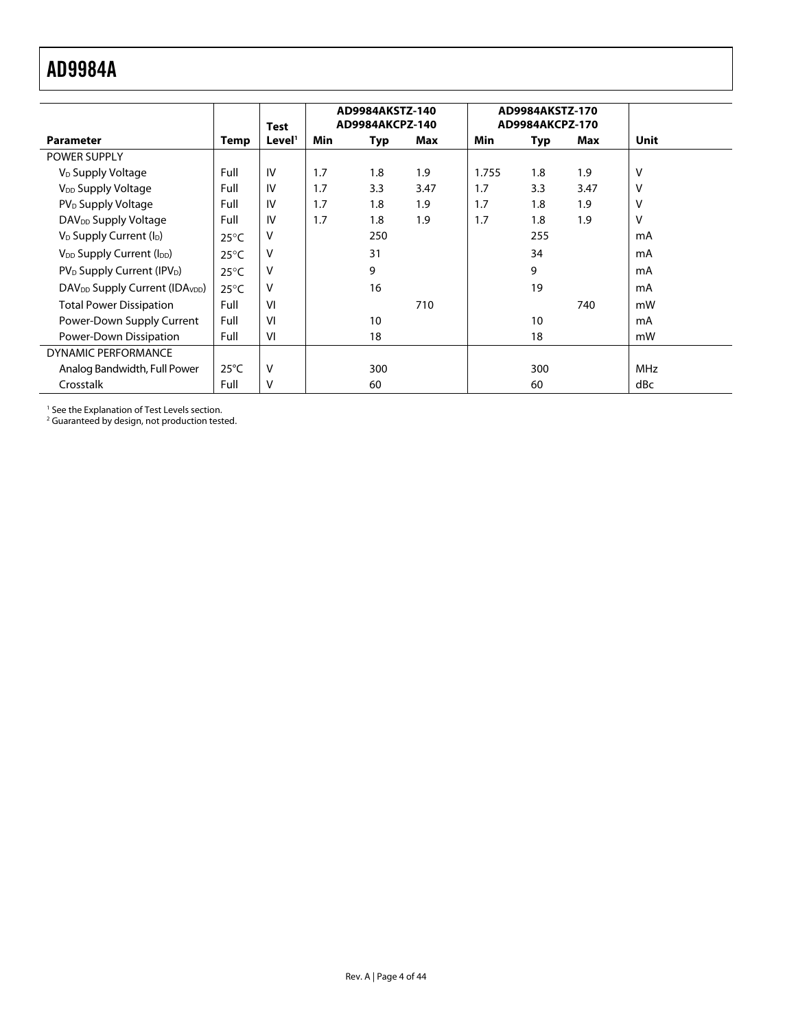<span id="page-3-0"></span>

|                                                        |                | Test               |     | AD9984AKSTZ-140<br>AD9984AKCPZ-140 |      |       | AD9984AKSTZ-170<br>AD9984AKCPZ-170 |      |             |
|--------------------------------------------------------|----------------|--------------------|-----|------------------------------------|------|-------|------------------------------------|------|-------------|
| <b>Parameter</b>                                       | <b>Temp</b>    | Level <sup>1</sup> | Min | Typ                                | Max  | Min   | Typ                                | Max  | <b>Unit</b> |
| <b>POWER SUPPLY</b>                                    |                |                    |     |                                    |      |       |                                    |      |             |
| V <sub>D</sub> Supply Voltage                          | Full           | IV                 | 1.7 | 1.8                                | 1.9  | 1.755 | 1.8                                | 1.9  | V           |
| V <sub>DD</sub> Supply Voltage                         | Full           | IV                 | 1.7 | 3.3                                | 3.47 | 1.7   | 3.3                                | 3.47 | V           |
| PV <sub>D</sub> Supply Voltage                         | Full           | IV                 | 1.7 | 1.8                                | 1.9  | 1.7   | 1.8                                | 1.9  | V           |
| DAV <sub>DD</sub> Supply Voltage                       | Full           | IV                 | 1.7 | 1.8                                | 1.9  | 1.7   | 1.8                                | 1.9  | V           |
| V <sub>D</sub> Supply Current (I <sub>D</sub> )        | $25^{\circ}$ C | v                  |     | 250                                |      |       | 255                                |      | mA          |
| V <sub>DD</sub> Supply Current (I <sub>DD</sub> )      | $25^{\circ}$ C | v                  |     | 31                                 |      |       | 34                                 |      | mA          |
| PV <sub>D</sub> Supply Current (IPV <sub>D</sub> )     | $25^{\circ}$ C | v                  |     | 9                                  |      |       | 9                                  |      | mA          |
| DAV <sub>DD</sub> Supply Current (IDA <sub>VDD</sub> ) | $25^{\circ}$ C | v                  |     | 16                                 |      |       | 19                                 |      | mA          |
| <b>Total Power Dissipation</b>                         | Full           | VI                 |     |                                    | 710  |       |                                    | 740  | mW          |
| Power-Down Supply Current                              | Full           | VI                 |     | 10                                 |      |       | 10                                 |      | mA          |
| Power-Down Dissipation                                 | Full           | VI                 |     | 18                                 |      |       | 18                                 |      | mW          |
| <b>DYNAMIC PERFORMANCE</b>                             |                |                    |     |                                    |      |       |                                    |      |             |
| Analog Bandwidth, Full Power                           | $25^{\circ}$ C | V                  |     | 300                                |      |       | 300                                |      | <b>MHz</b>  |
| Crosstalk                                              | Full           | v                  |     | 60                                 |      |       | 60                                 |      | dBc         |

1 See th[e Explanation of Test Levels](#page-4-1) section.

<sup>2</sup> Guaranteed by design, not production tested.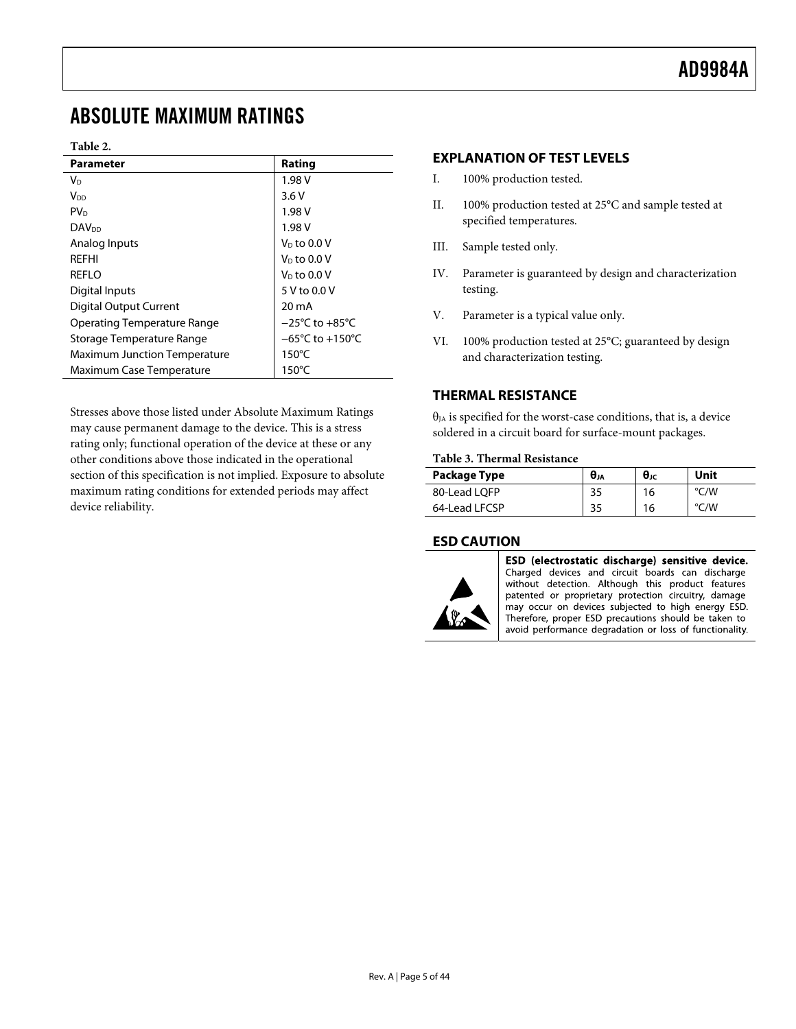# <span id="page-4-1"></span><span id="page-4-0"></span>ABSOLUTE MAXIMUM RATINGS

#### **Table 2.**

| Parameter                           | Rating                              |
|-------------------------------------|-------------------------------------|
| V <sub>D</sub>                      | 1.98 V                              |
| V <sub>DD</sub>                     | 3.6V                                |
| PV <sub>D</sub>                     | 1.98 V                              |
| <b>DAV<sub>DD</sub></b>             | 1.98 V                              |
| Analog Inputs                       | $V_D$ to 0.0 V                      |
| REFHI                               | $V_D$ to 0.0 V                      |
| REFLO                               | $V_D$ to 0.0 V                      |
| Digital Inputs                      | 5 V to 0.0 V                        |
| <b>Digital Output Current</b>       | 20 mA                               |
| Operating Temperature Range         | $-25^{\circ}$ C to $+85^{\circ}$ C  |
| Storage Temperature Range           | $-65^{\circ}$ C to $+150^{\circ}$ C |
| <b>Maximum Junction Temperature</b> | $150^{\circ}$ C                     |
| Maximum Case Temperature            | $150^{\circ}$ C                     |

Stresses above those listed under Absolute Maximum Ratings may cause permanent damage to the device. This is a stress rating only; functional operation of the device at these or any other conditions above those indicated in the operational section of this specification is not implied. Exposure to absolute maximum rating conditions for extended periods may affect device reliability.

#### **EXPLANATION OF TEST LEVELS**

- I. 100% production tested.
- II. 100% production tested at 25°C and sample tested at specified temperatures.
- III. Sample tested only.
- IV. Parameter is guaranteed by design and characterization testing.
- V. Parameter is a typical value only.
- VI. 100% production tested at 25°C; guaranteed by design and characterization testing.

# **THERMAL RESISTANCE**

 $\theta_{JA}$  is specified for the worst-case conditions, that is, a device soldered in a circuit board for surface-mount packages.

#### **Table 3. Thermal Resistance**

| Package Type  | θи | $\theta$ JC | Unit          |
|---------------|----|-------------|---------------|
| 80-Lead LOFP  | 35 | 16          | $\degree$ C/W |
| 64-Lead LFCSP | 35 | 16          | $\degree$ C/W |

#### **ESD CAUTION**



ESD (electrostatic discharge) sensitive device. Charged devices and circuit boards can discharge without detection. Although this product features patented or proprietary protection circuitry, damage may occur on devices subjected to high energy ESD. Therefore, proper ESD precautions should be taken to avoid performance degradation or loss of functionality.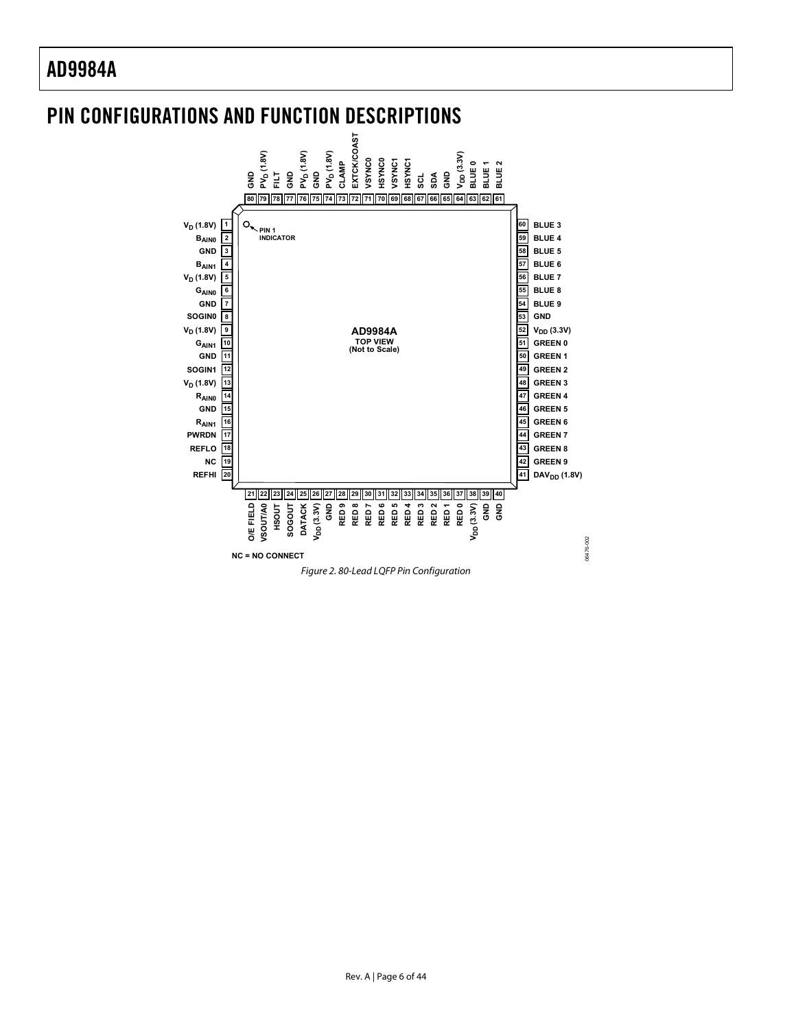# <span id="page-5-0"></span>PIN CONFIGURATIONS AND FUNCTION DESCRIPTIONS



Rev. A | Page 6 of 44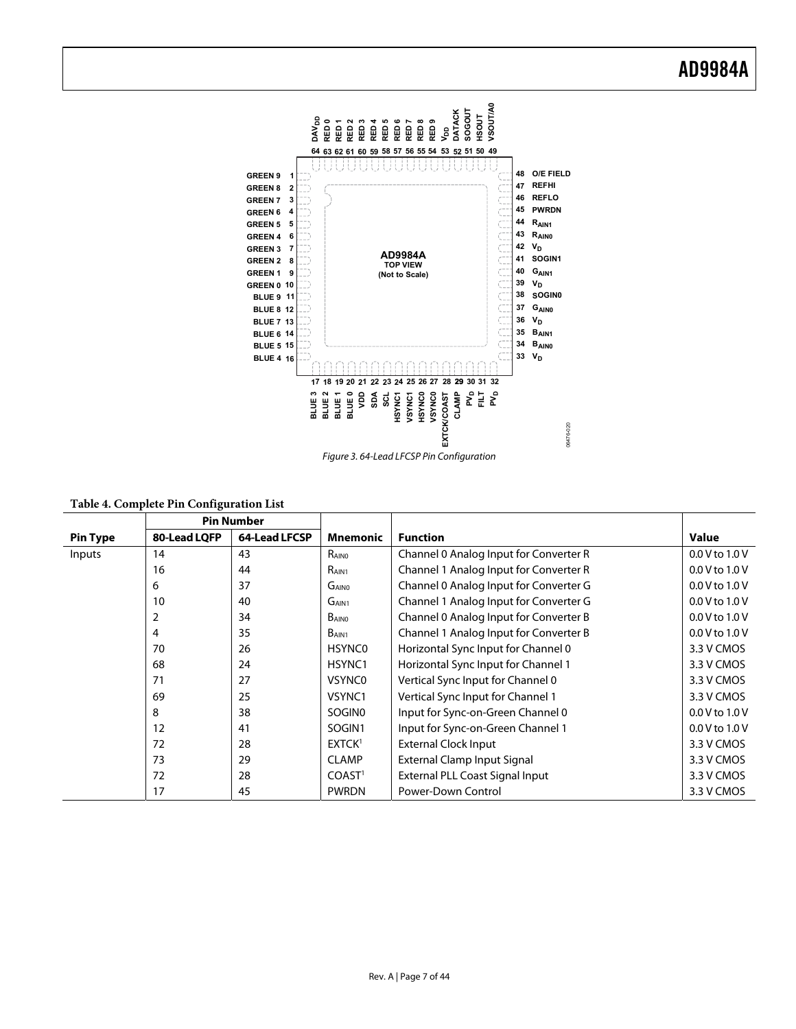

|  |  |  | Table 4. Complete Pin Configuration List |  |
|--|--|--|------------------------------------------|--|
|--|--|--|------------------------------------------|--|

|                 | <b>Pin Number</b> |               |                    |                                        |                    |
|-----------------|-------------------|---------------|--------------------|----------------------------------------|--------------------|
| <b>Pin Type</b> | 80-Lead LQFP      | 64-Lead LFCSP | <b>Mnemonic</b>    | <b>Function</b>                        | Value              |
| Inputs          | 14                | 43            | RAINO              | Channel 0 Analog Input for Converter R | $0.0$ V to $1.0$ V |
|                 | 16                | 44            | R <sub>AIN1</sub>  | Channel 1 Analog Input for Converter R | $0.0$ V to $1.0$ V |
|                 | 6                 | 37            | G <sub>AINO</sub>  | Channel 0 Analog Input for Converter G | $0.0$ V to $1.0$ V |
|                 | 10                | 40            | G <sub>AIN1</sub>  | Channel 1 Analog Input for Converter G | $0.0$ V to $1.0$ V |
|                 | 2                 | 34            | BAINO              | Channel 0 Analog Input for Converter B | $0.0$ V to $1.0$ V |
|                 | 4                 | 35            | B <sub>AIN1</sub>  | Channel 1 Analog Input for Converter B | 0.0 V to 1.0 V     |
|                 | 70                | 26            | <b>HSYNC0</b>      | Horizontal Sync Input for Channel 0    | 3.3 V CMOS         |
|                 | 68                | 24            | HSYNC1             | Horizontal Sync Input for Channel 1    | 3.3 V CMOS         |
|                 | 71                | 27            | <b>VSYNCO</b>      | Vertical Sync Input for Channel 0      | 3.3 V CMOS         |
|                 | 69                | 25            | VSYNC1             | Vertical Sync Input for Channel 1      | 3.3 V CMOS         |
|                 | 8                 | 38            | SOGIN <sub>0</sub> | Input for Sync-on-Green Channel 0      | $0.0 V$ to $1.0 V$ |
|                 | 12                | 41            | SOGIN1             | Input for Sync-on-Green Channel 1      | $0.0 V$ to $1.0 V$ |
|                 | 72                | 28            | EXTCK <sup>1</sup> | <b>External Clock Input</b>            | 3.3 V CMOS         |
|                 | 73                | 29            | <b>CLAMP</b>       | External Clamp Input Signal            | 3.3 V CMOS         |
|                 | 72                | 28            | COAST <sup>1</sup> | External PLL Coast Signal Input        | 3.3 V CMOS         |
|                 | 17                | 45            | <b>PWRDN</b>       | Power-Down Control                     | 3.3 V CMOS         |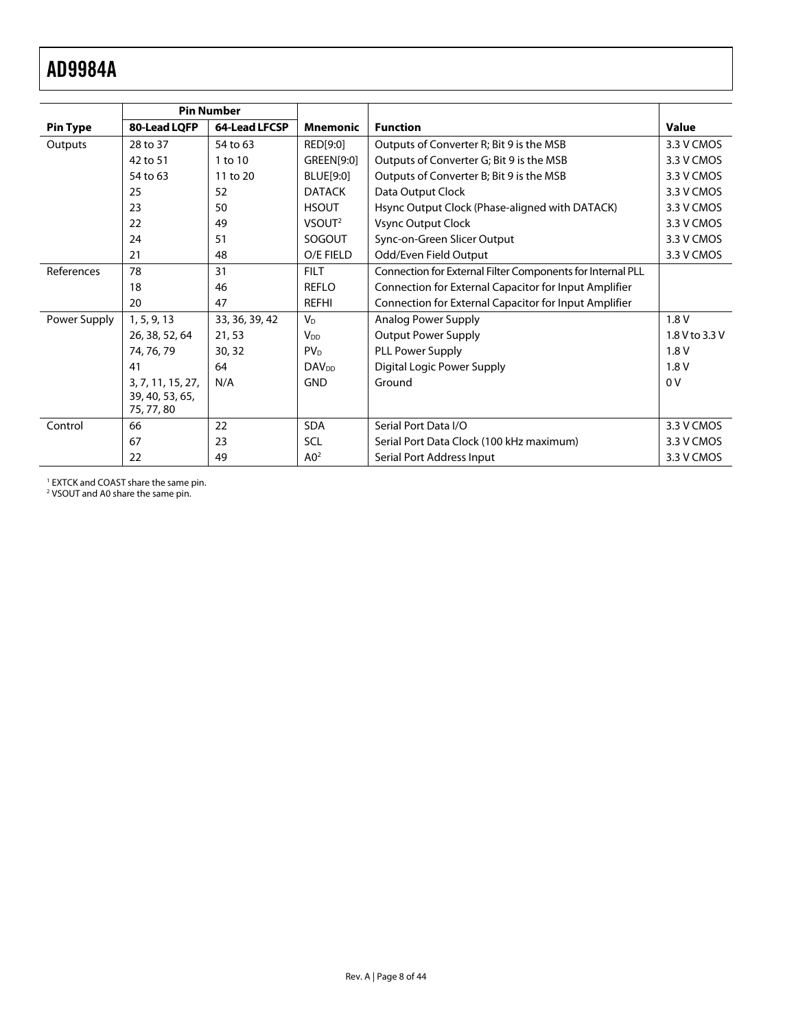<span id="page-7-0"></span>

|                 | <b>Pin Number</b> |                |                         |                                                            |                |
|-----------------|-------------------|----------------|-------------------------|------------------------------------------------------------|----------------|
| <b>Pin Type</b> | 80-Lead LQFP      | 64-Lead LFCSP  | <b>Mnemonic</b>         | <b>Function</b>                                            | <b>Value</b>   |
| Outputs         | 28 to 37          | 54 to 63       | RED[9:0]                | Outputs of Converter R; Bit 9 is the MSB                   | 3.3 V CMOS     |
|                 | 42 to 51          | 1 to 10        | GREEN[9:0]              | Outputs of Converter G; Bit 9 is the MSB                   | 3.3 V CMOS     |
|                 | 54 to 63          | 11 to 20       | BLUE[9:0]               | Outputs of Converter B; Bit 9 is the MSB                   | 3.3 V CMOS     |
|                 | 25                | 52             | <b>DATACK</b>           | Data Output Clock                                          | 3.3 V CMOS     |
|                 | 23                | 50             | <b>HSOUT</b>            | Hsync Output Clock (Phase-aligned with DATACK)             | 3.3 V CMOS     |
|                 | 22                | 49             | VSOUT <sup>2</sup>      | Vsync Output Clock                                         | 3.3 V CMOS     |
|                 | 24                | 51             | SOGOUT                  | Sync-on-Green Slicer Output                                | 3.3 V CMOS     |
|                 | 21                | 48             | O/E FIELD               | Odd/Even Field Output                                      | 3.3 V CMOS     |
| References      | 78                | 31             | <b>FILT</b>             | Connection for External Filter Components for Internal PLL |                |
|                 | 18                | 46             | <b>REFLO</b>            | Connection for External Capacitor for Input Amplifier      |                |
|                 | 20                | 47             | <b>REFHI</b>            | Connection for External Capacitor for Input Amplifier      |                |
| Power Supply    | 1, 5, 9, 13       | 33, 36, 39, 42 | $V_{D}$                 | Analog Power Supply                                        | 1.8V           |
|                 | 26, 38, 52, 64    | 21,53          | $V_{DD}$                | <b>Output Power Supply</b>                                 | 1.8 V to 3.3 V |
|                 | 74, 76, 79        | 30, 32         | PV <sub>D</sub>         | PLL Power Supply                                           | 1.8V           |
|                 | 41                | 64             | <b>DAV<sub>DD</sub></b> | Digital Logic Power Supply                                 | 1.8V           |
|                 | 3, 7, 11, 15, 27, | N/A            | <b>GND</b>              | Ground                                                     | 0 <sup>V</sup> |
|                 | 39, 40, 53, 65,   |                |                         |                                                            |                |
|                 | 75, 77, 80        |                |                         |                                                            |                |
| Control         | 66                | 22             | <b>SDA</b>              | Serial Port Data I/O                                       | 3.3 V CMOS     |
|                 | 67                | 23             | <b>SCL</b>              | Serial Port Data Clock (100 kHz maximum)                   | 3.3 V CMOS     |
|                 | 22                | 49             | A0 <sup>2</sup>         | Serial Port Address Input                                  | 3.3 V CMOS     |

1 EXTCK and COAST share the same pin. 2 VSOUT and A0 share the same pin.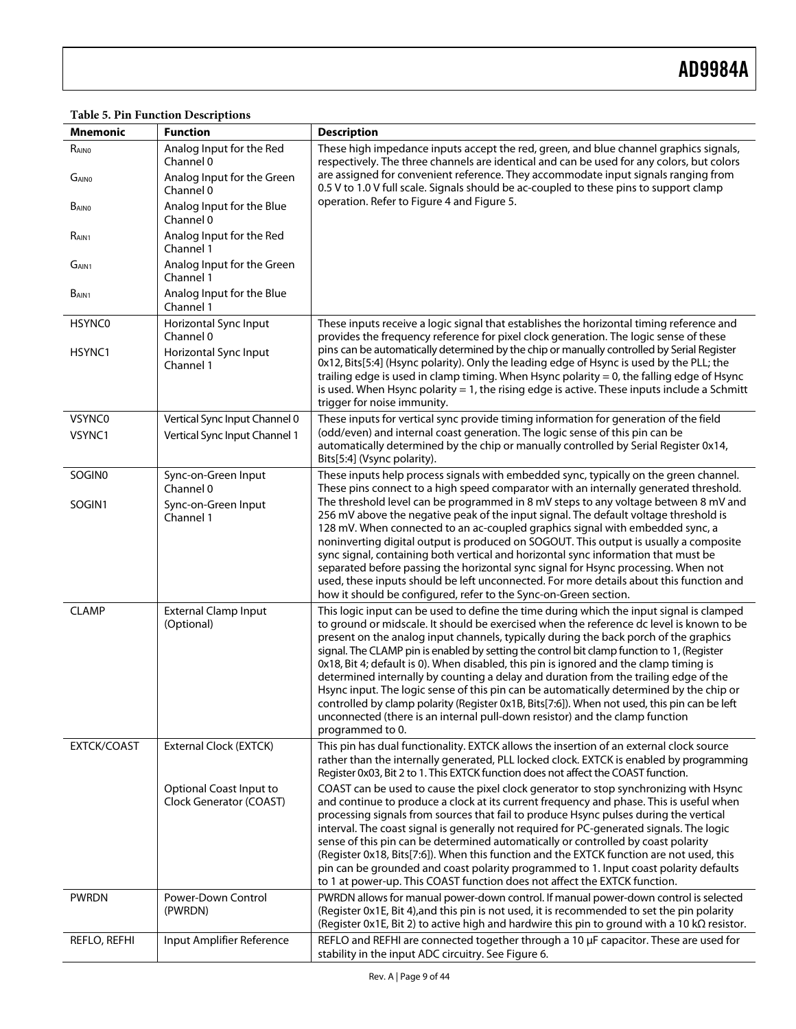#### **Mnemonic** | Function **Description**  $R_{\text{AlNO}}$  Analog Input for the Red Channel 0 These high impedance inputs accept the red, green, and blue channel graphics signals, respectively. The three channels are identical and can be used for any colors, but colors are assigned for convenient reference. They accommodate input signals ranging from 0.5 V to 1.0 V full scale. Signals should be ac-coupled to these pins to support clamp operation. Refer to [Figure 4](#page-10-1) and [Figure 5](#page-12-1).  $G_{\text{AlNO}}$  Analog Input for the Green Channel 0 B<sub>AIN0</sub> Analog Input for the Blue Channel 0 RAIN1 **Analog Input for the Red** Channel 1  $G_{AlN1}$  Analog Input for the Green Channel 1 B<sub>AIN1</sub> Analog Input for the Blue Channel 1 HSYNC0 | Horizontal Sync Input Channel 0 These inputs receive a logic signal that establishes the horizontal timing reference and provides the frequency reference for pixel clock generation. The logic sense of these pins can be automatically determined by the chip or manually controlled by Serial Register 0x12, Bits[5:4] (Hsync polarity). Only the leading edge of Hsync is used by the PLL; the trailing edge is used in clamp timing. When Hsync polarity = 0, the falling edge of Hsync is used. When Hsync polarity  $= 1$ , the rising edge is active. These inputs include a Schmitt trigger for noise immunity. HSYNC1 Horizontal Sync Input Channel 1 VSYNC0 Vertical Sync Input Channel 0 These inputs for vertical sync provide timing information for generation of the field (odd/even) and internal coast generation. The logic sense of this pin can be automatically determined by the chip or manually controlled by Serial Register 0x14, Bits[5:4] (Vsync polarity). VSYNC1 Vertical Sync Input Channel 1 SOGIN0 | Sync-on-Green Input Channel 0 These inputs help process signals with embedded sync, typically on the green channel. These pins connect to a high speed comparator with an internally generated threshold. The threshold level can be programmed in 8 mV steps to any voltage between 8 mV and 256 mV above the negative peak of the input signal. The default voltage threshold is 128 mV. When connected to an ac-coupled graphics signal with embedded sync, a noninverting digital output is produced on SOGOUT. This output is usually a composite sync signal, containing both vertical and horizontal sync information that must be separated before passing the horizontal sync signal for Hsync processing. When not used, these inputs should be left unconnected. For more details about this function and how it should be configured, refer to the [Sync-on-Green](#page-12-2) section. SOGIN1 | Sync-on-Green Input Channel 1 CLAMP External Clamp Input (Optional) This logic input can be used to define the time during which the input signal is clamped to ground or midscale. It should be exercised when the reference dc level is known to be present on the analog input channels, typically during the back porch of the graphics signal. The CLAMP pin is enabled by setting the control bit clamp function to 1, (Register 0x18, Bit 4; default is 0). When disabled, this pin is ignored and the clamp timing is determined internally by counting a delay and duration from the trailing edge of the Hsync input. The logic sense of this pin can be automatically determined by the chip or controlled by clamp polarity (Register 0x1B, Bits[7:6]). When not used, this pin can be left unconnected (there is an internal pull-down resistor) and the clamp function programmed to 0. EXTCK/COAST External Clock (EXTCK) This pin has dual functionality. EXTCK allows the insertion of an external clock source rather than the internally generated, PLL locked clock. EXTCK is enabled by programming Register 0x03, Bit 2 to 1. This EXTCK function does not affect the COAST function. Optional Coast Input to Clock Generator (COAST) COAST can be used to cause the pixel clock generator to stop synchronizing with Hsync and continue to produce a clock at its current frequency and phase. This is useful when processing signals from sources that fail to produce Hsync pulses during the vertical interval. The coast signal is generally not required for PC-generated signals. The logic sense of this pin can be determined automatically or controlled by coast polarity (Register 0x18, Bits[7:6]). When this function and the EXTCK function are not used, this pin can be grounded and coast polarity programmed to 1. Input coast polarity defaults to 1 at power-up. This COAST function does not affect the EXTCK function. PWRDN | Power-Down Control (PWRDN) PWRDN allows for manual power-down control. If manual power-down control is selected (Register 0x1E, Bit 4),and this pin is not used, it is recommended to set the pin polarity (Register 0x1E, Bit 2) to active high and hardwire this pin to ground with a 10 kΩ resistor.  $REFLO, REFH$  | Input Amplifier Reference | REFLO and REFHI are connected together through a 10 µF capacitor. These are used for stability in the input ADC circuitry. See [Figure 6](#page-12-3).

#### **Table 5. Pin Function Descriptions**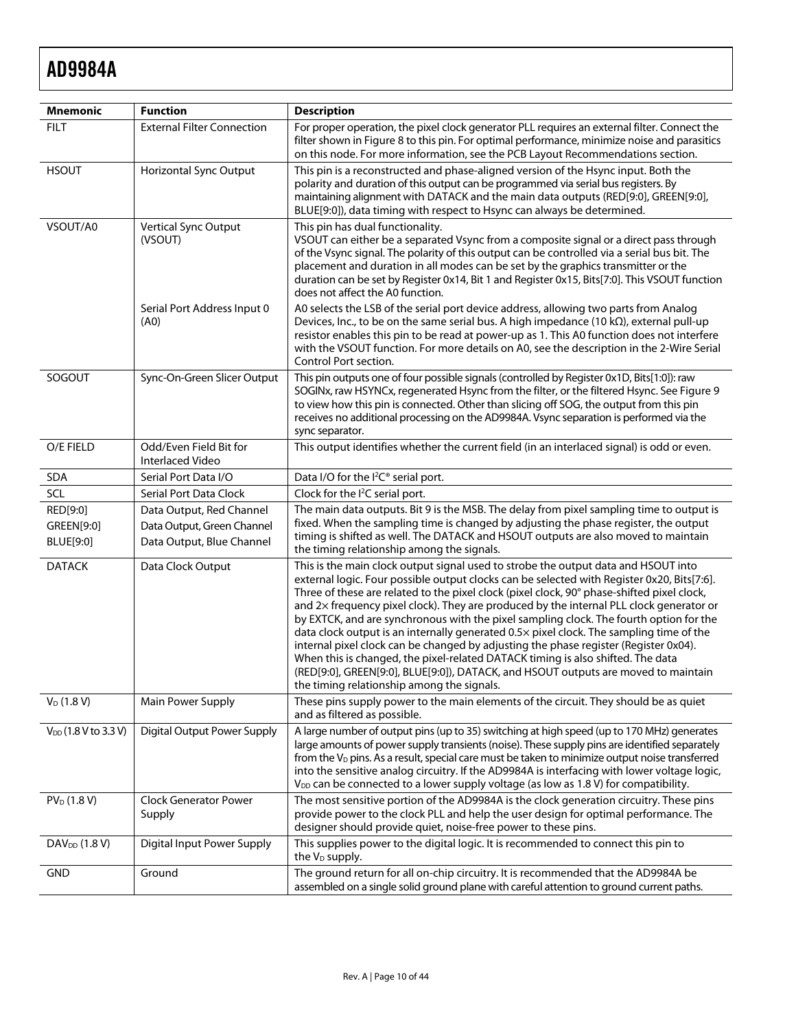| <b>Mnemonic</b>                     | <b>Function</b>                                                                     | <b>Description</b>                                                                                                                                                                                                                                                                                                                                                                                                                                                                                                                                                                                                                                                                                                                                                                                                                                                            |
|-------------------------------------|-------------------------------------------------------------------------------------|-------------------------------------------------------------------------------------------------------------------------------------------------------------------------------------------------------------------------------------------------------------------------------------------------------------------------------------------------------------------------------------------------------------------------------------------------------------------------------------------------------------------------------------------------------------------------------------------------------------------------------------------------------------------------------------------------------------------------------------------------------------------------------------------------------------------------------------------------------------------------------|
| <b>FILT</b>                         | <b>External Filter Connection</b>                                                   | For proper operation, the pixel clock generator PLL requires an external filter. Connect the<br>filter shown in Figure 8 to this pin. For optimal performance, minimize noise and parasitics<br>on this node. For more information, see the PCB Layout Recommendations section.                                                                                                                                                                                                                                                                                                                                                                                                                                                                                                                                                                                               |
| <b>HSOUT</b>                        | Horizontal Sync Output                                                              | This pin is a reconstructed and phase-aligned version of the Hsync input. Both the<br>polarity and duration of this output can be programmed via serial bus registers. By<br>maintaining alignment with DATACK and the main data outputs (RED[9:0], GREEN[9:0],<br>BLUE[9:0]), data timing with respect to Hsync can always be determined.                                                                                                                                                                                                                                                                                                                                                                                                                                                                                                                                    |
| VSOUT/A0                            | Vertical Sync Output<br>(VSOUT)                                                     | This pin has dual functionality.<br>VSOUT can either be a separated Vsync from a composite signal or a direct pass through<br>of the Vsync signal. The polarity of this output can be controlled via a serial bus bit. The<br>placement and duration in all modes can be set by the graphics transmitter or the<br>duration can be set by Register 0x14, Bit 1 and Register 0x15, Bits[7:0]. This VSOUT function<br>does not affect the A0 function.                                                                                                                                                                                                                                                                                                                                                                                                                          |
|                                     | Serial Port Address Input 0<br>(A0)                                                 | A0 selects the LSB of the serial port device address, allowing two parts from Analog<br>Devices, Inc., to be on the same serial bus. A high impedance (10 $k\Omega$ ), external pull-up<br>resistor enables this pin to be read at power-up as 1. This A0 function does not interfere<br>with the VSOUT function. For more details on A0, see the description in the 2-Wire Serial<br>Control Port section.                                                                                                                                                                                                                                                                                                                                                                                                                                                                   |
| SOGOUT                              | Sync-On-Green Slicer Output                                                         | This pin outputs one of four possible signals (controlled by Register 0x1D, Bits[1:0]): raw<br>SOGINx, raw HSYNCx, regenerated Hsync from the filter, or the filtered Hsync. See Figure 9<br>to view how this pin is connected. Other than slicing off SOG, the output from this pin<br>receives no additional processing on the AD9984A. Vsync separation is performed via the<br>sync separator.                                                                                                                                                                                                                                                                                                                                                                                                                                                                            |
| O/E FIELD                           | Odd/Even Field Bit for<br>Interlaced Video                                          | This output identifies whether the current field (in an interlaced signal) is odd or even.                                                                                                                                                                                                                                                                                                                                                                                                                                                                                                                                                                                                                                                                                                                                                                                    |
| SDA                                 | Serial Port Data I/O                                                                | Data I/O for the I <sup>2</sup> C <sup>®</sup> serial port.                                                                                                                                                                                                                                                                                                                                                                                                                                                                                                                                                                                                                                                                                                                                                                                                                   |
| SCL                                 | Serial Port Data Clock                                                              | Clock for the I <sup>2</sup> C serial port.                                                                                                                                                                                                                                                                                                                                                                                                                                                                                                                                                                                                                                                                                                                                                                                                                                   |
| RED[9:0]<br>GREEN[9:0]<br>BLUE[9:0] | Data Output, Red Channel<br>Data Output, Green Channel<br>Data Output, Blue Channel | The main data outputs. Bit 9 is the MSB. The delay from pixel sampling time to output is<br>fixed. When the sampling time is changed by adjusting the phase register, the output<br>timing is shifted as well. The DATACK and HSOUT outputs are also moved to maintain<br>the timing relationship among the signals.                                                                                                                                                                                                                                                                                                                                                                                                                                                                                                                                                          |
| <b>DATACK</b>                       | Data Clock Output                                                                   | This is the main clock output signal used to strobe the output data and HSOUT into<br>external logic. Four possible output clocks can be selected with Register 0x20, Bits[7:6].<br>Three of these are related to the pixel clock (pixel clock, 90° phase-shifted pixel clock,<br>and 2x frequency pixel clock). They are produced by the internal PLL clock generator or<br>by EXTCK, and are synchronous with the pixel sampling clock. The fourth option for the<br>data clock output is an internally generated 0.5x pixel clock. The sampling time of the<br>internal pixel clock can be changed by adjusting the phase register (Register 0x04).<br>When this is changed, the pixel-related DATACK timing is also shifted. The data<br>(RED[9:0], GREEN[9:0], BLUE[9:0]), DATACK, and HSOUT outputs are moved to maintain<br>the timing relationship among the signals. |
| $V_D$ (1.8 V)                       | Main Power Supply                                                                   | These pins supply power to the main elements of the circuit. They should be as quiet<br>and as filtered as possible.                                                                                                                                                                                                                                                                                                                                                                                                                                                                                                                                                                                                                                                                                                                                                          |
| V <sub>DD</sub> (1.8 V to 3.3 V)    | Digital Output Power Supply                                                         | A large number of output pins (up to 35) switching at high speed (up to 170 MHz) generates<br>large amounts of power supply transients (noise). These supply pins are identified separately<br>from the $V_D$ pins. As a result, special care must be taken to minimize output noise transferred<br>into the sensitive analog circuitry. If the AD9984A is interfacing with lower voltage logic,<br>V <sub>DD</sub> can be connected to a lower supply voltage (as low as 1.8 V) for compatibility.                                                                                                                                                                                                                                                                                                                                                                           |
| PV <sub>D</sub> (1.8 V)             | <b>Clock Generator Power</b><br>Supply                                              | The most sensitive portion of the AD9984A is the clock generation circuitry. These pins<br>provide power to the clock PLL and help the user design for optimal performance. The<br>designer should provide quiet, noise-free power to these pins.                                                                                                                                                                                                                                                                                                                                                                                                                                                                                                                                                                                                                             |
| DAV <sub>DD</sub> (1.8 V)           | Digital Input Power Supply                                                          | This supplies power to the digital logic. It is recommended to connect this pin to<br>the $V_D$ supply.                                                                                                                                                                                                                                                                                                                                                                                                                                                                                                                                                                                                                                                                                                                                                                       |
| <b>GND</b>                          | Ground                                                                              | The ground return for all on-chip circuitry. It is recommended that the AD9984A be<br>assembled on a single solid ground plane with careful attention to ground current paths.                                                                                                                                                                                                                                                                                                                                                                                                                                                                                                                                                                                                                                                                                                |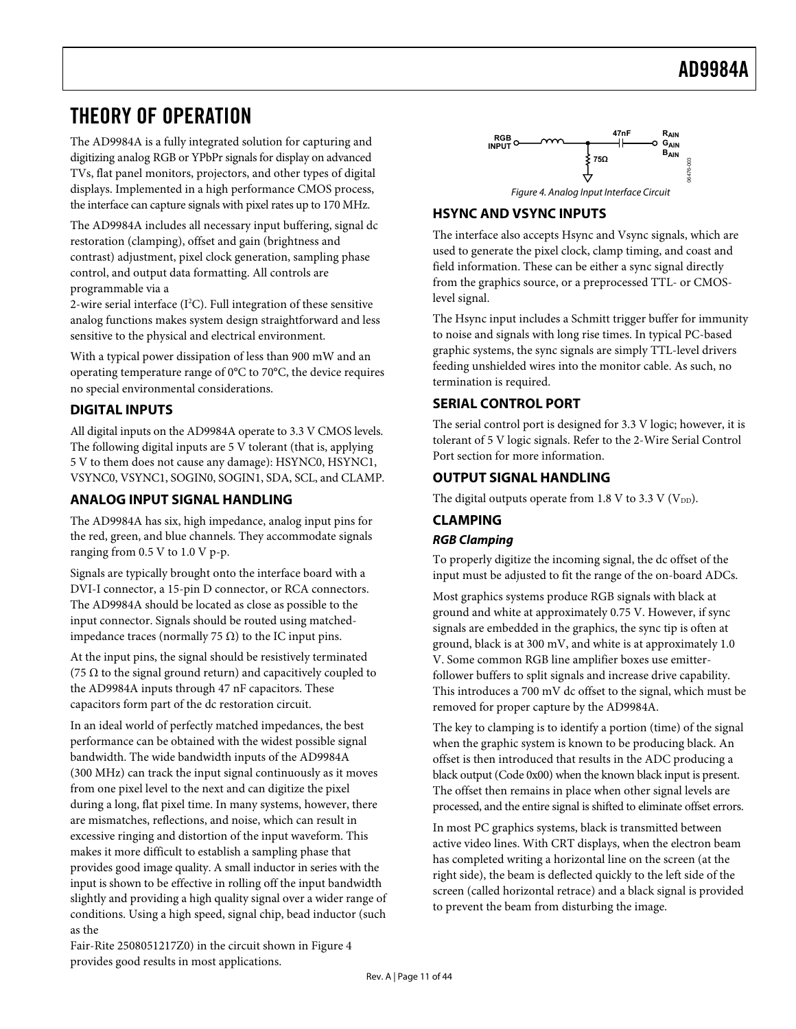# <span id="page-10-0"></span>THEORY OF OPERATION

The AD9984A is a fully integrated solution for capturing and digitizing analog RGB or YPbPr signals for display on advanced TVs, flat panel monitors, projectors, and other types of digital displays. Implemented in a high performance CMOS process, the interface can capture signals with pixel rates up to 170 MHz.

<span id="page-10-1"></span>The AD9984A includes all necessary input buffering, signal dc restoration (clamping), offset and gain (brightness and contrast) adjustment, pixel clock generation, sampling phase control, and output data formatting. All controls are programmable via a

2-wire serial interface (I<sup>2</sup>C). Full integration of these sensitive analog functions makes system design straightforward and less sensitive to the physical and electrical environment.

With a typical power dissipation of less than 900 mW and an operating temperature range of 0°C to 70°C, the device requires no special environmental considerations.

# **DIGITAL INPUTS**

All digital inputs on the AD9984A operate to 3.3 V CMOS levels. The following digital inputs are 5 V tolerant (that is, applying 5 V to them does not cause any damage): HSYNC0, HSYNC1, VSYNC0, VSYNC1, SOGIN0, SOGIN1, SDA, SCL, and CLAMP.

# **ANALOG INPUT SIGNAL HANDLING**

The AD9984A has six, high impedance, analog input pins for the red, green, and blue channels. They accommodate signals ranging from 0.5 V to 1.0 V p-p.

Signals are typically brought onto the interface board with a DVI-I connector, a 15-pin D connector, or RCA connectors. The AD9984A should be located as close as possible to the input connector. Signals should be routed using matchedimpedance traces (normally 75 Ω) to the IC input pins.

At the input pins, the signal should be resistively terminated (75  $\Omega$  to the signal ground return) and capacitively coupled to the AD9984A inputs through 47 nF capacitors. These capacitors form part of the dc restoration circuit.

In an ideal world of perfectly matched impedances, the best performance can be obtained with the widest possible signal bandwidth. The wide bandwidth inputs of the AD9984A (300 MHz) can track the input signal continuously as it moves from one pixel level to the next and can digitize the pixel during a long, flat pixel time. In many systems, however, there are mismatches, reflections, and noise, which can result in excessive ringing and distortion of the input waveform. This makes it more difficult to establish a sampling phase that provides good image quality. A small inductor in series with the input is shown to be effective in rolling off the input bandwidth slightly and providing a high quality signal over a wider range of conditions. Using a high speed, signal chip, bea[d inducto](#page-10-1)r (such as the



# **HSYNC AND VSYNC INPUTS**

The interface also accepts Hsync and Vsync signals, which are used to generate the pixel clock, clamp timing, and coast and field information. These can be either a sync signal directly from the graphics source, or a preprocessed TTL- or CMOSlevel signal.

The Hsync input includes a Schmitt trigger buffer for immunity to noise and signals with long rise times. In typical PC-based graphic systems, the sync signals are simply TTL-level drivers feeding unshielded wires into the monitor cable. As such, no termination is required.

# **SERIAL CONTROL PORT**

The serial control port is designed for 3.3 V logic; however, it is tolerant of 5 V logic signals. Refer to the [2-Wire Serial Control](#page-21-1)  [Port](#page-21-1) section for more information.

# **OUTPUT SIGNAL HANDLING**

The digital outputs operate from 1.8 V to 3.3 V ( $V_{DD}$ ).

# **CLAMPING RGB Clamping**

To properly digitize the incoming signal, the dc offset of the input must be adjusted to fit the range of the on-board ADCs.

Most graphics systems produce RGB signals with black at ground and white at approximately 0.75 V. However, if sync signals are embedded in the graphics, the sync tip is often at ground, black is at 300 mV, and white is at approximately 1.0 V. Some common RGB line amplifier boxes use emitterfollower buffers to split signals and increase drive capability. This introduces a 700 mV dc offset to the signal, which must be removed for proper capture by the AD9984A.

The key to clamping is to identify a portion (time) of the signal when the graphic system is known to be producing black. An offset is then introduced that results in the ADC producing a black output (Code 0x00) when the known black input is present. The offset then remains in place when other signal levels are processed, and the entire signal is shifted to eliminate offset errors.

In most PC graphics systems, black is transmitted between active video lines. With CRT displays, when the electron beam has completed writing a horizontal line on the screen (at the right side), the beam is deflected quickly to the left side of the screen (called horizontal retrace) and a black signal is provided to prevent the beam from disturbing the image.

Fair-Rite 2508051217Z0) in the circuit shown in Figure 4 provides good results in most applications.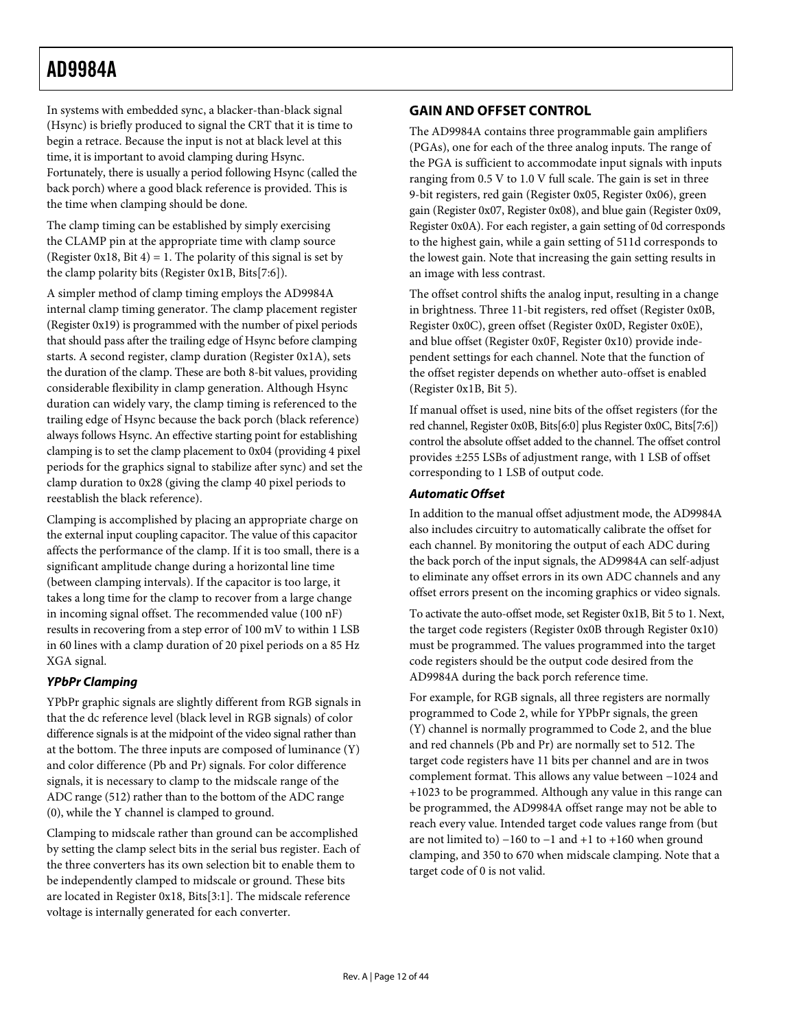<span id="page-11-0"></span>In systems with embedded sync, a blacker-than-black signal (Hsync) is briefly produced to signal the CRT that it is time to begin a retrace. Because the input is not at black level at this time, it is important to avoid clamping during Hsync. Fortunately, there is usually a period following Hsync (called the back porch) where a good black reference is provided. This is the time when clamping should be done.

The clamp timing can be established by simply exercising the CLAMP pin at the appropriate time with clamp source (Register 0x18, Bit 4) = 1. The polarity of this signal is set by the clamp polarity bits (Register 0x1B, Bits[7:6]).

A simpler method of clamp timing employs the AD9984A internal clamp timing generator. The clamp placement register (Register 0x19) is programmed with the number of pixel periods that should pass after the trailing edge of Hsync before clamping starts. A second register, clamp duration (Register 0x1A), sets the duration of the clamp. These are both 8-bit values, providing considerable flexibility in clamp generation. Although Hsync duration can widely vary, the clamp timing is referenced to the trailing edge of Hsync because the back porch (black reference) always follows Hsync. An effective starting point for establishing clamping is to set the clamp placement to 0x04 (providing 4 pixel periods for the graphics signal to stabilize after sync) and set the clamp duration to 0x28 (giving the clamp 40 pixel periods to reestablish the black reference).

<span id="page-11-1"></span>Clamping is accomplished by placing an appropriate charge on the external input coupling capacitor. The value of this capacitor affects the performance of the clamp. If it is too small, there is a significant amplitude change during a horizontal line time (between clamping intervals). If the capacitor is too large, it takes a long time for the clamp to recover from a large change in incoming signal offset. The recommended value (100 nF) results in recovering from a step error of 100 mV to within 1 LSB in 60 lines with a clamp duration of 20 pixel periods on a 85 Hz XGA signal.

# **YPbPr Clamping**

YPbPr graphic signals are slightly different from RGB signals in that the dc reference level (black level in RGB signals) of color difference signals is at the midpoint of the video signal rather than at the bottom. The three inputs are composed of luminance (Y) and color difference (Pb and Pr) signals. For color difference signals, it is necessary to clamp to the midscale range of the ADC range (512) rather than to the bottom of the ADC range (0), while the Y channel is clamped to ground.

Clamping to midscale rather than ground can be accomplished by setting the clamp select bits in the serial bus register. Each of the three converters has its own selection bit to enable them to be independently clamped to midscale or ground. These bits are located in Register 0x18, Bits[3:1]. The midscale reference voltage is internally generated for each converter.

# **GAIN AND OFFSET CONTROL**

The AD9984A contains three programmable gain amplifiers (PGAs), one for each of the three analog inputs. The range of the PGA is sufficient to accommodate input signals with inputs ranging from 0.5 V to 1.0 V full scale. The gain is set in three 9-bit registers, red gain (Register 0x05, Register 0x06), green gain (Register 0x07, Register 0x08), and blue gain (Register 0x09, Register 0x0A). For each register, a gain setting of 0d corresponds to the highest gain, while a gain setting of 511d corresponds to the lowest gain. Note that increasing the gain setting results in an image with less contrast.

The offset control shifts the analog input, resulting in a change in brightness. Three 11-bit registers, red offset (Register 0x0B, Register 0x0C), green offset (Register 0x0D, Register 0x0E), and blue offset (Register 0x0F, Register 0x10) provide independent settings for each channel. Note that the function of the offset register depends on whether auto-offset is enabled (Register 0x1B, Bit 5).

If manual offset is used, nine bits of the offset registers (for the red channel, Register 0x0B, Bits[6:0] plus Register 0x0C, Bits[7:6]) control the absolute offset added to the channel. The offset control provides ±255 LSBs of adjustment range, with 1 LSB of offset corresponding to 1 LSB of output code.

## **Automatic Offset**

In addition to the manual offset adjustment mode, the AD9984A also includes circuitry to automatically calibrate the offset for each channel. By monitoring the output of each ADC during the back porch of the input signals, the AD9984A can self-adjust to eliminate any offset errors in its own ADC channels and any offset errors present on the incoming graphics or video signals.

To activate the auto-offset mode, set Register 0x1B, Bit 5 to 1. Next, the target code registers (Register 0x0B through Register 0x10) must be programmed. The values programmed into the target code registers should be the output code desired from the AD9984A during the back porch reference time.

For example, for RGB signals, all three registers are normally programmed to Code 2, while for YPbPr signals, the green (Y) channel is normally programmed to Code 2, and the blue and red channels (Pb and Pr) are normally set to 512. The target code registers have 11 bits per channel and are in twos complement format. This allows any value between −1024 and +1023 to be programmed. Although any value in this range can be programmed, the AD9984A offset range may not be able to reach every value. Intended target code values range from (but are not limited to) −160 to −1 and +1 to +160 when ground clamping, and 350 to 670 when midscale clamping. Note that a target code of 0 is not valid.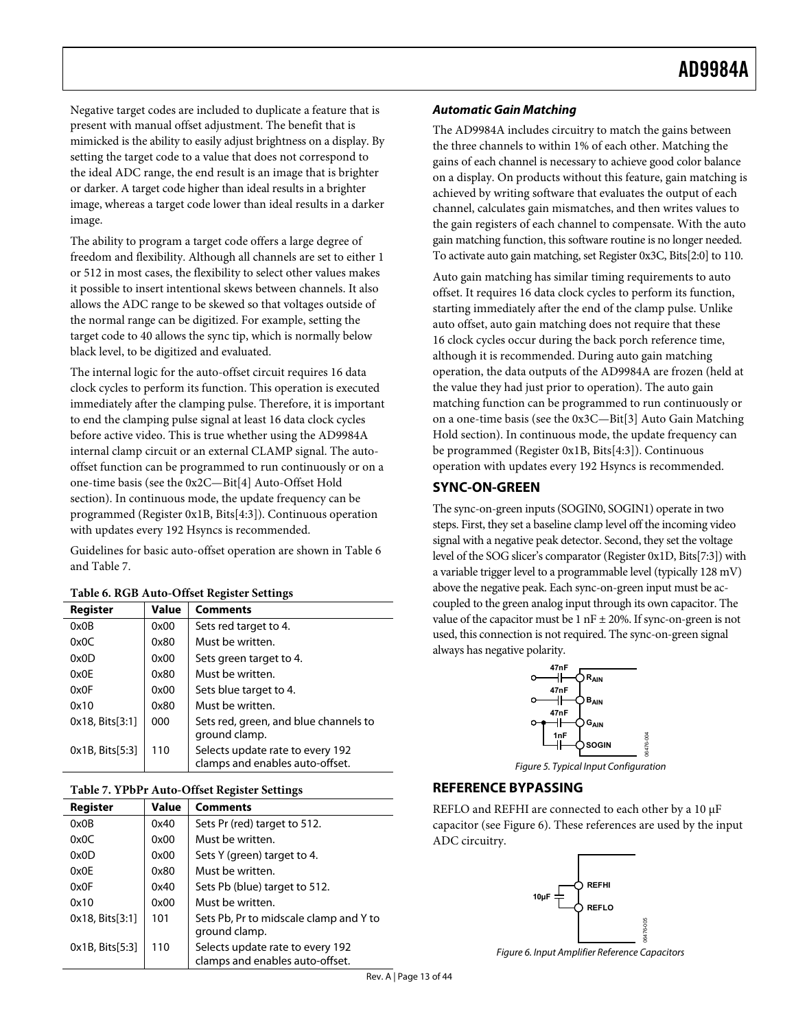<span id="page-12-0"></span>Negative target codes are included to duplicate a feature that is present with manual offset adjustment. The benefit that is mimicked is the ability to easily adjust brightness on a display. By setting the target code to a value that does not correspond to the ideal ADC range, the end result is an image that is brighter or darker. A target code higher than ideal results in a brighter image, whereas a target code lower than ideal results in a darker image.

The ability to program a target code offers a large degree of freedom and flexibility. Although all channels are set to either 1 or 512 in most cases, the flexibility to select other values makes it possible to insert intentional skews between channels. It also allows the ADC range to be skewed so that voltages outside of the normal range can be digitized. For example, setting the target code to 40 allows the sync tip, which is normally below black level, to be digitized and evaluated.

The internal logic for the auto-offset circuit requires 16 data clock cycles to perform its function. This operation is executed immediately after the clamping pulse. Therefore, it is important to end the clamping pulse signal at least 16 data clock cycles before active video. This is true whether using the AD9984A internal clamp circuit or an external CLAMP signal. The autooffset function can be [programmed to run continuously](#page-37-1) or on a one-time basis (see the 0x2C—Bit[4] Auto-Offset Hold section). In continuous mode, the update frequency can be programmed (Register 0x1B, Bits[4:3]). Continuous operation with updates every 192 Hsyncs is recommended.

<span id="page-12-2"></span>Gui[delines](#page-12-4) for basic auto-offset operation are shown in Table 6 and Table 7.

| Register        | <b>Value</b> | <b>Comments</b>                                                     |
|-----------------|--------------|---------------------------------------------------------------------|
| 0x0B            | 0x00         | Sets red target to 4.                                               |
| 0x0C            | 0x80         | Must be written.                                                    |
| 0x0D            | 0x00         | Sets green target to 4.                                             |
| 0x0E            | 0x80         | Must be written.                                                    |
| 0x0F            | 0x00         | Sets blue target to 4.                                              |
| 0x10            | 0x80         | Must be written.                                                    |
| 0x18, Bits[3:1] | 000          | Sets red, green, and blue channels to<br>ground clamp.              |
| 0x1B, Bits[5:3] | 110          | Selects update rate to every 192<br>clamps and enables auto-offset. |

# **Table 6. RGB Auto-Offset Register Settings**

#### <span id="page-12-4"></span><span id="page-12-1"></span>**Table 7. YPbPr Auto-Offset Register Settings**

<span id="page-12-3"></span>

| Register        | Value | <b>Comments</b>                                                     |
|-----------------|-------|---------------------------------------------------------------------|
| 0x0B            | 0x40  | Sets Pr (red) target to 512.                                        |
| 0x0C            | 0x00  | Must be written.                                                    |
| 0x0D            | 0x00  | Sets Y (green) target to 4.                                         |
| 0x0E            | 0x80  | Must be written.                                                    |
| 0x0F            | 0x40  | Sets Pb (blue) target to 512.                                       |
| 0x10            | 0x00  | Must be written.                                                    |
| 0x18, Bits[3:1] | 101   | Sets Pb, Pr to midscale clamp and Y to<br>ground clamp.             |
| 0x1B, Bits[5:3] | 110   | Selects update rate to every 192<br>clamps and enables auto-offset. |

#### **Automatic Gain Matching**

The AD9984A includes circuitry to match the gains between the three channels to within 1% of each other. Matching the gains of each channel is necessary to achieve good color balance on a display. On products without this feature, gain matching is achieved by writing software that evaluates the output of each channel, calculates gain mismatches, and then writes values to the gain registers of each channel to compensate. With the auto gain matching function, this software routine is no longer needed. To activate auto gain matching, set Register 0x3C, Bits[2:0] to 110.

Auto gain matching has similar timing requirements to auto offset. It requires 16 data clock cycles to perform its function, starting immediately after the end of the clamp pulse. Unlike auto offset, auto gain matching does not require that these 16 clock cycles occur during the back porch reference time, although it is recommended. During auto gain matching operation, the data outputs of the AD9984A are frozen (held at the value they had just prior to operation). The auto gain matching function can be programmed to run continuously or on a one-time basis (see the [0x3C—Bit\[3\] Auto Gain Matching](#page-38-0)  [Hold](#page-38-0) section). In continuous mode, the update frequency can be programmed (Register 0x1B, Bits[4:3]). Continuous operation with updates every 192 Hsyncs is recommended.

## **SYNC-ON-GREEN**

The sync-on-green inputs (SOGIN0, SOGIN1) operate in two steps. First, they set a baseline clamp level off the incoming video signal with a negative peak detector. Second, they set the voltage level of the SOG slicer's comparator (Register 0x1D, Bits[7:3]) with a variable trigger level to a programmable level (typically 128 mV) above the negative peak. Each sync-on-green input must be accoupled to the green analog input through its own capacitor. The value of the capacitor must be 1 nF  $\pm$  20%. If sync-on-green is not used, this connection is not required. The sync-on-green signal always has negative polarity.



Figure 5. Typical Input Configuration

06476-004

coo.

## **REFERENCE BYPASSING**

REFLO and REFHI are connected to each other by a 10 μF capacitor (see [Figure 6](#page-12-3)). These references are used by the input ADC circuitry.



Figure 6. Input Amplifier Reference Capacitors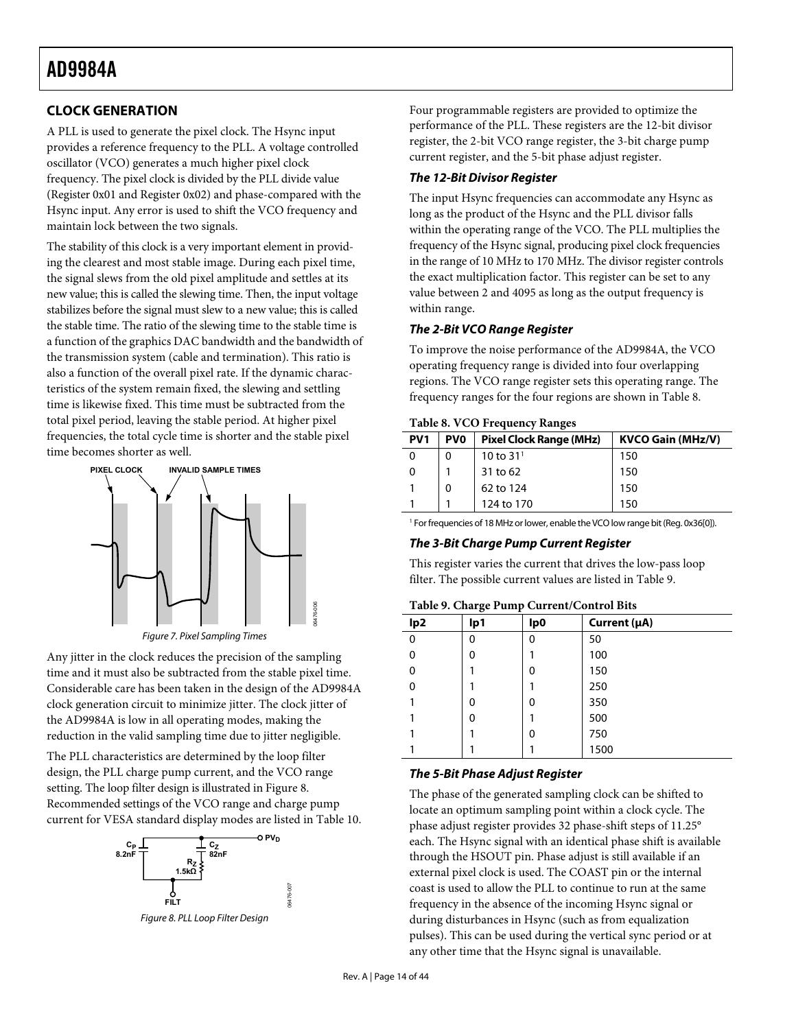# <span id="page-13-4"></span><span id="page-13-0"></span>**CLOCK GENERATION**

A PLL is used to generate the pixel clock. The Hsync input provides a reference frequency to the PLL. A voltage controlled oscillator (VCO) generates a much higher pixel clock frequency. The pixel clock is divided by the PLL divide value (Register 0x01 and Register 0x02) and phase-compared with the Hsync input. Any error is used to shift the VCO frequency and maintain lock between the two signals.

The stability of this clock is a very important element in providing the clearest and most stable image. During each pixel time, the signal slews from the old pixel amplitude and settles at its new value; this is called the slewing time. Then, the input voltage stabilizes before the signal must slew to a new value; this is called the stable time. The ratio of the slewing time to the stable time is a function of the graphics DAC bandwidth and the bandwidth of the transmission system (cable and termination). This ratio is also a function of the overall pixel rate. If the dynamic characteristics of the system remain fixed, the slewing and settling time is likewise fixed. This time must be subtracted from the total pixel period, leaving the stable period. At higher pixel frequencies, the total cycle time is shorter and the stable pixel time becomes shorter as well.

<span id="page-13-2"></span>

<span id="page-13-3"></span>Any jitter in the clock reduces the precision of the sampling time and it must also be subtracted from the stable pixel time. Considerable care has been taken in the design of the AD9984A clock generation circuit to minimize jitter. The clock jitter of the AD9984A is low in all operating modes, making the reduction in the valid sampling time due to jitter negligible.

The PLL characteristics are determined by the loop filter design, the PLL charge pump current, and the VCO range setting. The loop filter design is [illustrated](#page-13-1) in Figure 8. Recommended settings of the VCO range and charge pump current for VESA standar[d display](#page-14-0) modes are listed in Table 10.



<span id="page-13-1"></span>Figure 8. PLL Loop Filter Design

06476-007

Four programmable registers are provided to optimize the performance of the PLL. These registers are the 12-bit divisor register, the 2-bit VCO range register, the 3-bit charge pump current register, and the 5-bit phase adjust register.

# **The 12-Bit Divisor Register**

The input Hsync frequencies can accommodate any Hsync as long as the product of the Hsync and the PLL divisor falls within the operating range of the VCO. The PLL multiplies the frequency of the Hsync signal, producing pixel clock frequencies in the range of 10 MHz to 170 MHz. The divisor register controls the exact multiplication factor. This register can be set to any value between 2 and 4095 as long as the output frequency is within range.

# **The 2-Bit VCO Range Register**

To improve the noise performance of the AD9984A, the VCO operating frequency range is divided into four overlapping regions. The VCO range register sets this operating range. The frequency ranges for the four regions are shown in [Table 8](#page-13-2).

| <b>Table 8. VCO Frequency Ranges</b> |  |  |  |
|--------------------------------------|--|--|--|
|                                      |  |  |  |

| PV <sub>1</sub> | <b>PVO</b> | <b>Pixel Clock Range (MHz)</b> | <b>KVCO Gain (MHz/V)</b> |  |  |  |  |  |  |  |  |  |
|-----------------|------------|--------------------------------|--------------------------|--|--|--|--|--|--|--|--|--|
|                 | 0          | 10 to $31^{1}$                 | 150                      |  |  |  |  |  |  |  |  |  |
|                 |            | 31 to 62                       | 150                      |  |  |  |  |  |  |  |  |  |
|                 | 0          | 62 to 124                      | 150                      |  |  |  |  |  |  |  |  |  |
|                 |            | 124 to 170                     | 150                      |  |  |  |  |  |  |  |  |  |

<sup>1</sup> For frequencies of 18 MHz or lower, enable the VCO low range bit (Reg. 0x36[0]).

## **The 3-Bit Charge Pump Current Register**

This register varies the current that drives the low-pass loop filter. The possible current values are listed in [Table 9](#page-13-3).

#### **Table 9. Charge Pump Current/Control Bits**

| lp <sub>2</sub> | ັ<br>д,<br>lp1 | lp0 | Current (µA) |
|-----------------|----------------|-----|--------------|
| 0               | 0              | 0   | 50           |
| 0               | 0              |     | 100          |
| 0               |                | 0   | 150          |
| 0               |                |     | 250          |
|                 | 0              | 0   | 350          |
|                 | 0              |     | 500          |
|                 |                | 0   | 750          |
|                 |                |     | 1500         |

# **The 5-Bit Phase Adjust Register**

The phase of the generated sampling clock can be shifted to locate an optimum sampling point within a clock cycle. The phase adjust register provides 32 phase-shift steps of 11.25° each. The Hsync signal with an identical phase shift is available through the HSOUT pin. Phase adjust is still available if an external pixel clock is used. The COAST pin or the internal coast is used to allow the PLL to continue to run at the same frequency in the absence of the incoming Hsync signal or during disturbances in Hsync (such as from equalization pulses). This can be used during the vertical sync period or at any other time that the Hsync signal is unavailable.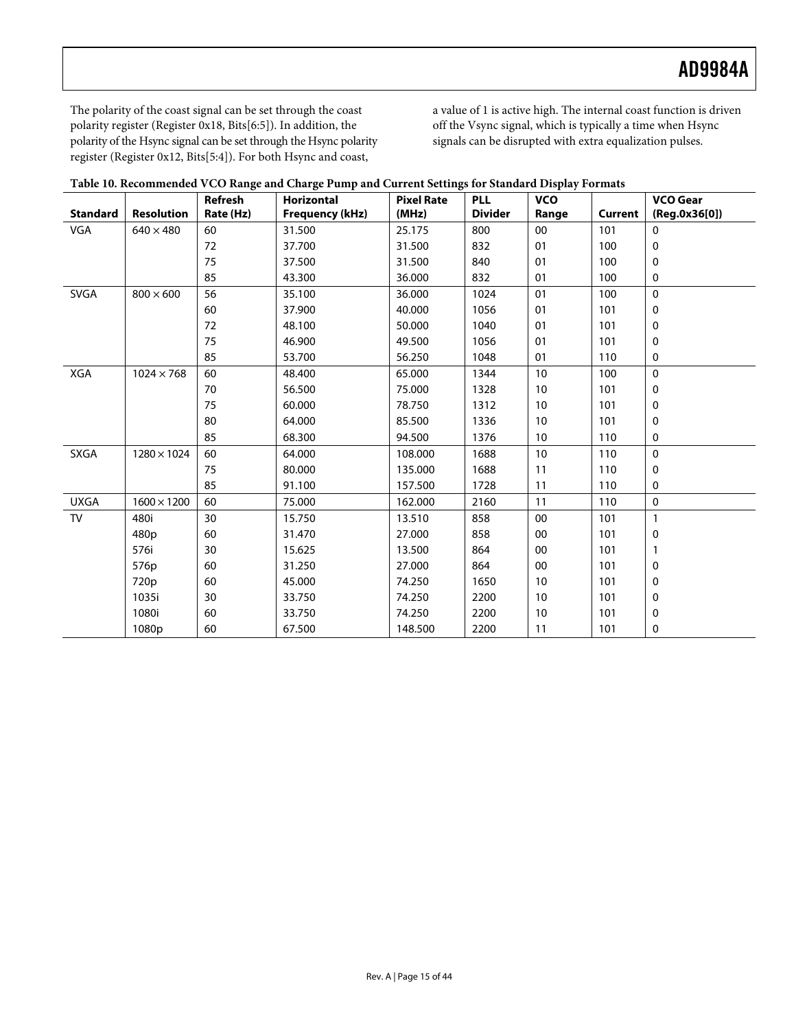The polarity of the coast signal can be set through the coast polarity register (Register 0x18, Bits[6:5]). In addition, the polarity of the Hsync signal can be set through the Hsync polarity register (Register 0x12, Bits[5:4]). For both Hsync and coast,

a value of 1 is active high. The internal coast function is driven off the Vsync signal, which is typically a time when Hsync signals can be disrupted with extra equalization pulses.

<span id="page-14-0"></span>

|                 |                    | Refresh   | <b>Horizontal</b>      | <b>Pixel Rate</b> | <b>PLL</b>     | <b>VCO</b> |         | <b>VCO Gear</b> |
|-----------------|--------------------|-----------|------------------------|-------------------|----------------|------------|---------|-----------------|
| <b>Standard</b> | <b>Resolution</b>  | Rate (Hz) | <b>Frequency (kHz)</b> | (MHz)             | <b>Divider</b> | Range      | Current | (Reg.0x36[0])   |
| VGA             | $640\times480$     | 60        | 31.500                 | 25.175            | 800            | 00         | 101     | $\mathbf 0$     |
|                 |                    | 72        | 37.700                 | 31.500            | 832            | 01         | 100     | 0               |
|                 |                    | 75        | 37.500                 | 31.500            | 840            | 01         | 100     | 0               |
|                 |                    | 85        | 43.300                 | 36.000            | 832            | 01         | 100     | 0               |
| <b>SVGA</b>     | $800 \times 600$   | 56        | 35.100                 | 36.000            | 1024           | 01         | 100     | $\mathbf 0$     |
|                 |                    | 60        | 37.900                 | 40.000            | 1056           | 01         | 101     | 0               |
|                 |                    | 72        | 48.100                 | 50.000            | 1040           | 01         | 101     | 0               |
|                 |                    | 75        | 46.900                 | 49.500            | 1056           | 01         | 101     | 0               |
|                 |                    | 85        | 53.700                 | 56.250            | 1048           | 01         | 110     | 0               |
| XGA             | $1024 \times 768$  | 60        | 48.400                 | 65.000            | 1344           | 10         | 100     | $\Omega$        |
|                 |                    | 70        | 56.500                 | 75.000            | 1328           | 10         | 101     | 0               |
|                 |                    | 75        | 60.000                 | 78.750            | 1312           | 10         | 101     | 0               |
|                 |                    | 80        | 64.000                 | 85.500            | 1336           | 10         | 101     | 0               |
|                 |                    | 85        | 68.300                 | 94.500            | 1376           | 10         | 110     | 0               |
| <b>SXGA</b>     | $1280 \times 1024$ | 60        | 64.000                 | 108.000           | 1688           | 10         | 110     | $\mathbf 0$     |
|                 |                    | 75        | 80.000                 | 135.000           | 1688           | 11         | 110     | 0               |
|                 |                    | 85        | 91.100                 | 157.500           | 1728           | 11         | 110     | 0               |
| <b>UXGA</b>     | $1600 \times 1200$ | 60        | 75.000                 | 162.000           | 2160           | 11         | 110     | $\mathbf 0$     |
| TV              | 480i               | 30        | 15.750                 | 13.510            | 858            | 00         | 101     | $\mathbf{1}$    |
|                 | 480 <sub>p</sub>   | 60        | 31.470                 | 27.000            | 858            | 00         | 101     | 0               |
|                 | 576i               | 30        | 15.625                 | 13.500            | 864            | 00         | 101     | 1               |
|                 | 576p               | 60        | 31.250                 | 27.000            | 864            | 00         | 101     | 0               |
|                 | 720p               | 60        | 45.000                 | 74.250            | 1650           | 10         | 101     | 0               |
|                 | 1035i              | 30        | 33.750                 | 74.250            | 2200           | 10         | 101     | 0               |
|                 | 1080i              | 60        | 33.750                 | 74.250            | 2200           | 10         | 101     | 0               |
|                 | 1080p              | 60        | 67.500                 | 148.500           | 2200           | 11         | 101     | 0               |

|  | Table 10. Recommended VCO Range and Charge Pump and Current Settings for Standard Display Formats |  |
|--|---------------------------------------------------------------------------------------------------|--|
|  |                                                                                                   |  |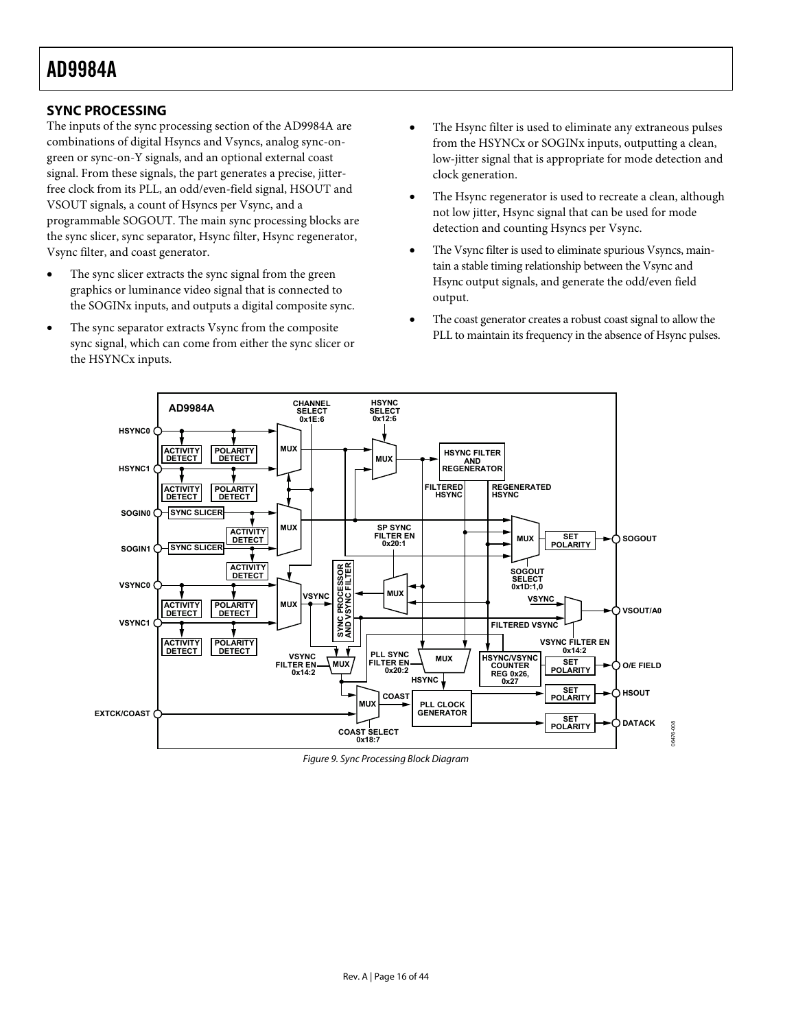# <span id="page-15-2"></span><span id="page-15-0"></span>**SYNC PROCESSING**

The inputs of the sync processing section of the AD9984A are combinations of digital Hsyncs and Vsyncs, analog sync-ongreen or sync-on-Y signals, and an optional external coast signal. From these signals, the part generates a precise, jitterfree clock from its PLL, an odd/even-field signal, HSOUT and VSOUT signals, a count of Hsyncs per Vsync, and a programmable SOGOUT. The main sync processing blocks are the sync slicer, sync separator, Hsync filter, Hsync regenerator, Vsync filter, and coast generator.

- The sync slicer extracts the sync signal from the green graphics or luminance video signal that is connected to the SOGINx inputs, and outputs a digital composite sync.
- The sync separator extracts Vsync from the composite sync signal, which can come from either the sync slicer or the HSYNCx inputs.
- The Hsync filter is used to eliminate any extraneous pulses from the HSYNCx or SOGINx inputs, outputting a clean, low-jitter signal that is appropriate for mode detection and clock generation.
- The Hsync regenerator is used to recreate a clean, although not low jitter, Hsync signal that can be used for mode detection and counting Hsyncs per Vsync.
- The Vsync filter is used to eliminate spurious Vsyncs, maintain a stable timing relationship between the Vsync and Hsync output signals, and generate the odd/even field output.
- The coast generator creates a robust coast signal to allow the PLL to maintain its frequency in the absence of Hsync pulses.



<span id="page-15-1"></span>Figure 9. Sync Processing Block Diagram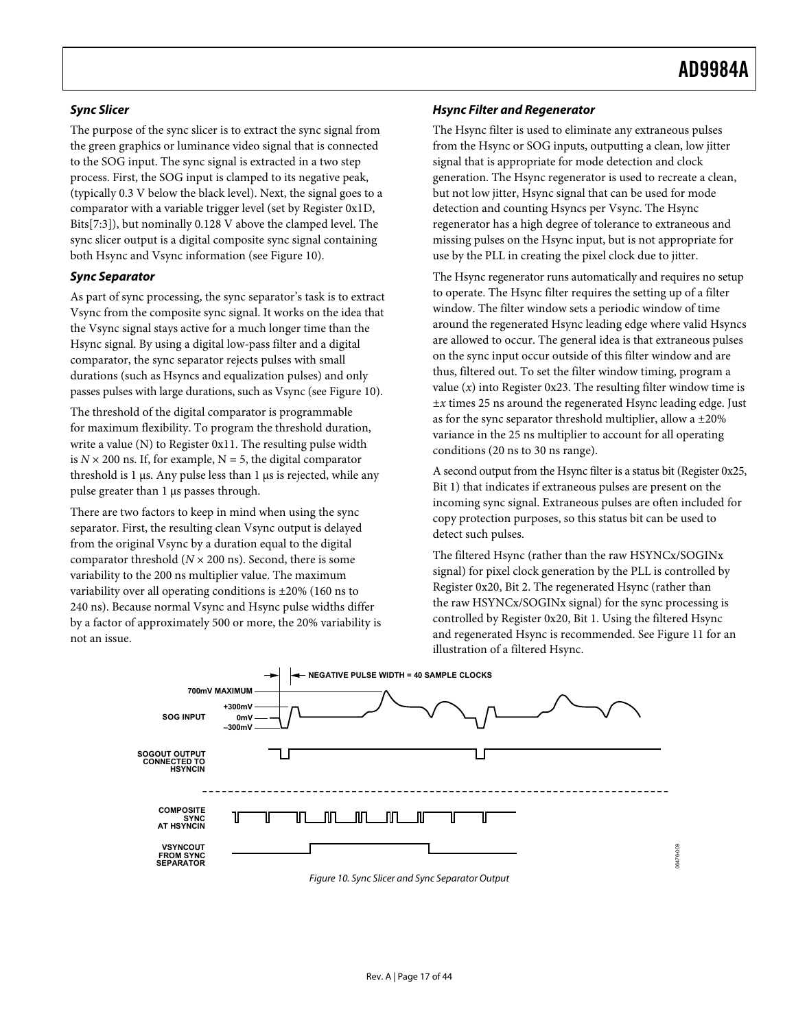# **Sync Slicer**

The purpose of the sync slicer is to extract the sync signal from the green graphics or luminance video signal that is connected to the SOG input. The sync signal is extracted in a two step process. First, the SOG input is clamped to its negative peak, (typically 0.3 V below the black level). Next, the signal goes to a comparator with a variable trigger level (set by Register 0x1D, Bits[7:3]), but nominally 0.128 V above the clamped level. The sync slicer output is a digital composite sync signal containing both Hsync and Vsync information (see [Figure 10](#page-16-0)).

## **Sync Separator**

As part of sync processing, the sync separator's task is to extract Vsync from the composite sync signal. It works on the idea that the Vsync signal stays active for a much longer time than the Hsync signal. By using a digital low-pass filter and a digital comparator, the sync separator rejects pulses with small durations (such as Hsyncs and equalization pulses) and only passes pulses with large durations, such as Vsync (see [Figure 10](#page-16-0)).

The threshold of the digital comparator is programmable for maximum flexibility. To program the threshold duration, write a value (N) to Register 0x11. The resulting pulse width is  $N \times 200$  ns. If, for example,  $N = 5$ , the digital comparator threshold is 1 μs. Any pulse less than 1 μs is rejected, while any pulse greater than 1 μs passes through.

There are two factors to keep in mind when using the sync separator. First, the resulting clean Vsync output is delayed from the original Vsync by a duration equal to the digital comparator threshold ( $N \times 200$  ns). Second, there is some variability to the 200 ns multiplier value. The maximum variability over all operating conditions is ±20% (160 ns to 240 ns). Because normal Vsync and Hsync pulse widths differ by a factor of approximately 500 or more, the 20% variability is not an issue.

# **Hsync Filter and Regenerator**

The Hsync filter is used to eliminate any extraneous pulses from the Hsync or SOG inputs, outputting a clean, low jitter signal that is appropriate for mode detection and clock generation. The Hsync regenerator is used to recreate a clean, but not low jitter, Hsync signal that can be used for mode detection and counting Hsyncs per Vsync. The Hsync regenerator has a high degree of tolerance to extraneous and missing pulses on the Hsync input, but is not appropriate for use by the PLL in creating the pixel clock due to jitter.

The Hsync regenerator runs automatically and requires no setup to operate. The Hsync filter requires the setting up of a filter window. The filter window sets a periodic window of time around the regenerated Hsync leading edge where valid Hsyncs are allowed to occur. The general idea is that extraneous pulses on the sync input occur outside of this filter window and are thus, filtered out. To set the filter window timing, program a value  $(x)$  into Register 0x23. The resulting filter window time is ±*x* times 25 ns around the regenerated Hsync leading edge. Just as for the sync separator threshold multiplier, allow a ±20% variance in the 25 ns multiplier to account for all operating conditions (20 ns to 30 ns range).

A second output from the Hsync filter is a status bit (Register 0x25, Bit 1) that indicates if extraneous pulses are present on the incoming sync signal. Extraneous pulses are often included for copy protection purposes, so this status bit can be used to detect such pulses.

The filtered Hsync (rather than the raw HSYNCx/SOGINx signal) for pixel clock generation by the PLL is controlled by Register 0x20, Bit 2. The regenerated Hsync (rather than the raw HSYNCx/SOGINx signal) for the sync processing is controlled by Register 0x20, Bit 1. Using the filtered Hsync and regenerated Hsync is recommended. See [Figure 11](#page-17-0) for an illustration of a filtered Hsync.

06476-009

<span id="page-16-0"></span>

Figure 10. Sync Slicer and Sync Separator Output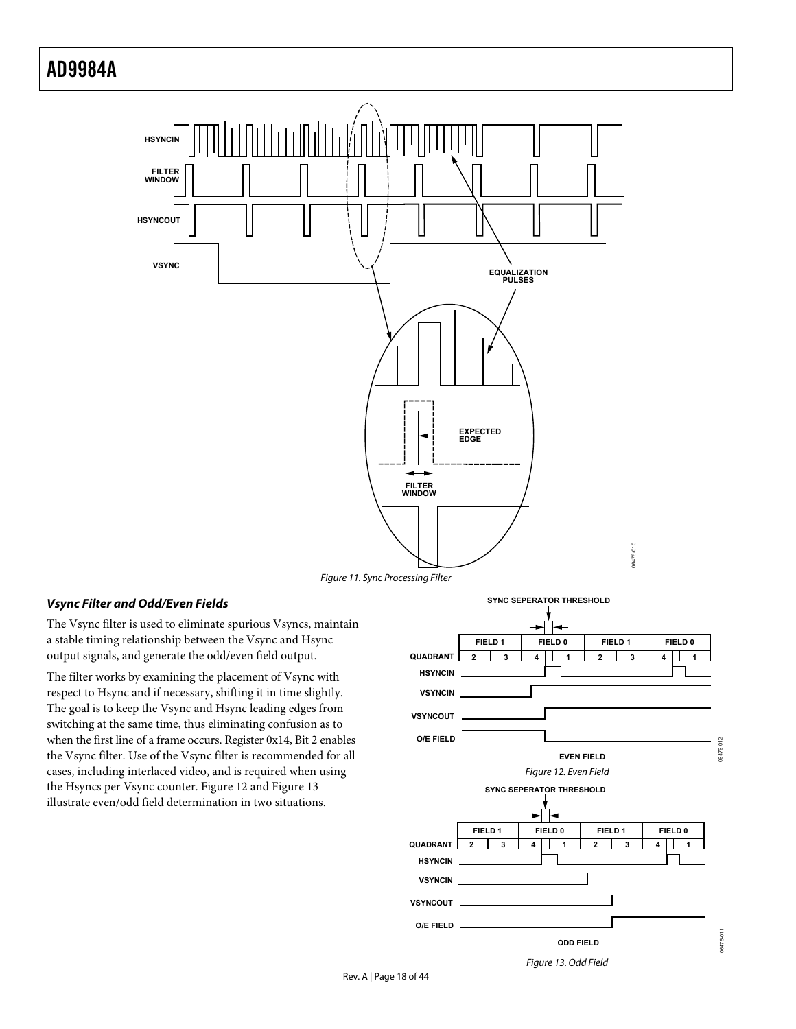

Figure 11. Sync Processing Filter

## <span id="page-17-0"></span>**Vsync Filter and Odd/Even Fields**

The Vsync filter is used to eliminate spurious Vsyncs, maintain a stable timing relationship between the Vsync and Hsync output signals, and generate the odd/even field output.

<span id="page-17-2"></span><span id="page-17-1"></span>The filter works by examining the placement of Vsync with respect to Hsync and if necessary, shifting it in time slightly. The goal is to keep the Vsync and Hsync leading edges from switching at the same time, thus eliminating confusion as to when the first line of a frame occurs. Register 0x14, Bit 2 enables the Vsync filter. Use of the Vsync filter is recommended for all cases, including interlaced video, and is required when using the Hsyncs per Vsync counter. [Figure 12](#page-17-1) and [Figure 13](#page-17-2) illustrate even/odd field determination in two situations.

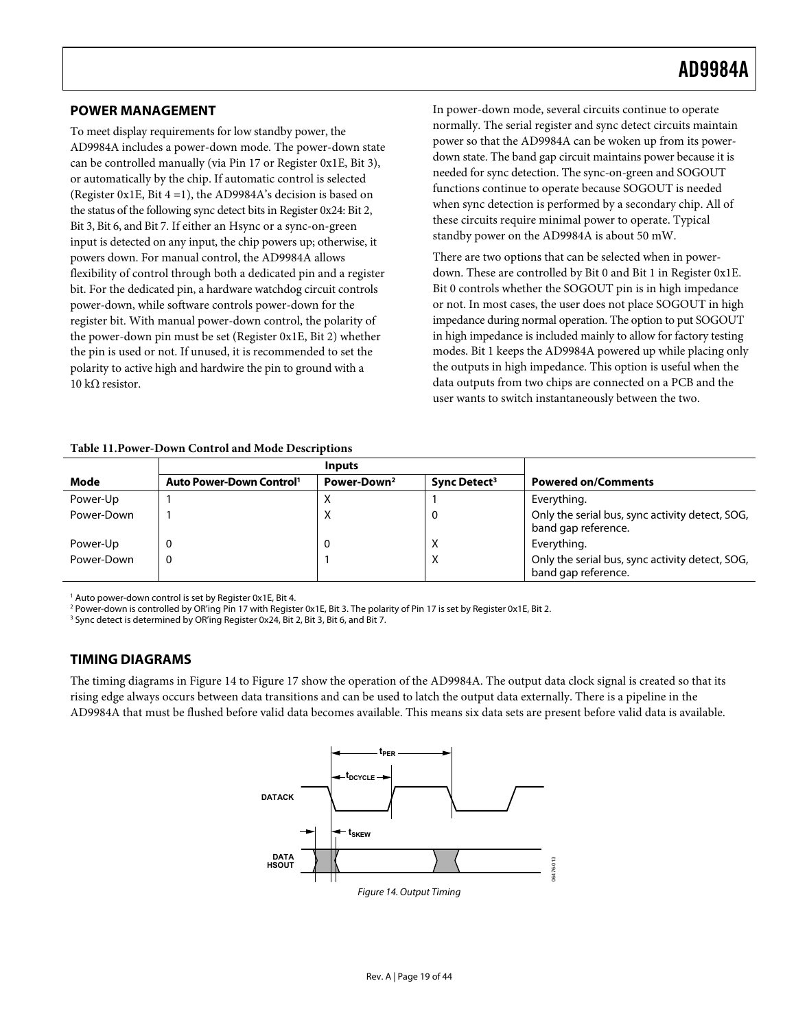# <span id="page-18-2"></span><span id="page-18-0"></span>**POWER MANAGEMENT**

To meet display requirements for low standby power, the AD9984A includes a power-down mode. The power-down state can be controlled manually (via Pin 17 or Register 0x1E, Bit 3), or automatically by the chip. If automatic control is selected (Register 0x1E, Bit 4 =1), the AD9984A's decision is based on the status of the following sync detect bits in Register 0x24: Bit 2, Bit 3, Bit 6, and Bit 7. If either an Hsync or a sync-on-green input is detected on any input, the chip powers up; otherwise, it powers down. For manual control, the AD9984A allows flexibility of control through both a dedicated pin and a register bit. For the dedicated pin, a hardware watchdog circuit controls power-down, while software controls power-down for the register bit. With manual power-down control, the polarity of the power-down pin must be set (Register 0x1E, Bit 2) whether the pin is used or not. If unused, it is recommended to set the polarity to active high and hardwire the pin to ground with a 10 kΩ resistor.

In power-down mode, several circuits continue to operate normally. The serial register and sync detect circuits maintain power so that the AD9984A can be woken up from its powerdown state. The band gap circuit maintains power because it is needed for sync detection. The sync-on-green and SOGOUT functions continue to operate because SOGOUT is needed when sync detection is performed by a secondary chip. All of these circuits require minimal power to operate. Typical standby power on the AD9984A is about 50 mW.

There are two options that can be selected when in powerdown. These are controlled by Bit 0 and Bit 1 in Register 0x1E. Bit 0 controls whether the SOGOUT pin is in high impedance or not. In most cases, the user does not place SOGOUT in high impedance during normal operation. The option to put SOGOUT in high impedance is included mainly to allow for factory testing modes. Bit 1 keeps the AD9984A powered up while placing only the outputs in high impedance. This option is useful when the data outputs from two chips are connected on a PCB and the user wants to switch instantaneously between the two.

#### **Table 11.Power-Down Control and Mode Descriptions**

|            |                                      | <b>Inputs</b>           |                          |                                                                        |
|------------|--------------------------------------|-------------------------|--------------------------|------------------------------------------------------------------------|
| Mode       | Auto Power-Down Control <sup>1</sup> | Power-Down <sup>2</sup> | Sync Detect <sup>3</sup> | <b>Powered on/Comments</b>                                             |
| Power-Up   |                                      | ◠                       |                          | Everything.                                                            |
| Power-Down |                                      | Χ                       |                          | Only the serial bus, sync activity detect, SOG,<br>band gap reference. |
| Power-Up   |                                      | 0                       | $\lambda$                | Everything.                                                            |
| Power-Down |                                      |                         | X                        | Only the serial bus, sync activity detect, SOG,<br>band gap reference. |

1 Auto power-down control is set by Register 0x1E, Bit 4.

2 Power-down is controlled by OR'ing Pin 17 with Register 0x1E, Bit 3. The polarity of Pin 17 is set by Register 0x1E, Bit 2.

<sup>3</sup> Sync detect is determined by OR'ing Register 0x24, Bit 2, Bit 3, Bit 6, and Bit 7.

## **TIMING DIAGRAMS**

<span id="page-18-1"></span>The timing diagrams in [Figure 14](#page-18-1) to [Figure 17](#page-19-1) show the operation of the AD9984A. The output data clock signal is created so that its rising edge always occurs between data transitions and can be used to latch the output data externally. There is a pipeline in the AD9984A that must be flushed before valid data becomes available. This means six data sets are present before valid data is available.

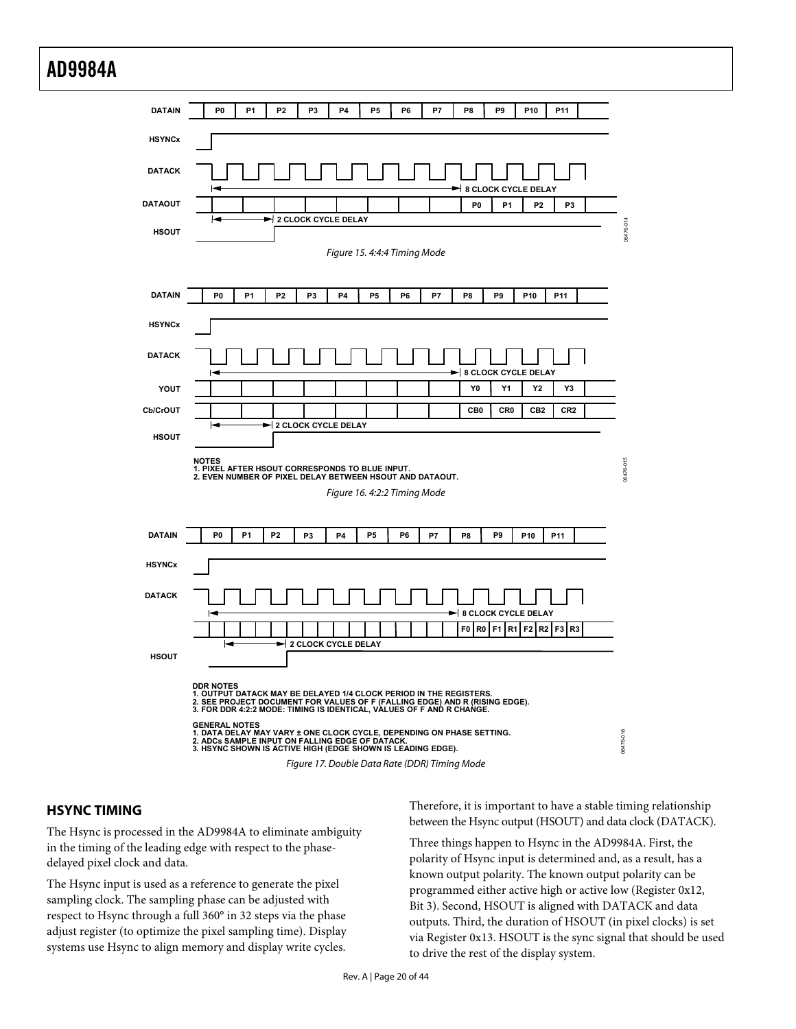<span id="page-19-0"></span>

# <span id="page-19-1"></span>**HSYNC TIMING**

The Hsync is processed in the AD9984A to eliminate ambiguity in the timing of the leading edge with respect to the phasedelayed pixel clock and data.

The Hsync input is used as a reference to generate the pixel sampling clock. The sampling phase can be adjusted with respect to Hsync through a full 360° in 32 steps via the phase adjust register (to optimize the pixel sampling time). Display systems use Hsync to align memory and display write cycles.

Therefore, it is important to have a stable timing relationship between the Hsync output (HSOUT) and data clock (DATACK).

Three things happen to Hsync in the AD9984A. First, the polarity of Hsync input is determined and, as a result, has a known output polarity. The known output polarity can be programmed either active high or active low (Register 0x12, Bit 3). Second, HSOUT is aligned with DATACK and data outputs. Third, the duration of HSOUT (in pixel clocks) is set via Register 0x13. HSOUT is the sync signal that should be used to drive the rest of the display system.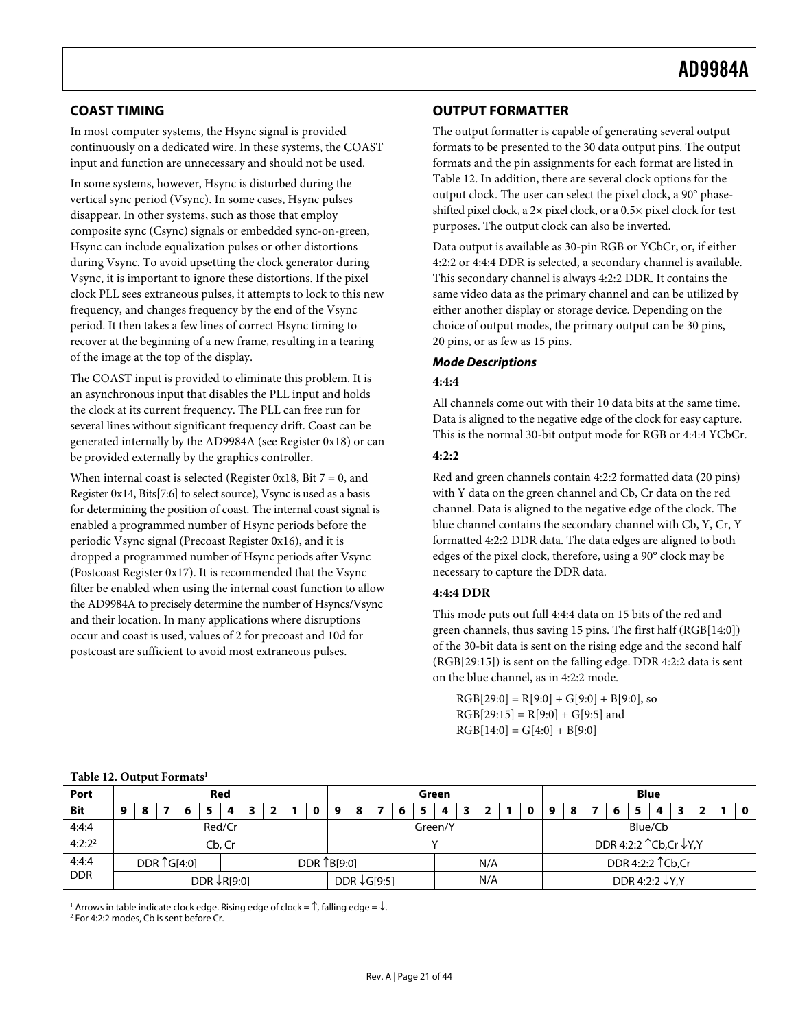# <span id="page-20-2"></span><span id="page-20-0"></span>**COAST TIMING**

In most computer systems, the Hsync signal is provided continuously on a dedicated wire. In these systems, the COAST input and function are unnecessary and should not be used.

In some systems, however, Hsync is disturbed during the vertical sync period (Vsync). In some cases, Hsync pulses disappear. In other systems, such as those that employ composite sync (Csync) signals or embedded sync-on-green, Hsync can include equalization pulses or other distortions during Vsync. To avoid upsetting the clock generator during Vsync, it is important to ignore these distortions. If the pixel clock PLL sees extraneous pulses, it attempts to lock to this new frequency, and changes frequency by the end of the Vsync period. It then takes a few lines of correct Hsync timing to recover at the beginning of a new frame, resulting in a tearing of the image at the top of the display.

The COAST input is provided to eliminate this problem. It is an asynchronous input that disables the PLL input and holds the clock at its current frequency. The PLL can free run for several lines without significant frequency drift. Coast can be generated internally by the AD9984A (see Register 0x18) or can be provided externally by the graphics controller.

When internal coast is selected (Register 0x18, Bit  $7 = 0$ , and Register 0x14, Bits[7:6] to select source), Vsync is used as a basis for determining the position of coast. The internal coast signal is enabled a programmed number of Hsync periods before the periodic Vsync signal (Precoast Register 0x16), and it is dropped a programmed number of Hsync periods after Vsync (Postcoast Register 0x17). It is recommended that the Vsync filter be enabled when using the internal coast function to allow the AD9984A to precisely determine the number of Hsyncs/Vsync and their location. In many applications where disruptions occur and coast is used, values of 2 for precoast and 10d for postcoast are sufficient to avoid most extraneous pulses.

# **OUTPUT FORMATTER**

The output formatter is capable of generating several output formats to be presented to the 30 data output pins. The output formats and the pin assignments for each format are listed in [Table 12](#page-20-1). In addition, there are several clock options for the output clock. The user can select the pixel clock, a 90° phaseshifted pixel clock, a 2× pixel clock, or a 0.5× pixel clock for test purposes. The output clock can also be inverted.

Data output is available as 30-pin RGB or YCbCr, or, if either 4:2:2 or 4:4:4 DDR is selected, a secondary channel is available. This secondary channel is always 4:2:2 DDR. It contains the same video data as the primary channel and can be utilized by either another display or storage device. Depending on the choice of output modes, the primary output can be 30 pins, 20 pins, or as few as 15 pins.

## **Mode Descriptions**

#### **4:4:4**

All channels come out with their 10 data bits at the same time. Data is aligned to the negative edge of the clock for easy capture. This is the normal 30-bit output mode for RGB or 4:4:4 YCbCr.

#### **4:2:2**

Red and green channels contain 4:2:2 formatted data (20 pins) with Y data on the green channel and Cb, Cr data on the red channel. Data is aligned to the negative edge of the clock. The blue channel contains the secondary channel with Cb, Y, Cr, Y formatted 4:2:2 DDR data. The data edges are aligned to both edges of the pixel clock, therefore, using a 90° clock may be necessary to capture the DDR data.

## **4:4:4 DDR**

This mode puts out full 4:4:4 data on 15 bits of the red and green channels, thus saving 15 pins. The first half (RGB[14:0]) of the 30-bit data is sent on the rising edge and the second half (RGB[29:15]) is sent on the falling edge. DDR 4:2:2 data is sent on the blue channel, as in 4:2:2 mode.

 $RGB[29:0] = R[9:0] + G[9:0] + B[9:0]$ , so  $RGB[29:15] = R[9:0] + G[9:5]$  and  $RGB[14:0] = G[4:0] + B[9:0]$ 

<span id="page-20-1"></span>

|            | $14010$ $140$ $0400$ $01$ $01$ |  |                       |  |  |        |                         |       |  |  |   |                                |                    |  |  |                            |                          |  |  |   |   |   |  |  |  |   |  |  |     |
|------------|--------------------------------|--|-----------------------|--|--|--------|-------------------------|-------|--|--|---|--------------------------------|--------------------|--|--|----------------------------|--------------------------|--|--|---|---|---|--|--|--|---|--|--|-----|
| Port       | Red                            |  |                       |  |  |        |                         | Green |  |  |   | <b>Blue</b>                    |                    |  |  |                            |                          |  |  |   |   |   |  |  |  |   |  |  |     |
| Bit        | 9                              |  |                       |  |  | 4      |                         |       |  |  | 9 | 8                              |                    |  |  | 4                          |                          |  |  | o | o | 8 |  |  |  | Д |  |  | - 0 |
| 4:4:4      |                                |  |                       |  |  | Red/Cr |                         |       |  |  |   |                                | Green/Y<br>Blue/Cb |  |  |                            |                          |  |  |   |   |   |  |  |  |   |  |  |     |
| $4:2:2^2$  |                                |  |                       |  |  | Cb. Cr |                         |       |  |  |   |                                |                    |  |  |                            | DDR 4:2:2 ↑ Cb, Cr ↓Y, Y |  |  |   |   |   |  |  |  |   |  |  |     |
| 4:4:4      |                                |  | DDR $\uparrow$ G[4:0] |  |  |        | DDR 1B[9:0]             |       |  |  |   | N/A                            |                    |  |  | DDR 4:2:2 ↑ Cb, Cr         |                          |  |  |   |   |   |  |  |  |   |  |  |     |
| <b>DDR</b> |                                |  |                       |  |  |        | DDR $\downarrow$ R[9:0] |       |  |  |   | N/A<br>DDR $\downarrow$ G[9:5] |                    |  |  | DDR 4:2:2 $\downarrow$ Y,Y |                          |  |  |   |   |   |  |  |  |   |  |  |     |

#### **Table 12. Output Formats[1](#page-43-5)**

 $^1$  Arrows in table indicate clock edge. Rising edge of clock =  $\hat{\ }$ , falling edge =  $\downarrow$ .<br>2 Eor 4:2:2 modes. Ch is sent before Cr.

<sup>2</sup> For 4:2:2 modes, Cb is sent before Cr.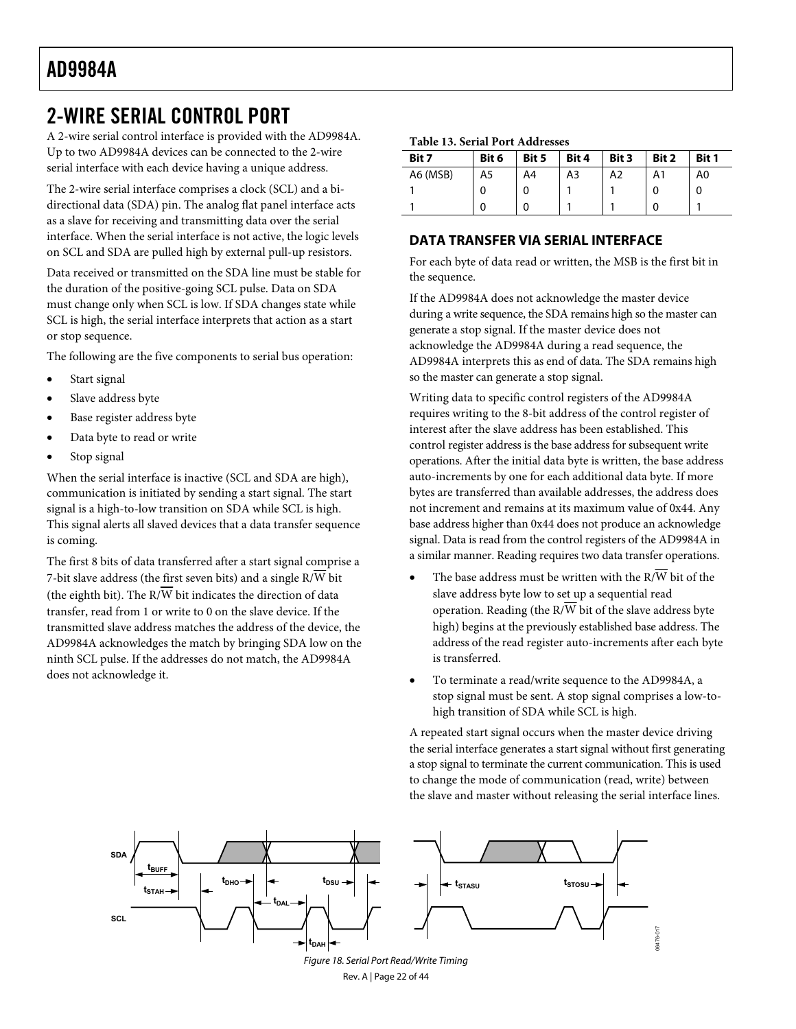# <span id="page-21-1"></span><span id="page-21-0"></span>2-WIRE SERIAL CONTROL PORT

A 2-wire serial control interface is provided with the AD9984A. Up to two AD9984A devices can be connected to the 2-wire serial interface with each device having a unique address.

The 2-wire serial interface comprises a clock (SCL) and a bidirectional data (SDA) pin. The analog flat panel interface acts as a slave for receiving and transmitting data over the serial interface. When the serial interface is not active, the logic levels on SCL and SDA are pulled high by external pull-up resistors.

Data received or transmitted on the SDA line must be stable for the duration of the positive-going SCL pulse. Data on SDA must change only when SCL is low. If SDA changes state while SCL is high, the serial interface interprets that action as a start or stop sequence.

The following are the five components to serial bus operation:

- Start signal
- Slave address byte
- Base register address byte
- Data byte to read or write
- Stop signal

When the serial interface is inactive (SCL and SDA are high), communication is initiated by sending a start signal. The start signal is a high-to-low transition on SDA while SCL is high. This signal alerts all slaved devices that a data transfer sequence is coming.

The first 8 bits of data transferred after a start signal comprise a 7-bit slave address (the first seven bits) and a single  $R/\overline{W}$  bit (the eighth bit). The  $R/\overline{W}$  bit indicates the direction of data transfer, read from 1 or write to 0 on the slave device. If the transmitted slave address matches the address of the device, the AD9984A acknowledges the match by bringing SDA low on the ninth SCL pulse. If the addresses do not match, the AD9984A does not acknowledge it.

|  |  |  |  | Table 13. Serial Port Addresses |
|--|--|--|--|---------------------------------|
|--|--|--|--|---------------------------------|

| Bit 7    | Bit 6 | Bit 5 | Bit 4 | Bit 3 | Bit 2 | Bit 1 |
|----------|-------|-------|-------|-------|-------|-------|
| A6 (MSB) | A5    | A4    | A3    | A2    | A1    | A0    |
|          |       |       |       |       |       |       |
|          |       |       |       |       |       |       |

# **DATA TRANSFER VIA SERIAL INTERFACE**

For each byte of data read or written, the MSB is the first bit in the sequence.

If the AD9984A does not acknowledge the master device during a write sequence, the SDA remains high so the master can generate a stop signal. If the master device does not acknowledge the AD9984A during a read sequence, the AD9984A interprets this as end of data. The SDA remains high so the master can generate a stop signal.

Writing data to specific control registers of the AD9984A requires writing to the 8-bit address of the control register of interest after the slave address has been established. This control register address is the base address for subsequent write operations. After the initial data byte is written, the base address auto-increments by one for each additional data byte. If more bytes are transferred than available addresses, the address does not increment and remains at its maximum value of 0x44. Any base address higher than 0x44 does not produce an acknowledge signal. Data is read from the control registers of the AD9984A in a similar manner. Reading requires two data transfer operations.

- The base address must be written with the R/ $\overline{\text{W}}$  bit of the slave address byte low to set up a sequential read operation. Reading (the R/W bit of the slave address byte high) begins at the previously established base address. The address of the read register auto-increments after each byte is transferred.
- To terminate a read/write sequence to the AD9984A, a stop signal must be sent. A stop signal comprises a low-tohigh transition of SDA while SCL is high.

A repeated start signal occurs when the master device driving the serial interface generates a start signal without first generating a stop signal to terminate the current communication. This is used to change the mode of communication (read, write) between the slave and master without releasing the serial interface lines.

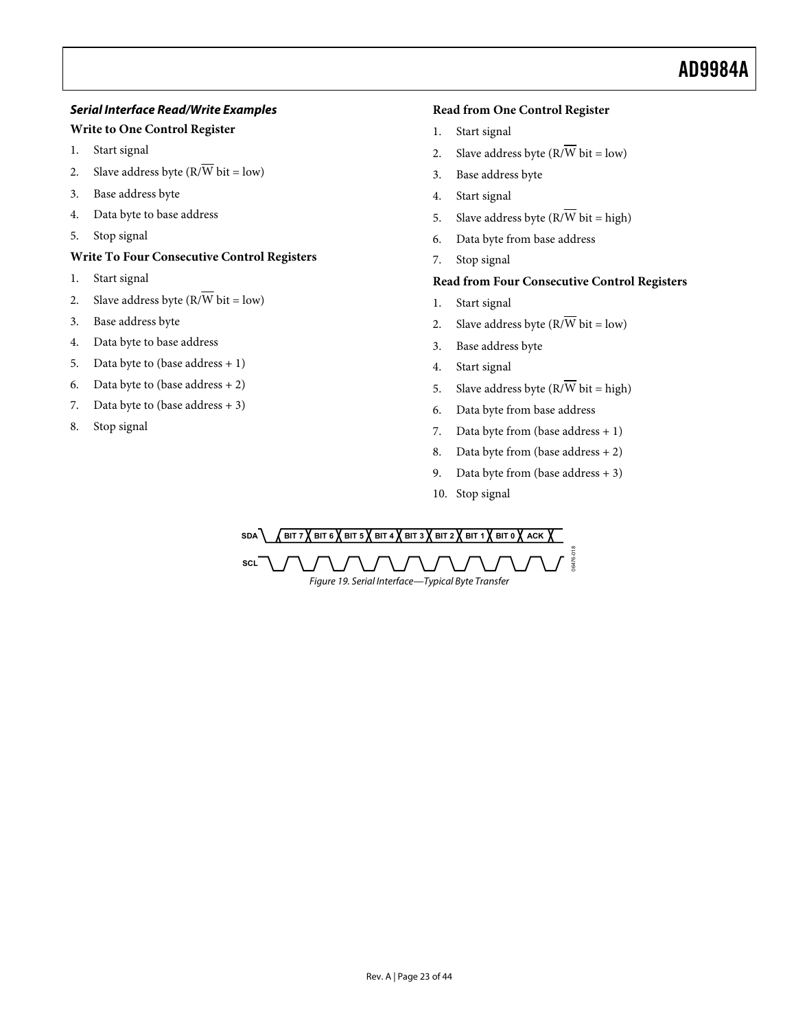# **Serial Interface Read/Write Examples**

# **Write to One Control Register**

- 1. Start signal
- 2. Slave address byte  $(R/\overline{W})$  bit = low)
- 3. Base address byte
- 4. Data byte to base address
- 5. Stop signal

# **Write To Four Consecutive Control Registers**

- 1. Start signal
- 2. Slave address byte  $(R/\overline{W})$  bit = low)
- 3. Base address byte
- 4. Data byte to base address
- 5. Data byte to (base address  $+1$ )
- 6. Data byte to (base address  $+ 2$ )
- 7. Data byte to (base address  $+3$ )
- 8. Stop signal

# **Read from One Control Register**

- 1. Start signal
- 2. Slave address byte  $(R/\overline{W})$  bit = low)
- 3. Base address byte
- 4. Start signal
- 5. Slave address byte  $(R/\overline{W})$  bit = high)
- 6. Data byte from base address
- 7. Stop signal

# **Read from Four Consecutive Control Registers**

- 1. Start signal
- 2. Slave address byte  $(R/\overline{W}$  bit = low)
- 3. Base address byte
- 4. Start signal
- 5. Slave address byte  $(R/\overline{W})$  bit = high)
- 6. Data byte from base address
- 7. Data byte from (base address  $+1$ )
- 8. Data byte from (base address + 2)
- 9. Data byte from (base address  $+3$ )
- 10. Stop signal

SDA **A** BIT 7 **A** BIT 6 **A** BIT 5 **A** BIT 4 **A** BIT 3 **A** BIT 2 **A** BIT 1 **A** BIT 0 **A** ACK 06476-018 6476-**SCL** Figure 19. Serial Interface—Typical Byte Transfer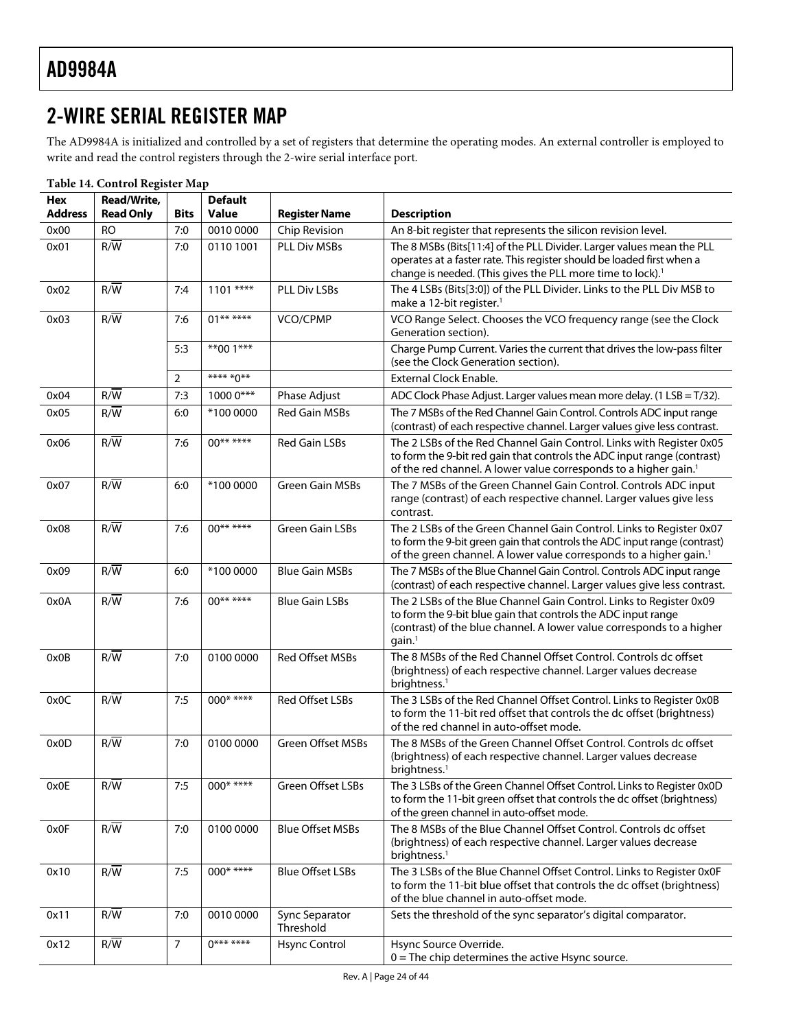# <span id="page-23-0"></span>2-WIRE SERIAL REGISTER MAP

The AD9984A is initialized and controlled by a set of registers that determine the operating modes. An external controller is employed to write and read the control registers through the 2-wire serial interface port.

| Hex            | Read/Write,      |                | <b>Default</b> |                             |                                                                                                                                                                                                                                     |
|----------------|------------------|----------------|----------------|-----------------------------|-------------------------------------------------------------------------------------------------------------------------------------------------------------------------------------------------------------------------------------|
| <b>Address</b> | <b>Read Only</b> | <b>Bits</b>    | <b>Value</b>   | <b>Register Name</b>        | <b>Description</b>                                                                                                                                                                                                                  |
| 0x00           | <b>RO</b>        | 7:0            | 0010 0000      | Chip Revision               | An 8-bit register that represents the silicon revision level.                                                                                                                                                                       |
| 0x01           | $R/\overline{W}$ | 7:0            | 0110 1001      | PLL Div MSBs                | The 8 MSBs (Bits[11:4] of the PLL Divider. Larger values mean the PLL<br>operates at a faster rate. This register should be loaded first when a<br>change is needed. (This gives the PLL more time to lock). <sup>1</sup>           |
| 0x02           | $R/\overline{W}$ | 7:4            | $1101$ ****    | PLL Div LSBs                | The 4 LSBs (Bits[3:0]) of the PLL Divider. Links to the PLL Div MSB to<br>make a 12-bit register. <sup>1</sup>                                                                                                                      |
| 0x03           | $R/\overline{W}$ | 7:6            | $01******$     | VCO/CPMP                    | VCO Range Select. Chooses the VCO frequency range (see the Clock<br>Generation section).                                                                                                                                            |
|                |                  | 5:3            | $***001***$    |                             | Charge Pump Current. Varies the current that drives the low-pass filter<br>(see the Clock Generation section).                                                                                                                      |
|                |                  | 2              | **** *0**      |                             | <b>External Clock Enable.</b>                                                                                                                                                                                                       |
| 0x04           | $R/\overline{W}$ | 7:3            | 1000 0***      | Phase Adjust                | ADC Clock Phase Adjust. Larger values mean more delay. (1 LSB = T/32).                                                                                                                                                              |
| 0x05           | $R/\overline{W}$ | 6:0            | *100 0000      | <b>Red Gain MSBs</b>        | The 7 MSBs of the Red Channel Gain Control. Controls ADC input range<br>(contrast) of each respective channel. Larger values give less contrast.                                                                                    |
| 0x06           | $R/\overline{W}$ | 7:6            | $00******$     | Red Gain LSBs               | The 2 LSBs of the Red Channel Gain Control. Links with Register 0x05<br>to form the 9-bit red gain that controls the ADC input range (contrast)<br>of the red channel. A lower value corresponds to a higher gain. <sup>1</sup>     |
| 0x07           | $R/\overline{W}$ | 6:0            | *100 0000      | <b>Green Gain MSBs</b>      | The 7 MSBs of the Green Channel Gain Control. Controls ADC input<br>range (contrast) of each respective channel. Larger values give less<br>contrast.                                                                               |
| 0x08           | $R/\overline{W}$ | 7:6            | $00******$     | Green Gain LSBs             | The 2 LSBs of the Green Channel Gain Control. Links to Register 0x07<br>to form the 9-bit green gain that controls the ADC input range (contrast)<br>of the green channel. A lower value corresponds to a higher gain. <sup>1</sup> |
| 0x09           | $R/\overline{W}$ | 6:0            | *100 0000      | <b>Blue Gain MSBs</b>       | The 7 MSBs of the Blue Channel Gain Control. Controls ADC input range<br>(contrast) of each respective channel. Larger values give less contrast.                                                                                   |
| 0x0A           | $R/\overline{W}$ | 7:6            | $00******$     | <b>Blue Gain LSBs</b>       | The 2 LSBs of the Blue Channel Gain Control. Links to Register 0x09<br>to form the 9-bit blue gain that controls the ADC input range<br>(contrast) of the blue channel. A lower value corresponds to a higher<br>gain. <sup>1</sup> |
| 0x0B           | R/W              | 7:0            | 0100 0000      | Red Offset MSBs             | The 8 MSBs of the Red Channel Offset Control. Controls dc offset<br>(brightness) of each respective channel. Larger values decrease<br>brightness. <sup>1</sup>                                                                     |
| 0x0C           | R/W              | 7:5            | $000****$      | Red Offset LSBs             | The 3 LSBs of the Red Channel Offset Control. Links to Register 0x0B<br>to form the 11-bit red offset that controls the dc offset (brightness)<br>of the red channel in auto-offset mode.                                           |
| 0x0D           | $R/\overline{W}$ | 7:0            | 0100 0000      | Green Offset MSBs           | The 8 MSBs of the Green Channel Offset Control. Controls dc offset<br>(brightness) of each respective channel. Larger values decrease<br>brightness. <sup>1</sup>                                                                   |
| 0x0E           | R/W              | 7:5            | $000****$      | Green Offset LSBs           | The 3 LSBs of the Green Channel Offset Control. Links to Register 0x0D<br>to form the 11-bit green offset that controls the dc offset (brightness)<br>of the green channel in auto-offset mode.                                     |
| 0x0F           | R/W              | 7:0            | 0100 0000      | <b>Blue Offset MSBs</b>     | The 8 MSBs of the Blue Channel Offset Control. Controls dc offset<br>(brightness) of each respective channel. Larger values decrease<br>brightness. <sup>1</sup>                                                                    |
| 0x10           | $R/\overline{W}$ | 7:5            | $000****$      | <b>Blue Offset LSBs</b>     | The 3 LSBs of the Blue Channel Offset Control. Links to Register 0x0F<br>to form the 11-bit blue offset that controls the dc offset (brightness)<br>of the blue channel in auto-offset mode.                                        |
| 0x11           | R/W              | 7:0            | 0010 0000      | Sync Separator<br>Threshold | Sets the threshold of the sync separator's digital comparator.                                                                                                                                                                      |
| 0x12           | $R/\overline{W}$ | $\overline{7}$ | $0******$      | Hsync Control               | Hsync Source Override.<br>$0 =$ The chip determines the active Hsync source.                                                                                                                                                        |

**Table 14. Control Register Map**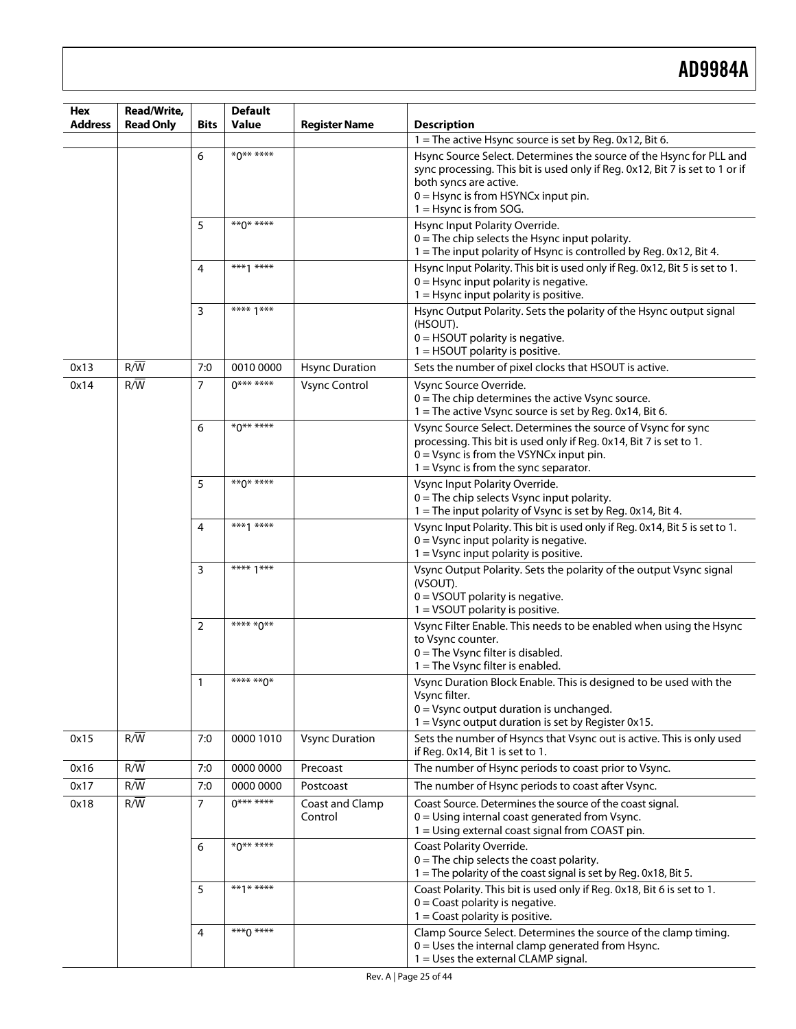| Hex            | Read/Write,      |                | <b>Default</b>   |                            |                                                                                                                                                                                                                                                    |
|----------------|------------------|----------------|------------------|----------------------------|----------------------------------------------------------------------------------------------------------------------------------------------------------------------------------------------------------------------------------------------------|
| <b>Address</b> | <b>Read Only</b> | Bits           | <b>Value</b>     | <b>Register Name</b>       | <b>Description</b>                                                                                                                                                                                                                                 |
|                |                  |                |                  |                            | 1 = The active Hsync source is set by Reg. 0x12, Bit 6.                                                                                                                                                                                            |
|                |                  | 6              | $*0******$       |                            | Hsync Source Select. Determines the source of the Hsync for PLL and<br>sync processing. This bit is used only if Reg. 0x12, Bit 7 is set to 1 or if<br>both syncs are active.<br>$0 =$ Hsync is from HSYNCx input pin.<br>$1 =$ Hsync is from SOG. |
|                |                  | 5              | $**\Lambda$ **** |                            | Hsync Input Polarity Override.<br>$0 =$ The chip selects the Hsync input polarity.<br>1 = The input polarity of Hsync is controlled by Reg. 0x12, Bit 4.                                                                                           |
|                |                  | 4              | ***1 ****        |                            | Hsync Input Polarity. This bit is used only if Reg. 0x12, Bit 5 is set to 1.<br>$0 =$ Hsync input polarity is negative.<br>$1 =$ Hsync input polarity is positive.                                                                                 |
|                |                  | 3              | **** $1***$      |                            | Hsync Output Polarity. Sets the polarity of the Hsync output signal<br>(HSOUT).<br>$0 =$ HSOUT polarity is negative.<br>$1 =$ HSOUT polarity is positive.                                                                                          |
| 0x13           | R/W              | 7:0            | 0010 0000        | <b>Hsync Duration</b>      | Sets the number of pixel clocks that HSOUT is active.                                                                                                                                                                                              |
| 0x14           | R/W              | 7              | $0******$        | <b>Vsync Control</b>       | Vsync Source Override.<br>$0 =$ The chip determines the active Vsync source.<br>1 = The active Vsync source is set by Reg. 0x14, Bit 6.                                                                                                            |
|                |                  | 6              | $*0******$       |                            | Vsync Source Select. Determines the source of Vsync for sync<br>processing. This bit is used only if Reg. 0x14, Bit 7 is set to 1.<br>$0 = V$ sync is from the VSYNC $x$ input pin.<br>$1 = V$ sync is from the sync separator.                    |
|                |                  | 5              | $**\Lambda$ **** |                            | Vsync Input Polarity Override.<br>$0$ = The chip selects Vsync input polarity.<br>1 = The input polarity of Vsync is set by Reg. 0x14, Bit 4.                                                                                                      |
|                |                  | 4              | $***1***$        |                            | Vsync Input Polarity. This bit is used only if Reg. 0x14, Bit 5 is set to 1.<br>$0 = V$ sync input polarity is negative.<br>$1 = V$ sync input polarity is positive.                                                                               |
|                |                  | 3              | **** $1***$      |                            | Vsync Output Polarity. Sets the polarity of the output Vsync signal<br>(VSOUT).<br>$0 = VSOUT$ polarity is negative.<br>$1 = VSOUT$ polarity is positive.                                                                                          |
|                |                  | $\overline{2}$ | **** *0**        |                            | Vsync Filter Enable. This needs to be enabled when using the Hsync<br>to Vsync counter.<br>$0 =$ The Vsync filter is disabled.<br>$1 =$ The Vsync filter is enabled.                                                                               |
|                |                  | 1              | **** **^*        |                            | Vsync Duration Block Enable. This is designed to be used with the<br>Vsync filter.<br>$0 = V$ sync output duration is unchanged.<br>$1 = V$ sync output duration is set by Register 0x15.                                                          |
| 0x15           | R/W              | 7:0            | 0000 1010        | <b>Vsync Duration</b>      | Sets the number of Hsyncs that Vsync out is active. This is only used<br>if Reg. 0x14, Bit 1 is set to 1.                                                                                                                                          |
| 0x16           | $R/\overline{W}$ | 7:0            | 0000 0000        | Precoast                   | The number of Hsync periods to coast prior to Vsync.                                                                                                                                                                                               |
| 0x17           | $R/\overline{W}$ | 7:0            | 0000 0000        | Postcoast                  | The number of Hsync periods to coast after Vsync.                                                                                                                                                                                                  |
| 0x18           | $R/\overline{W}$ | $\overline{7}$ | $0******$        | Coast and Clamp<br>Control | Coast Source. Determines the source of the coast signal.<br>$0 =$ Using internal coast generated from Vsync.<br>1 = Using external coast signal from COAST pin.                                                                                    |
|                |                  | 6              | $*0******$       |                            | Coast Polarity Override.<br>$0$ = The chip selects the coast polarity.<br>1 = The polarity of the coast signal is set by Reg. 0x18, Bit 5.                                                                                                         |
|                |                  | 5              | **1* ****        |                            | Coast Polarity. This bit is used only if Reg. 0x18, Bit 6 is set to 1.<br>$0 =$ Coast polarity is negative.<br>$1 =$ Coast polarity is positive.                                                                                                   |
|                |                  | 4              | $***0***$        |                            | Clamp Source Select. Determines the source of the clamp timing.<br>$0 =$ Uses the internal clamp generated from Hsync.<br>1 = Uses the external CLAMP signal.                                                                                      |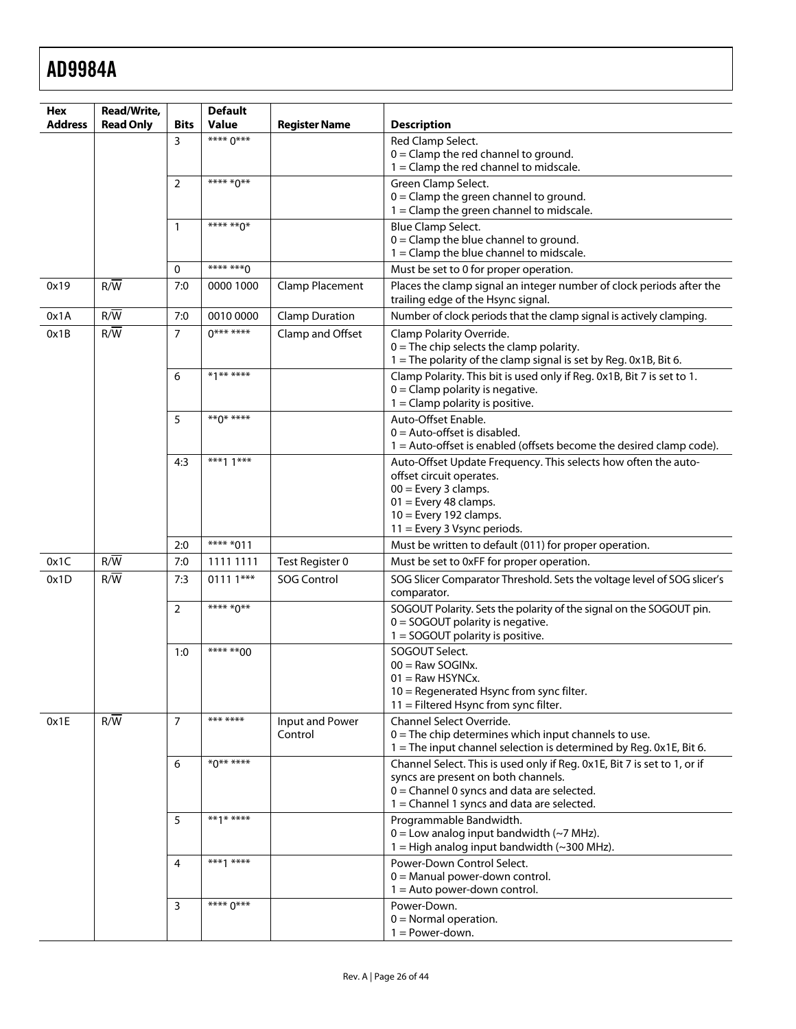| Hex            | Read/Write,      |                | <b>Default</b> |                        |                                                                                                                              |
|----------------|------------------|----------------|----------------|------------------------|------------------------------------------------------------------------------------------------------------------------------|
| <b>Address</b> | <b>Read Only</b> | <b>Bits</b>    | <b>Value</b>   | <b>Register Name</b>   | <b>Description</b>                                                                                                           |
|                |                  | 3              | **** 0***      |                        | Red Clamp Select.<br>$0 =$ Clamp the red channel to ground.                                                                  |
|                |                  |                |                |                        | $1 =$ Clamp the red channel to midscale.                                                                                     |
|                |                  | $\overline{2}$ | **** *0**      |                        | Green Clamp Select.                                                                                                          |
|                |                  |                |                |                        | $0 =$ Clamp the green channel to ground.<br>$1 =$ Clamp the green channel to midscale.                                       |
|                |                  | 1              | **** ** 0*     |                        | Blue Clamp Select.                                                                                                           |
|                |                  |                |                |                        | $0 =$ Clamp the blue channel to ground.                                                                                      |
|                |                  | $\Omega$       | **** ***^      |                        | $1 =$ Clamp the blue channel to midscale.                                                                                    |
| 0x19           | R/W              | 7:0            | 0000 1000      | <b>Clamp Placement</b> | Must be set to 0 for proper operation.<br>Places the clamp signal an integer number of clock periods after the               |
|                |                  |                |                |                        | trailing edge of the Hsync signal.                                                                                           |
| 0x1A           | R/W              | 7:0            | 0010 0000      | <b>Clamp Duration</b>  | Number of clock periods that the clamp signal is actively clamping.                                                          |
| 0x1B           | $R/\overline{W}$ | $\overline{7}$ | $0******$      | Clamp and Offset       | Clamp Polarity Override.<br>$0$ = The chip selects the clamp polarity.                                                       |
|                |                  |                |                |                        | 1 = The polarity of the clamp signal is set by Reg. 0x1B, Bit 6.                                                             |
|                |                  | 6              | *1******       |                        | Clamp Polarity. This bit is used only if Reg. 0x1B, Bit 7 is set to 1.                                                       |
|                |                  |                |                |                        | $0 =$ Clamp polarity is negative.<br>$1 =$ Clamp polarity is positive.                                                       |
|                |                  | 5              | **0* ****      |                        | Auto-Offset Enable.                                                                                                          |
|                |                  |                |                |                        | $0 =$ Auto-offset is disabled.                                                                                               |
|                |                  |                |                |                        | 1 = Auto-offset is enabled (offsets become the desired clamp code).                                                          |
|                |                  | 4:3            | ***1 $1***$    |                        | Auto-Offset Update Frequency. This selects how often the auto-<br>offset circuit operates.                                   |
|                |                  |                |                |                        | $00 =$ Every 3 clamps.                                                                                                       |
|                |                  |                |                |                        | $01$ = Every 48 clamps.                                                                                                      |
|                |                  |                |                |                        | $10 =$ Every 192 clamps.<br>11 = Every 3 Vsync periods.                                                                      |
|                |                  | 2:0            | **** *011      |                        | Must be written to default (011) for proper operation.                                                                       |
| 0x1C           | R/W              | 7:0            | 1111 1111      | Test Register 0        | Must be set to 0xFF for proper operation.                                                                                    |
| 0x1D           | $R/\overline{W}$ | 7:3            | $01111***$     | <b>SOG Control</b>     | SOG Slicer Comparator Threshold. Sets the voltage level of SOG slicer's<br>comparator.                                       |
|                |                  | $\overline{2}$ | **** *0**      |                        | SOGOUT Polarity. Sets the polarity of the signal on the SOGOUT pin.                                                          |
|                |                  |                |                |                        | $0 =$ SOGOUT polarity is negative.<br>$1 =$ SOGOUT polarity is positive.                                                     |
|                |                  | 1:0            | **** ** 00     |                        | SOGOUT Select.                                                                                                               |
|                |                  |                |                |                        | $00 =$ Raw SOGINx.                                                                                                           |
|                |                  |                |                |                        | $01 =$ Raw HSYNCx.<br>10 = Regenerated Hsync from sync filter.                                                               |
|                |                  |                |                |                        | 11 = Filtered Hsync from sync filter.                                                                                        |
| 0x1E           | R/W              | $\overline{7}$ | *** ****       | Input and Power        | Channel Select Override.                                                                                                     |
|                |                  |                |                | Control                | $0 =$ The chip determines which input channels to use.<br>1 = The input channel selection is determined by Reg. 0x1E, Bit 6. |
|                |                  | 6              | ********       |                        | Channel Select. This is used only if Reg. 0x1E, Bit 7 is set to 1, or if                                                     |
|                |                  |                |                |                        | syncs are present on both channels.                                                                                          |
|                |                  |                |                |                        | $0 =$ Channel 0 syncs and data are selected.<br>$1 =$ Channel 1 syncs and data are selected.                                 |
|                |                  | 5              | $***1***$      |                        | Programmable Bandwidth.                                                                                                      |
|                |                  |                |                |                        | $0 =$ Low analog input bandwidth (~7 MHz).                                                                                   |
|                |                  |                | $***1***$      |                        | $1 =$ High analog input bandwidth (~300 MHz).                                                                                |
|                |                  | 4              |                |                        | Power-Down Control Select.<br>$0 =$ Manual power-down control.                                                               |
|                |                  |                |                |                        | $1 =$ Auto power-down control.                                                                                               |
|                |                  | 3              | **** 0***      |                        | Power-Down.                                                                                                                  |
|                |                  |                |                |                        | $0 =$ Normal operation.<br>$1 = Power-down.$                                                                                 |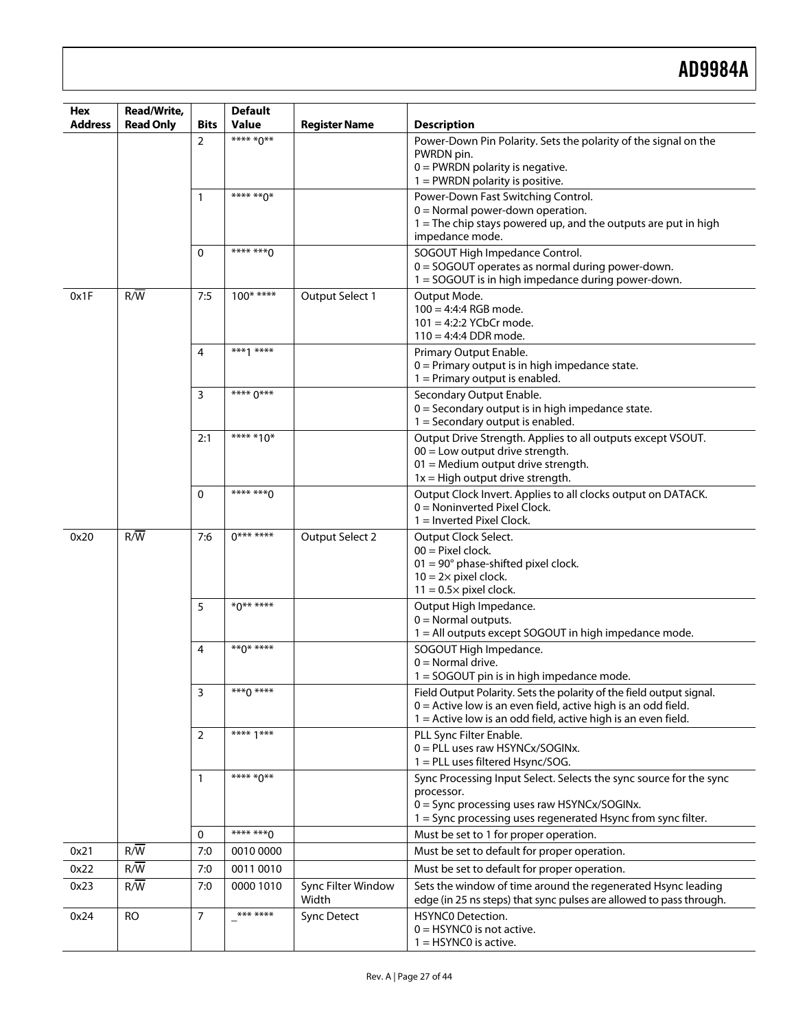| Hex<br><b>Address</b> | Read/Write,      | <b>Bits</b>    | <b>Default</b><br>Value  |                             | <b>Description</b>                                                                                                                  |
|-----------------------|------------------|----------------|--------------------------|-----------------------------|-------------------------------------------------------------------------------------------------------------------------------------|
|                       | <b>Read Only</b> | $\overline{2}$ | **** *0**                | <b>Register Name</b>        | Power-Down Pin Polarity. Sets the polarity of the signal on the                                                                     |
|                       |                  |                |                          |                             | PWRDN pin.                                                                                                                          |
|                       |                  |                |                          |                             | $0 =$ PWRDN polarity is negative.                                                                                                   |
|                       |                  |                |                          |                             | $1 =$ PWRDN polarity is positive.                                                                                                   |
|                       |                  | 1              | $\overline{***}$ **** 0* |                             | Power-Down Fast Switching Control.                                                                                                  |
|                       |                  |                |                          |                             | $0 =$ Normal power-down operation.<br>$1 =$ The chip stays powered up, and the outputs are put in high                              |
|                       |                  |                |                          |                             | impedance mode.                                                                                                                     |
|                       |                  | $\Omega$       | $*******0$               |                             | SOGOUT High Impedance Control.                                                                                                      |
|                       |                  |                |                          |                             | 0 = SOGOUT operates as normal during power-down.                                                                                    |
| 0x1F                  | $R/\overline{W}$ | 7:5            | $100$ * ****             |                             | 1 = SOGOUT is in high impedance during power-down.                                                                                  |
|                       |                  |                |                          | Output Select 1             | Output Mode.<br>$100 = 4:4:4$ RGB mode.                                                                                             |
|                       |                  |                |                          |                             | $101 = 4:2:2$ YCbCr mode.                                                                                                           |
|                       |                  |                |                          |                             | $110 = 4:4:4$ DDR mode.                                                                                                             |
|                       |                  | 4              | $***1***$                |                             | Primary Output Enable.                                                                                                              |
|                       |                  |                |                          |                             | $0 =$ Primary output is in high impedance state.<br>$1$ = Primary output is enabled.                                                |
|                       |                  | 3              | **** 0***                |                             | Secondary Output Enable.                                                                                                            |
|                       |                  |                |                          |                             | $0 =$ Secondary output is in high impedance state.                                                                                  |
|                       |                  |                |                          |                             | $1 =$ Secondary output is enabled.                                                                                                  |
|                       |                  | 2:1            | **** *10*                |                             | Output Drive Strength. Applies to all outputs except VSOUT.<br>$00 =$ Low output drive strength.                                    |
|                       |                  |                |                          |                             | $01$ = Medium output drive strength.                                                                                                |
|                       |                  |                |                          |                             | $1x = High output drive strength.$                                                                                                  |
|                       |                  | $\Omega$       | **** ***^                |                             | Output Clock Invert. Applies to all clocks output on DATACK.                                                                        |
|                       |                  |                |                          |                             | $0 =$ Noninverted Pixel Clock.<br>$1 =$ Inverted Pixel Clock.                                                                       |
| 0x20                  | $R/\overline{W}$ | 7:6            | $0******$                | Output Select 2             | Output Clock Select.                                                                                                                |
|                       |                  |                |                          |                             | $00 =$ Pixel clock.                                                                                                                 |
|                       |                  |                |                          |                             | $01 = 90^\circ$ phase-shifted pixel clock.                                                                                          |
|                       |                  |                |                          |                             | $10 = 2 \times$ pixel clock.<br>$11 = 0.5 \times$ pixel clock.                                                                      |
|                       |                  | 5              | $*0******$               |                             | Output High Impedance.                                                                                                              |
|                       |                  |                |                          |                             | $0 =$ Normal outputs.                                                                                                               |
|                       |                  |                |                          |                             |                                                                                                                                     |
|                       |                  |                |                          |                             | 1 = All outputs except SOGOUT in high impedance mode.                                                                               |
|                       |                  | 4              | $***0***$                |                             | SOGOUT High Impedance.                                                                                                              |
|                       |                  |                |                          |                             | $0 =$ Normal drive.                                                                                                                 |
|                       |                  | 3              | $***0***$                |                             | 1 = SOGOUT pin is in high impedance mode.<br>Field Output Polarity. Sets the polarity of the field output signal.                   |
|                       |                  |                |                          |                             | $0 =$ Active low is an even field, active high is an odd field.                                                                     |
|                       |                  |                |                          |                             | $1 =$ Active low is an odd field, active high is an even field.                                                                     |
|                       |                  | 2              | **** 1***                |                             | PLL Sync Filter Enable.                                                                                                             |
|                       |                  |                |                          |                             | 0 = PLL uses raw HSYNCx/SOGINx.                                                                                                     |
|                       |                  | $\mathbf{1}$   | **** *0**                |                             | 1 = PLL uses filtered Hsync/SOG.<br>Sync Processing Input Select. Selects the sync source for the sync                              |
|                       |                  |                |                          |                             | processor.                                                                                                                          |
|                       |                  |                |                          |                             | 0 = Sync processing uses raw HSYNCx/SOGINx.                                                                                         |
|                       |                  |                | **** *** 0               |                             | 1 = Sync processing uses regenerated Hsync from sync filter.                                                                        |
|                       |                  | 0<br>7:0       | 0010 0000                |                             | Must be set to 1 for proper operation.                                                                                              |
| 0x21<br>0x22          | $R/\overline{W}$ | 7:0            | 0011 0010                |                             | Must be set to default for proper operation.                                                                                        |
|                       | R/W              | 7:0            |                          |                             | Must be set to default for proper operation.                                                                                        |
| 0x23                  | $R/\overline{W}$ |                | 0000 1010                | Sync Filter Window<br>Width | Sets the window of time around the regenerated Hsync leading<br>edge (in 25 ns steps) that sync pulses are allowed to pass through. |
| 0x24                  | <b>RO</b>        | 7              | *** ****                 | <b>Sync Detect</b>          | <b>HSYNCO Detection.</b><br>$0 =$ HSYNC0 is not active.                                                                             |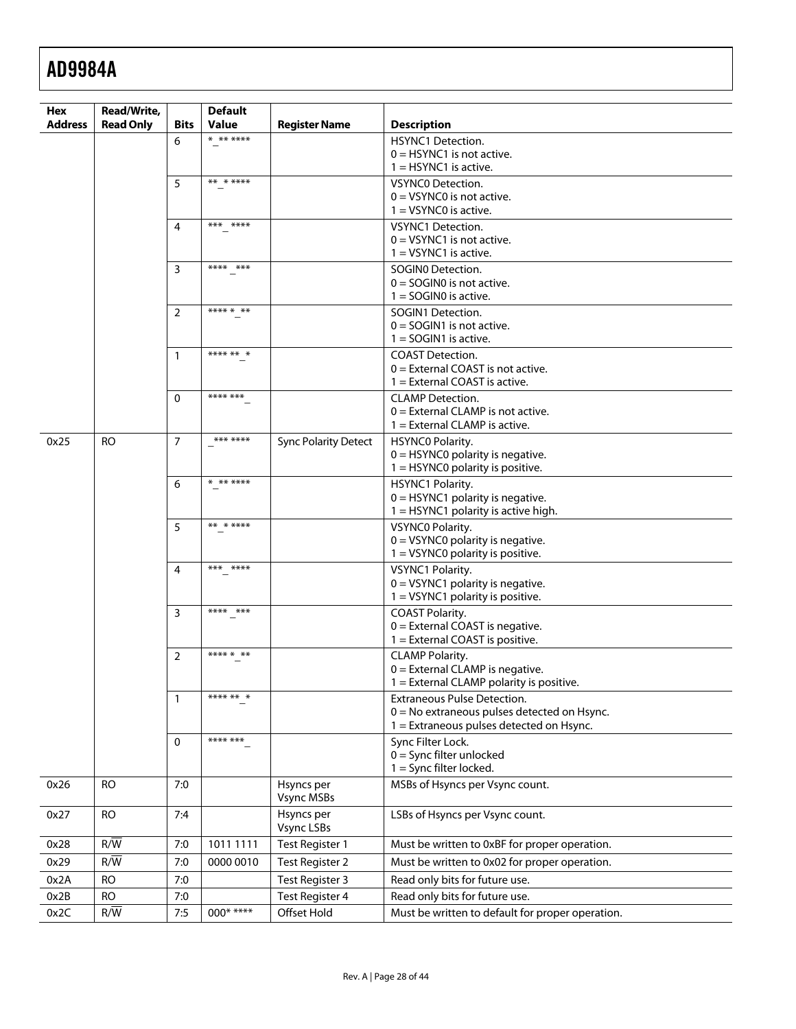| Hex            | <b>Read/Write,</b> |                | <b>Default</b> |                                 |                                                                                     |
|----------------|--------------------|----------------|----------------|---------------------------------|-------------------------------------------------------------------------------------|
| <b>Address</b> | <b>Read Only</b>   | Bits           | <b>Value</b>   | <b>Register Name</b>            | <b>Description</b>                                                                  |
|                |                    | 6              | * ** ****      |                                 | <b>HSYNC1 Detection.</b>                                                            |
|                |                    |                |                |                                 | $0 =$ HSYNC1 is not active.<br>$1 =$ HSYNC1 is active.                              |
|                |                    | 5              | ** * ****      |                                 | <b>VSYNCO Detection.</b>                                                            |
|                |                    |                |                |                                 | $0 = VSYNCO$ is not active.                                                         |
|                |                    |                |                |                                 | $1 = VSYNCO$ is active.                                                             |
|                |                    | 4              | *** ****       |                                 | VSYNC1 Detection.                                                                   |
|                |                    |                |                |                                 | $0 = VSYNC1$ is not active.<br>$1 = VSYNC1$ is active.                              |
|                |                    | 3              | **** ***       |                                 | SOGINO Detection.                                                                   |
|                |                    |                |                |                                 | $0 =$ SOGINO is not active.                                                         |
|                |                    |                |                |                                 | $1 =$ SOGINO is active.                                                             |
|                |                    | $\overline{2}$ | **** * **      |                                 | SOGIN1 Detection.                                                                   |
|                |                    |                |                |                                 | $0 =$ SOGIN1 is not active.<br>$1 =$ SOGIN1 is active.                              |
|                |                    | 1              | **** ** *      |                                 | <b>COAST Detection.</b>                                                             |
|                |                    |                |                |                                 | $0 =$ External COAST is not active.                                                 |
|                |                    |                |                |                                 | $1 =$ External COAST is active.                                                     |
|                |                    | 0              | **** ***       |                                 | <b>CLAMP</b> Detection.<br>$0 =$ External CLAMP is not active.                      |
|                |                    |                |                |                                 | $1 =$ External CLAMP is active.                                                     |
| 0x25           | <b>RO</b>          | $\overline{7}$ | *** ****       | <b>Sync Polarity Detect</b>     | HSYNC0 Polarity.                                                                    |
|                |                    |                |                |                                 | $0 =$ HSYNC0 polarity is negative.                                                  |
|                |                    |                | * ** ****      |                                 | $1 =$ HSYNC0 polarity is positive.                                                  |
|                |                    | 6              |                |                                 | HSYNC1 Polarity.<br>$0 =$ HSYNC1 polarity is negative.                              |
|                |                    |                |                |                                 | 1 = HSYNC1 polarity is active high.                                                 |
|                |                    | 5              | ** * ****      |                                 | VSYNC0 Polarity.                                                                    |
|                |                    |                |                |                                 | $0 = VSYNCO$ polarity is negative.<br>$1 = VSYNCO$ polarity is positive.            |
|                |                    | 4              | *** ****       |                                 | VSYNC1 Polarity.                                                                    |
|                |                    |                |                |                                 | $0 = VSYNC1$ polarity is negative.                                                  |
|                |                    |                |                |                                 | $1 = VSYNC1$ polarity is positive.                                                  |
|                |                    | $\overline{3}$ | **** ***       |                                 | <b>COAST Polarity.</b>                                                              |
|                |                    |                |                |                                 | $0 =$ External COAST is negative.<br>1 = External COAST is positive.                |
|                |                    | $\overline{2}$ | **** * **      |                                 | <b>CLAMP Polarity.</b>                                                              |
|                |                    |                |                |                                 | $0 =$ External CLAMP is negative.                                                   |
|                |                    |                |                |                                 | 1 = External CLAMP polarity is positive.                                            |
|                |                    | 1              | **** ** *      |                                 | <b>Extraneous Pulse Detection.</b><br>$0 = No$ extraneous pulses detected on Hsync. |
|                |                    |                |                |                                 | 1 = Extraneous pulses detected on Hsync.                                            |
|                |                    | $\Omega$       | **** ***       |                                 | Sync Filter Lock.                                                                   |
|                |                    |                |                |                                 | $0 =$ Sync filter unlocked                                                          |
|                |                    |                |                |                                 | $1 =$ Sync filter locked.                                                           |
| 0x26           | <b>RO</b>          | 7:0            |                | Hsyncs per<br><b>Vsync MSBs</b> | MSBs of Hsyncs per Vsync count.                                                     |
| 0x27           | <b>RO</b>          | 7:4            |                | Hsyncs per                      | LSBs of Hsyncs per Vsync count.                                                     |
|                |                    |                |                | Vsync LSBs                      |                                                                                     |
| 0x28           | $R/\overline{W}$   | 7:0            | 1011 1111      | Test Register 1                 | Must be written to 0xBF for proper operation.                                       |
| 0x29           | $R/\overline{W}$   | 7:0            | 0000 0010      | <b>Test Register 2</b>          | Must be written to 0x02 for proper operation.                                       |
| 0x2A           | <b>RO</b>          | 7:0            |                | Test Register 3                 | Read only bits for future use.                                                      |
| 0x2B           | <b>RO</b>          | 7:0            |                | <b>Test Register 4</b>          | Read only bits for future use.                                                      |
| 0x2C           | R/W                | 7:5            | $000****$      | Offset Hold                     | Must be written to default for proper operation.                                    |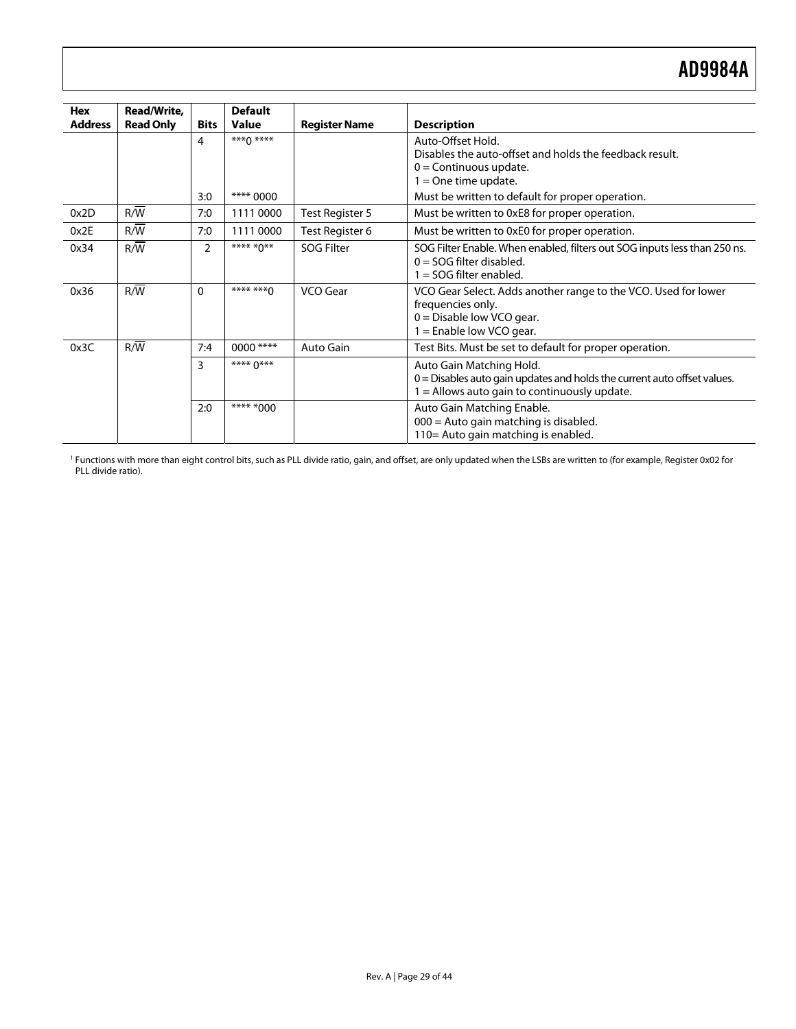<span id="page-28-0"></span>

| Hex<br><b>Address</b> | Read/Write,<br><b>Read Only</b> | <b>Bits</b>    | <b>Default</b><br><b>Value</b> | <b>Register Name</b> | <b>Description</b>                                                                                                                                       |
|-----------------------|---------------------------------|----------------|--------------------------------|----------------------|----------------------------------------------------------------------------------------------------------------------------------------------------------|
|                       |                                 | $\overline{4}$ | $***0***$                      |                      | Auto-Offset Hold.<br>Disables the auto-offset and holds the feedback result.<br>$0 =$ Continuous update.<br>$1 =$ One time update.                       |
| 0x2D                  | R/W                             | 3:0<br>7:0     | **** 0000<br>1111 0000         | Test Register 5      | Must be written to default for proper operation.<br>Must be written to 0xE8 for proper operation.                                                        |
| 0x2E                  | R/W                             | 7:0            | 1111 0000                      | Test Register 6      | Must be written to 0xE0 for proper operation.                                                                                                            |
| 0x34                  | R/W                             | 2              | **** *0**                      | <b>SOG Filter</b>    | SOG Filter Enable. When enabled, filters out SOG inputs less than 250 ns.<br>$0 =$ SOG filter disabled.<br>$1 =$ SOG filter enabled.                     |
| 0x36                  | R/W                             | $\Omega$       | **** ***^                      | VCO Gear             | VCO Gear Select. Adds another range to the VCO. Used for lower<br>frequencies only.<br>$0 =$ Disable low VCO gear.<br>$1 =$ Enable low VCO gear.         |
| 0x3C                  | R/W                             | 7:4            | 0000 ****                      | Auto Gain            | Test Bits. Must be set to default for proper operation.                                                                                                  |
|                       |                                 | 3              | **** 0***                      |                      | Auto Gain Matching Hold.<br>$0 =$ Disables auto gain updates and holds the current auto offset values.<br>$1 =$ Allows auto gain to continuously update. |
|                       |                                 | 2:0            | **** *000                      |                      | Auto Gain Matching Enable.<br>000 = Auto gain matching is disabled.<br>110 = Auto gain matching is enabled.                                              |

<sup>1</sup> Functions with more than eight control bits, such as PLL divide ratio, gain, and offset, are only updated when the LSBs are written to (for example, Register 0x02 for PLL divide ratio).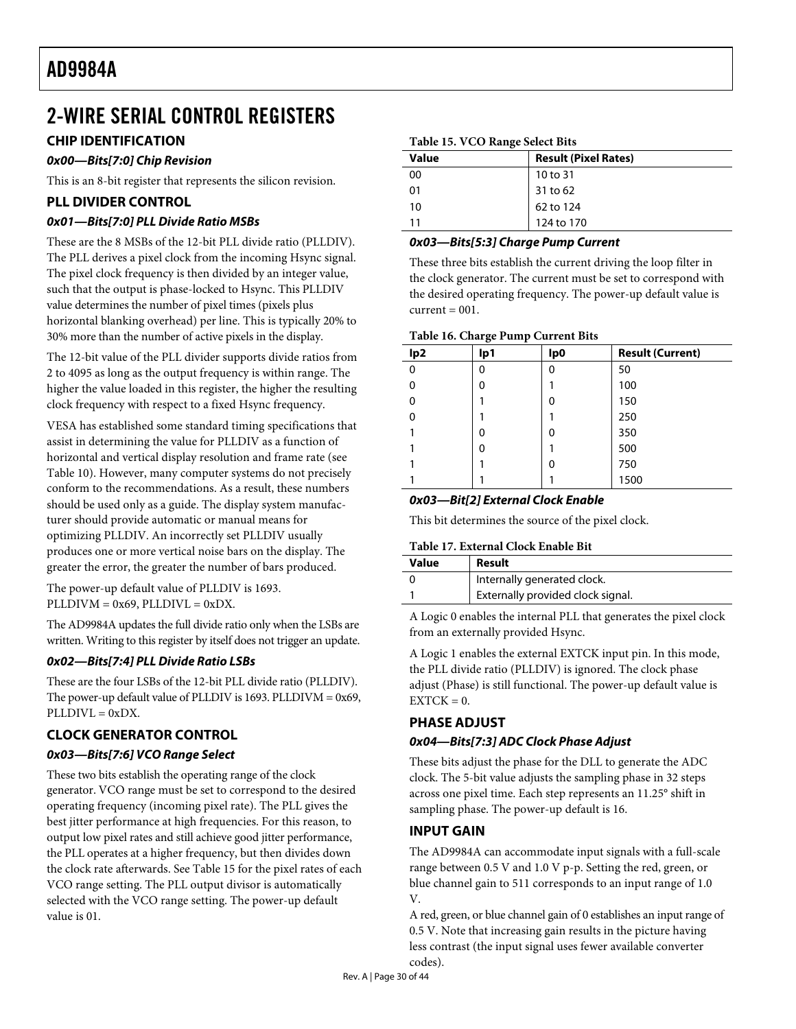# <span id="page-29-0"></span>2-WIRE SERIAL CONTROL REGISTERS

# <span id="page-29-1"></span>**CHIP IDENTIFICATION**

# **0x00—Bits[7:0] Chip Revision**

This is an 8-bit register that represents the silicon revision.

# **PLL DIVIDER CONTROL**

# **0x01—Bits[7:0] PLL Divide Ratio MSBs**

These are the 8 MSBs of the 12-bit PLL divide ratio (PLLDIV). The PLL derives a pixel clock from the incoming Hsync signal. The pixel clock frequency is then divided by an integer value, such that the output is phase-locked to Hsync. This PLLDIV value determines the number of pixel times (pixels plus horizontal blanking overhead) per line. This is typically 20% to 30% more than the number of active pixels in the display.

The 12-bit value of the PLL divider supports divide ratios from 2 to 4095 as long as the output frequency is within range. The higher the value loaded in this register, the higher the resulting clock frequency with respect to a fixed Hsync frequency.

VESA has established some standard timing specifications that assist in determining the value for PLLDIV as a function of horizontal and vertical display resolution and frame rate (see [Table 10](#page-14-0)). However, many computer systems do not precisely conform to the recommendations. As a result, these numbers should be used only as a guide. The display system manufacturer should provide automatic or manual means for optimizing PLLDIV. An incorrectly set PLLDIV usually produces one or more vertical noise bars on the display. The greater the error, the greater the number of bars produced.

The power-up default value of PLLDIV is 1693.  $PLLDIVM = 0x69, PLLDIVL = 0xDX.$ 

The AD9984A updates the full divide ratio only when the LSBs are written. Writing to this register by itself does not trigger an update.

# **0x02—Bits[7:4] PLL Divide Ratio LSBs**

These are the four LSBs of the 12-bit PLL divide ratio (PLLDIV). The power-up default value of PLLDIV is 1693. PLLDIVM =  $0x69$ ,  $PLLDIVL = 0xDX$ .

# **CLOCK GENERATOR CONTROL**

# **0x03—Bits[7:6] VCO Range Select**

These two bits establish the operating range of the clock generator. VCO range must be set to correspond to the desired operating frequency (incoming pixel rate). The PLL gives the best jitter performance at high frequencies. For this reason, to output low pixel rates and still achieve good jitter performance, the PLL operates at a higher frequency, but then divides down the clock rate afterwards. See [Table 15](#page-29-1) for the pixel rates of each VCO range setting. The PLL output divisor is automatically selected with the VCO range setting. The power-up default value is 01.

#### **Table 15. VCO Range Select Bits**

| <b>Value</b> | <b>Result (Pixel Rates)</b> |
|--------------|-----------------------------|
| 00           | 10 to 31                    |
| 01           | 31 to 62                    |
| 10           | 62 to 124                   |
| 11           | 124 to 170                  |

# **0x03—Bits[5:3] Charge Pump Current**

These three bits establish the current driving the loop filter in the clock generator. The current must be set to correspond with the desired operating frequency. The power-up default value is  $current = 001$ .

#### **Table 16. Charge Pump Current Bits**

|                 | $\tilde{\phantom{a}}$<br>- |     |                         |
|-----------------|----------------------------|-----|-------------------------|
| lp <sub>2</sub> | lp1                        | lp0 | <b>Result (Current)</b> |
| $\Omega$        | 0                          | 0   | 50                      |
| 0               | O                          |     | 100                     |
| 0               |                            | 0   | 150                     |
| 0               |                            |     | 250                     |
|                 | O                          | 0   | 350                     |
|                 | 0                          |     | 500                     |
|                 |                            | 0   | 750                     |
|                 |                            |     | 1500                    |
|                 |                            |     |                         |

## **0x03—Bit[2] External Clock Enable**

This bit determines the source of the pixel clock.

#### **Table 17. External Clock Enable Bit**

| Value | Result                            |
|-------|-----------------------------------|
|       | Internally generated clock.       |
|       | Externally provided clock signal. |

A Logic 0 enables the internal PLL that generates the pixel clock from an externally provided Hsync.

A Logic 1 enables the external EXTCK input pin. In this mode, the PLL divide ratio (PLLDIV) is ignored. The clock phase adjust (Phase) is still functional. The power-up default value is  $EXTCK = 0.$ 

# **PHASE ADJUST**

## **0x04—Bits[7:3] ADC Clock Phase Adjust**

These bits adjust the phase for the DLL to generate the ADC clock. The 5-bit value adjusts the sampling phase in 32 steps across one pixel time. Each step represents an 11.25° shift in sampling phase. The power-up default is 16.

# **INPUT GAIN**

The AD9984A can accommodate input signals with a full-scale range between 0.5 V and 1.0 V p-p. Setting the red, green, or blue channel gain to 511 corresponds to an input range of 1.0 V.

A red, green, or blue channel gain of 0 establishes an input range of 0.5 V. Note that increasing gain results in the picture having less contrast (the input signal uses fewer available converter codes).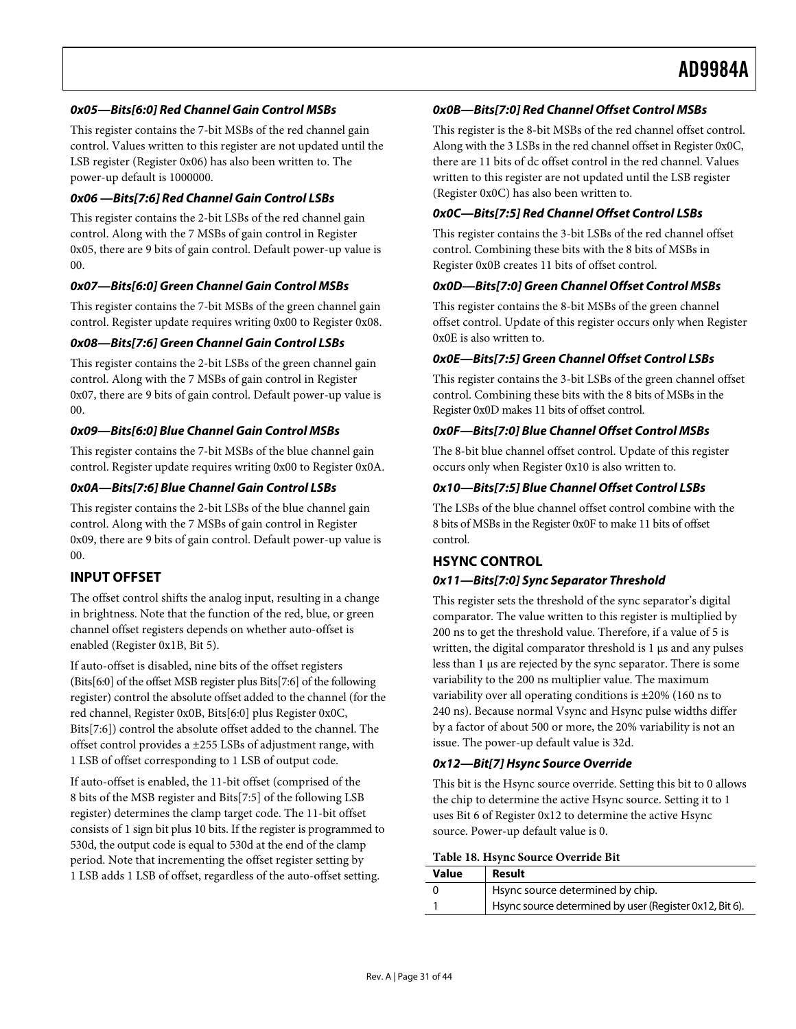# <span id="page-30-0"></span>**0x05—Bits[6:0] Red Channel Gain Control MSBs**

This register contains the 7-bit MSBs of the red channel gain control. Values written to this register are not updated until the LSB register (Register 0x06) has also been written to. The power-up default is 1000000.

## **0x06 —Bits[7:6] Red Channel Gain Control LSBs**

This register contains the 2-bit LSBs of the red channel gain control. Along with the 7 MSBs of gain control in Register 0x05, there are 9 bits of gain control. Default power-up value is 00.

## **0x07—Bits[6:0] Green Channel Gain Control MSBs**

This register contains the 7-bit MSBs of the green channel gain control. Register update requires writing 0x00 to Register 0x08.

# **0x08—Bits[7:6] Green Channel Gain Control LSBs**

This register contains the 2-bit LSBs of the green channel gain control. Along with the 7 MSBs of gain control in Register 0x07, there are 9 bits of gain control. Default power-up value is 00.

#### **0x09—Bits[6:0] Blue Channel Gain Control MSBs**

This register contains the 7-bit MSBs of the blue channel gain control. Register update requires writing 0x00 to Register 0x0A.

## **0x0A—Bits[7:6] Blue Channel Gain Control LSBs**

This register contains the 2-bit LSBs of the blue channel gain control. Along with the 7 MSBs of gain control in Register 0x09, there are 9 bits of gain control. Default power-up value is 00.

# **INPUT OFFSET**

The offset control shifts the analog input, resulting in a change in brightness. Note that the function of the red, blue, or green channel offset registers depends on whether auto-offset is enabled (Register 0x1B, Bit 5).

If auto-offset is disabled, nine bits of the offset registers (Bits[6:0] of the offset MSB register plus Bits[7:6] of the following register) control the absolute offset added to the channel (for the red channel, Register 0x0B, Bits[6:0] plus Register 0x0C, Bits[7:6]) control the absolute offset added to the channel. The offset control provides a ±255 LSBs of adjustment range, with 1 LSB of offset corresponding to 1 LSB of output code.

If auto-offset is enabled, the 11-bit offset (comprised of the 8 bits of the MSB register and Bits[7:5] of the following LSB register) determines the clamp target code. The 11-bit offset consists of 1 sign bit plus 10 bits. If the register is programmed to 530d, the output code is equal to 530d at the end of the clamp period. Note that incrementing the offset register setting by 1 LSB adds 1 LSB of offset, regardless of the auto-offset setting.

# **0x0B—Bits[7:0] Red Channel Offset Control MSBs**

This register is the 8-bit MSBs of the red channel offset control. Along with the 3 LSBs in the red channel offset in Register 0x0C, there are 11 bits of dc offset control in the red channel. Values written to this register are not updated until the LSB register (Register 0x0C) has also been written to.

## **0x0C—Bits[7:5] Red Channel Offset Control LSBs**

This register contains the 3-bit LSBs of the red channel offset control. Combining these bits with the 8 bits of MSBs in Register 0x0B creates 11 bits of offset control.

#### **0x0D—Bits[7:0] Green Channel Offset Control MSBs**

This register contains the 8-bit MSBs of the green channel offset control. Update of this register occurs only when Register 0x0E is also written to.

#### **0x0E—Bits[7:5] Green Channel Offset Control LSBs**

This register contains the 3-bit LSBs of the green channel offset control. Combining these bits with the 8 bits of MSBs in the Register 0x0D makes 11 bits of offset control.

#### **0x0F—Bits[7:0] Blue Channel Offset Control MSBs**

The 8-bit blue channel offset control. Update of this register occurs only when Register 0x10 is also written to.

## **0x10—Bits[7:5] Blue Channel Offset Control LSBs**

The LSBs of the blue channel offset control combine with the 8 bits of MSBs in the Register 0x0F to make 11 bits of offset control.

# **HSYNC CONTROL**

# **0x11—Bits[7:0] Sync Separator Threshold**

This register sets the threshold of the sync separator's digital comparator. The value written to this register is multiplied by 200 ns to get the threshold value. Therefore, if a value of 5 is written, the digital comparator threshold is 1 μs and any pulses less than 1 μs are rejected by the sync separator. There is some variability to the 200 ns multiplier value. The maximum variability over all operating conditions is ±20% (160 ns to 240 ns). Because normal Vsync and Hsync pulse widths differ by a factor of about 500 or more, the 20% variability is not an issue. The power-up default value is 32d.

## **0x12—Bit[7] Hsync Source Override**

This bit is the Hsync source override. Setting this bit to 0 allows the chip to determine the active Hsync source. Setting it to 1 uses Bit 6 of Register 0x12 to determine the active Hsync source. Power-up default value is 0.

#### **Table 18. Hsync Source Override Bit**

| Value | Result                                                  |
|-------|---------------------------------------------------------|
|       | Hsync source determined by chip.                        |
|       | Hsync source determined by user (Register 0x12, Bit 6). |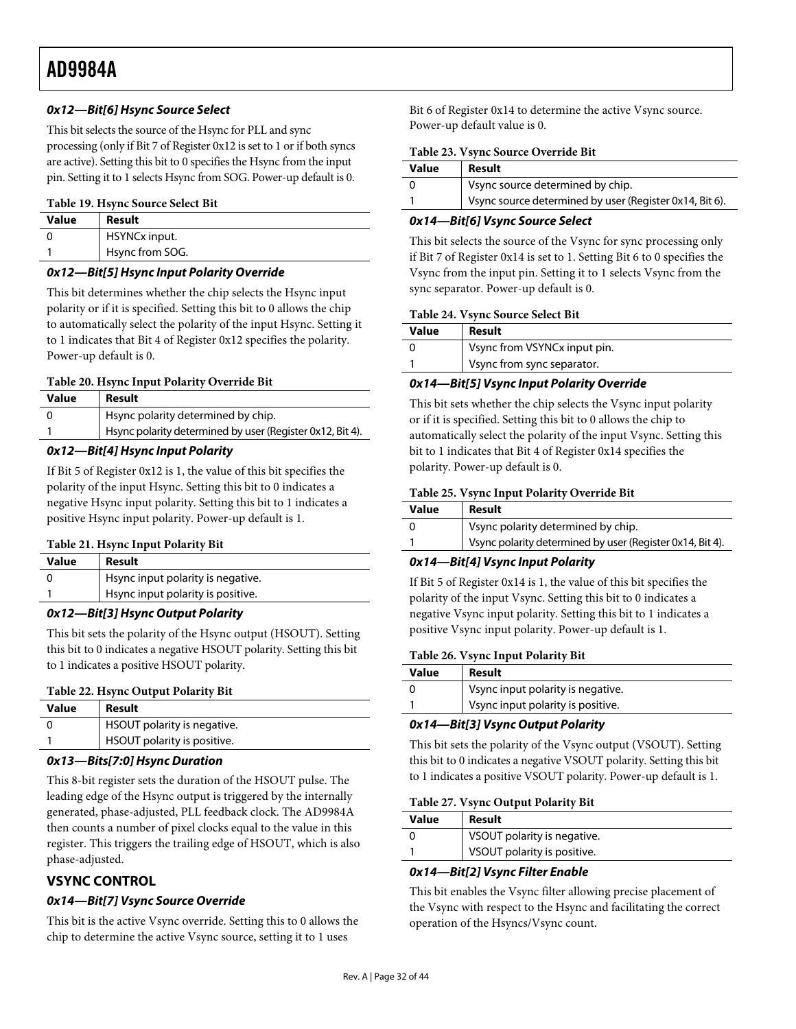# <span id="page-31-0"></span>**0x12—Bit[6] Hsync Source Select**

This bit selects the source of the Hsync for PLL and sync processing (only if Bit 7 of Register 0x12 is set to 1 or if both syncs are active). Setting this bit to 0 specifies the Hsync from the input pin. Setting it to 1 selects Hsync from SOG. Power-up default is 0.

#### **Table 19. Hsync Source Select Bit**

| <b>Value</b> | Result          |
|--------------|-----------------|
|              | HSYNCx input.   |
|              | Hsync from SOG. |

#### **0x12—Bit[5] Hsync Input Polarity Override**

This bit determines whether the chip selects the Hsync input polarity or if it is specified. Setting this bit to 0 allows the chip to automatically select the polarity of the input Hsync. Setting it to 1 indicates that Bit 4 of Register 0x12 specifies the polarity. Power-up default is 0.

#### **Table 20. Hsync Input Polarity Override Bit**

| Value | Result                                                    |
|-------|-----------------------------------------------------------|
|       | Hsync polarity determined by chip.                        |
|       | Hsync polarity determined by user (Register 0x12, Bit 4). |
|       |                                                           |

#### **0x12—Bit[4] Hsync Input Polarity**

If Bit 5 of Register 0x12 is 1, the value of this bit specifies the polarity of the input Hsync. Setting this bit to 0 indicates a negative Hsync input polarity. Setting this bit to 1 indicates a positive Hsync input polarity. Power-up default is 1.

#### **Table 21. Hsync Input Polarity Bit**

| Value | Result                            |
|-------|-----------------------------------|
|       | Hsync input polarity is negative. |
|       | Hsync input polarity is positive. |

#### **0x12—Bit[3] Hsync Output Polarity**

This bit sets the polarity of the Hsync output (HSOUT). Setting this bit to 0 indicates a negative HSOUT polarity. Setting this bit to 1 indicates a positive HSOUT polarity.

#### **Table 22. Hsync Output Polarity Bit**

| Value | Result                      |
|-------|-----------------------------|
|       | HSOUT polarity is negative. |
|       | HSOUT polarity is positive. |

#### **0x13—Bits[7:0] Hsync Duration**

This 8-bit register sets the duration of the HSOUT pulse. The leading edge of the Hsync output is triggered by the internally generated, phase-adjusted, PLL feedback clock. The AD9984A then counts a number of pixel clocks equal to the value in this register. This triggers the trailing edge of HSOUT, which is also phase-adjusted.

## **VSYNC CONTROL**

## **0x14—Bit[7] Vsync Source Override**

This bit is the active Vsync override. Setting this to 0 allows the chip to determine the active Vsync source, setting it to 1 uses

Bit 6 of Register 0x14 to determine the active Vsync source. Power-up default value is 0.

#### **Table 23. Vsync Source Override Bit**

| <b>Value</b> | Result                                                  |
|--------------|---------------------------------------------------------|
|              | Vsync source determined by chip.                        |
|              | Vsync source determined by user (Register 0x14, Bit 6). |

# **0x14—Bit[6] Vsync Source Select**

This bit selects the source of the Vsync for sync processing only if Bit 7 of Register 0x14 is set to 1. Setting Bit 6 to 0 specifies the Vsync from the input pin. Setting it to 1 selects Vsync from the sync separator. Power-up default is 0.

#### **Table 24. Vsync Source Select Bit**

| Value | Result                       |
|-------|------------------------------|
|       | Vsync from VSYNCx input pin. |
|       | Vsync from sync separator.   |

#### **0x14—Bit[5] Vsync Input Polarity Override**

This bit sets whether the chip selects the Vsync input polarity or if it is specified. Setting this bit to 0 allows the chip to automatically select the polarity of the input Vsync. Setting this bit to 1 indicates that Bit 4 of Register 0x14 specifies the polarity. Power-up default is 0.

#### **Table 25. Vsync Input Polarity Override Bit**

| <b>Value</b> | Result                                                    |
|--------------|-----------------------------------------------------------|
|              | Vsync polarity determined by chip.                        |
|              | Vsync polarity determined by user (Register 0x14, Bit 4). |

## **0x14—Bit[4] Vsync Input Polarity**

If Bit 5 of Register 0x14 is 1, the value of this bit specifies the polarity of the input Vsync. Setting this bit to 0 indicates a negative Vsync input polarity. Setting this bit to 1 indicates a positive Vsync input polarity. Power-up default is 1.

#### **Table 26. Vsync Input Polarity Bit**

| <b>Value</b> | Result                            |
|--------------|-----------------------------------|
|              | Vsync input polarity is negative. |
|              | Vsync input polarity is positive. |

## **0x14—Bit[3] Vsync Output Polarity**

This bit sets the polarity of the Vsync output (VSOUT). Setting this bit to 0 indicates a negative VSOUT polarity. Setting this bit to 1 indicates a positive VSOUT polarity. Power-up default is 1.

#### **Table 27. Vsync Output Polarity Bit**

| Value | Result                      |
|-------|-----------------------------|
|       | VSOUT polarity is negative. |
|       | VSOUT polarity is positive. |
|       |                             |

#### **0x14—Bit[2] Vsync Filter Enable**

This bit enables the Vsync filter allowing precise placement of the Vsync with respect to the Hsync and facilitating the correct operation of the Hsyncs/Vsync count.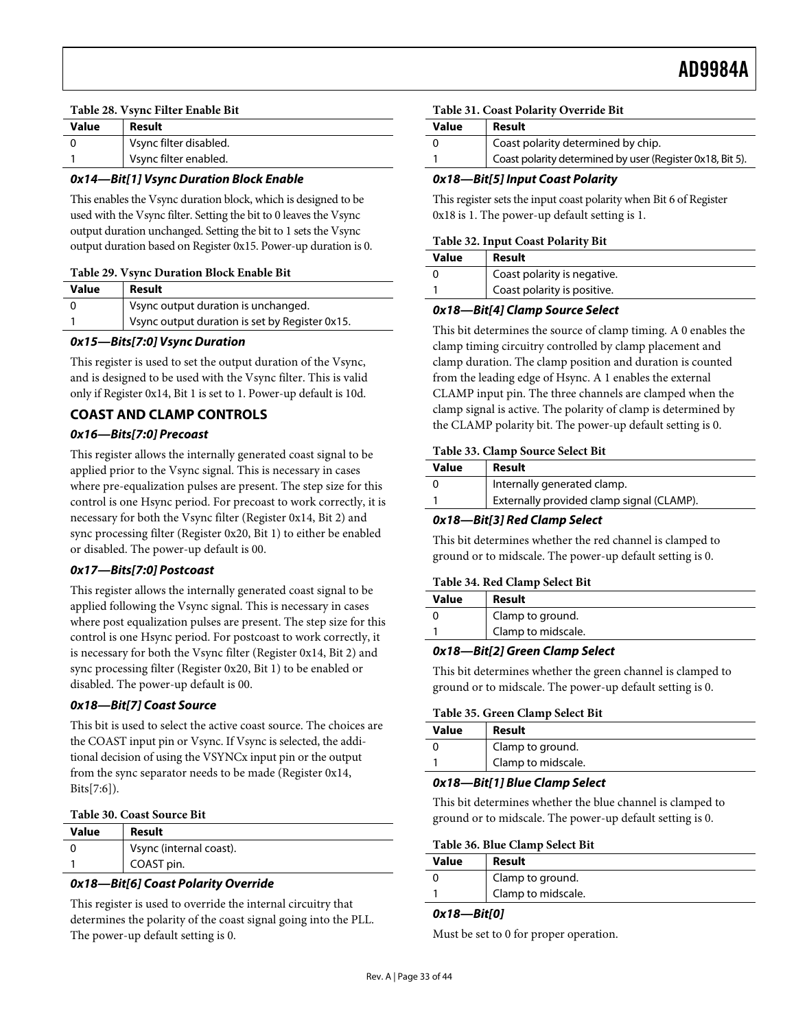#### <span id="page-32-0"></span>**Table 28. Vsync Filter Enable Bit**

| <b>Value</b> | Result                 |
|--------------|------------------------|
|              | Vsync filter disabled. |
|              | Vsync filter enabled.  |

# **0x14—Bit[1] Vsync Duration Block Enable**

This enables the Vsync duration block, which is designed to be used with the Vsync filter. Setting the bit to 0 leaves the Vsync output duration unchanged. Setting the bit to 1 sets the Vsync output duration based on Register 0x15. Power-up duration is 0.

#### **Table 29. Vsync Duration Block Enable Bit**

| Value | Result                                         |
|-------|------------------------------------------------|
|       | Vsync output duration is unchanged.            |
|       | Vsync output duration is set by Register 0x15. |

## **0x15—Bits[7:0] Vsync Duration**

This register is used to set the output duration of the Vsync, and is designed to be used with the Vsync filter. This is valid only if Register 0x14, Bit 1 is set to 1. Power-up default is 10d.

# **COAST AND CLAMP CONTROLS**

#### **0x16—Bits[7:0] Precoast**

This register allows the internally generated coast signal to be applied prior to the Vsync signal. This is necessary in cases where pre-equalization pulses are present. The step size for this control is one Hsync period. For precoast to work correctly, it is necessary for both the Vsync filter (Register 0x14, Bit 2) and sync processing filter (Register 0x20, Bit 1) to either be enabled or disabled. The power-up default is 00.

## **0x17—Bits[7:0] Postcoast**

This register allows the internally generated coast signal to be applied following the Vsync signal. This is necessary in cases where post equalization pulses are present. The step size for this control is one Hsync period. For postcoast to work correctly, it is necessary for both the Vsync filter (Register 0x14, Bit 2) and sync processing filter (Register 0x20, Bit 1) to be enabled or disabled. The power-up default is 00.

## **0x18—Bit[7] Coast Source**

This bit is used to select the active coast source. The choices are the COAST input pin or Vsync. If Vsync is selected, the additional decision of using the VSYNCx input pin or the output from the sync separator needs to be made (Register 0x14, Bits[7:6]).

#### **Table 30. Coast Source Bit**

| Value | Result                  |
|-------|-------------------------|
|       | Vsync (internal coast). |
|       | COAST pin.              |

## **0x18—Bit[6] Coast Polarity Override**

This register is used to override the internal circuitry that determines the polarity of the coast signal going into the PLL. The power-up default setting is 0.

#### **Table 31. Coast Polarity Override Bit**

| Value | Result                                                    |
|-------|-----------------------------------------------------------|
|       | Coast polarity determined by chip.                        |
|       | Coast polarity determined by user (Register 0x18, Bit 5). |

#### **0x18—Bit[5] Input Coast Polarity**

This register sets the input coast polarity when Bit 6 of Register 0x18 is 1. The power-up default setting is 1.

#### **Table 32. Input Coast Polarity Bit**

| Value | Result                      |
|-------|-----------------------------|
|       | Coast polarity is negative. |
|       | Coast polarity is positive. |

#### **0x18—Bit[4] Clamp Source Select**

This bit determines the source of clamp timing. A 0 enables the clamp timing circuitry controlled by clamp placement and clamp duration. The clamp position and duration is counted from the leading edge of Hsync. A 1 enables the external CLAMP input pin. The three channels are clamped when the clamp signal is active. The polarity of clamp is determined by the CLAMP polarity bit. The power-up default setting is 0.

#### **Table 33. Clamp Source Select Bit**

| Internally generated clamp. | Value | Result                                    |
|-----------------------------|-------|-------------------------------------------|
|                             |       |                                           |
|                             |       | Externally provided clamp signal (CLAMP). |

#### **0x18—Bit[3] Red Clamp Select**

This bit determines whether the red channel is clamped to ground or to midscale. The power-up default setting is 0.

#### **Table 34. Red Clamp Select Bit**

| Value | Result             |
|-------|--------------------|
|       | Clamp to ground.   |
|       | Clamp to midscale. |

#### **0x18—Bit[2] Green Clamp Select**

This bit determines whether the green channel is clamped to ground or to midscale. The power-up default setting is 0.

#### **Table 35. Green Clamp Select Bit**

| Value | Result             |
|-------|--------------------|
|       | Clamp to ground.   |
|       | Clamp to midscale. |

#### **0x18—Bit[1] Blue Clamp Select**

This bit determines whether the blue channel is clamped to ground or to midscale. The power-up default setting is 0.

#### **Table 36. Blue Clamp Select Bit**

| <b>Value</b> | Result             |
|--------------|--------------------|
|              | Clamp to ground.   |
|              | Clamp to midscale. |

#### **0x18—Bit[0]**

Must be set to 0 for proper operation.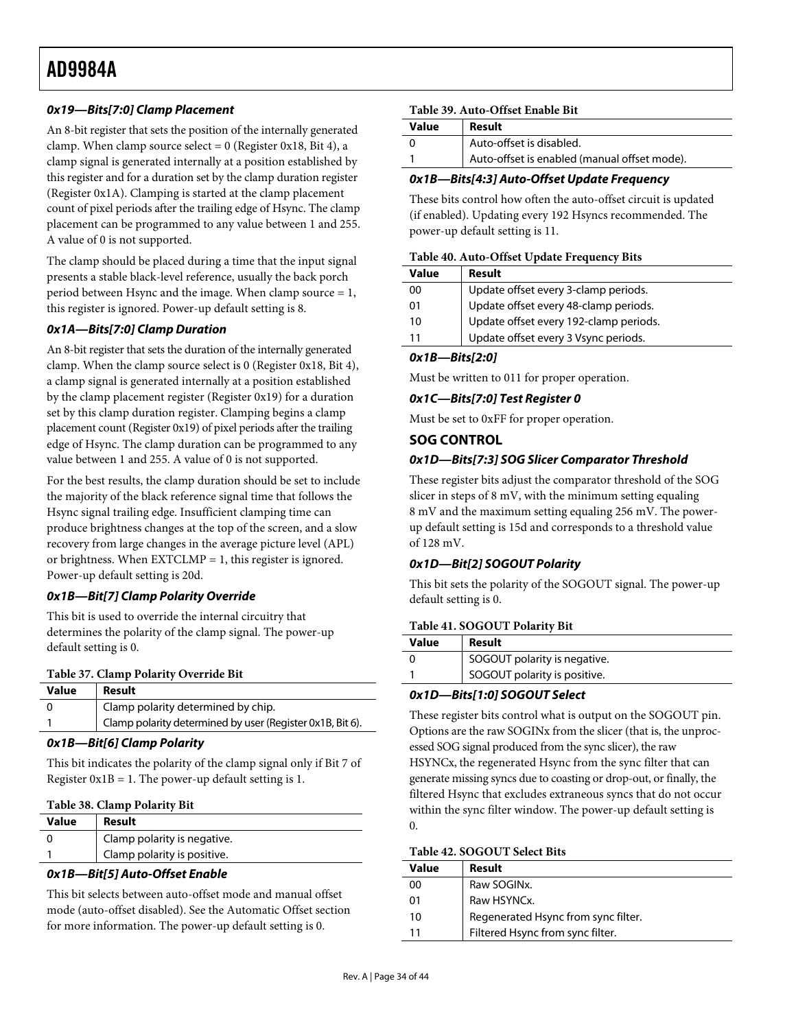# <span id="page-33-0"></span>**0x19—Bits[7:0] Clamp Placement**

An 8-bit register that sets the position of the internally generated clamp. When clamp source select =  $0$  (Register 0x18, Bit 4), a clamp signal is generated internally at a position established by this register and for a duration set by the clamp duration register (Register 0x1A). Clamping is started at the clamp placement count of pixel periods after the trailing edge of Hsync. The clamp placement can be programmed to any value between 1 and 255. A value of 0 is not supported.

The clamp should be placed during a time that the input signal presents a stable black-level reference, usually the back porch period between Hsync and the image. When clamp source  $= 1$ , this register is ignored. Power-up default setting is 8.

# **0x1A—Bits[7:0] Clamp Duration**

An 8-bit register that sets the duration of the internally generated clamp. When the clamp source select is 0 (Register 0x18, Bit 4), a clamp signal is generated internally at a position established by the clamp placement register (Register 0x19) for a duration set by this clamp duration register. Clamping begins a clamp placement count (Register 0x19) of pixel periods after the trailing edge of Hsync. The clamp duration can be programmed to any value between 1 and 255. A value of 0 is not supported.

For the best results, the clamp duration should be set to include the majority of the black reference signal time that follows the Hsync signal trailing edge. Insufficient clamping time can produce brightness changes at the top of the screen, and a slow recovery from large changes in the average picture level (APL) or brightness. When  $EXTCLMP = 1$ , this register is ignored. Power-up default setting is 20d.

## **0x1B—Bit[7] Clamp Polarity Override**

This bit is used to override the internal circuitry that determines the polarity of the clamp signal. The power-up default setting is 0.

#### **Table 37. Clamp Polarity Override Bit**

| <b>Value</b> | Result                                                    |
|--------------|-----------------------------------------------------------|
| - 0          | Clamp polarity determined by chip.                        |
|              | Clamp polarity determined by user (Register 0x1B, Bit 6). |
|              |                                                           |

#### **0x1B—Bit[6] Clamp Polarity**

This bit indicates the polarity of the clamp signal only if Bit 7 of Register  $0x1B = 1$ . The power-up default setting is 1.

#### **Table 38. Clamp Polarity Bit**

| Value | Result                      |
|-------|-----------------------------|
|       | Clamp polarity is negative. |
|       | Clamp polarity is positive. |
|       |                             |

## **0x1B—Bit[5] Auto-Offset Enable**

This bit selects between auto-offset mode and manual offset mode (auto-offset disabled). See the [Automatic Offset](#page-11-1) section for more information. The power-up default setting is 0.

#### **Table 39. Auto-Offset Enable Bit**

| Value | Result                                       |
|-------|----------------------------------------------|
|       | Auto-offset is disabled.                     |
|       | Auto-offset is enabled (manual offset mode). |

# **0x1B—Bits[4:3] Auto-Offset Update Frequency**

These bits control how often the auto-offset circuit is updated (if enabled). Updating every 192 Hsyncs recommended. The power-up default setting is 11.

#### **Table 40. Auto-Offset Update Frequency Bits**

| Value | Result                                 |
|-------|----------------------------------------|
| 00    | Update offset every 3-clamp periods.   |
| 01    | Update offset every 48-clamp periods.  |
| 10    | Update offset every 192-clamp periods. |
| 11    | Update offset every 3 Vsync periods.   |

#### **0x1B—Bits[2:0]**

Must be written to 011 for proper operation.

#### **0x1C—Bits[7:0] Test Register 0**

Must be set to 0xFF for proper operation.

## **SOG CONTROL**

#### **0x1D—Bits[7:3] SOG Slicer Comparator Threshold**

These register bits adjust the comparator threshold of the SOG slicer in steps of 8 mV, with the minimum setting equaling 8 mV and the maximum setting equaling 256 mV. The powerup default setting is 15d and corresponds to a threshold value of 128 mV.

## **0x1D—Bit[2] SOGOUT Polarity**

This bit sets the polarity of the SOGOUT signal. The power-up default setting is 0.

#### **Table 41. SOGOUT Polarity Bit**

| Value | Result                       |
|-------|------------------------------|
|       | SOGOUT polarity is negative. |
|       | SOGOUT polarity is positive. |
|       |                              |

## **0x1D—Bits[1:0] SOGOUT Select**

These register bits control what is output on the SOGOUT pin. Options are the raw SOGINx from the slicer (that is, the unprocessed SOG signal produced from the sync slicer), the raw HSYNCx, the regenerated Hsync from the sync filter that can generate missing syncs due to coasting or drop-out, or finally, the filtered Hsync that excludes extraneous syncs that do not occur within the sync filter window. The power-up default setting is 0.

#### **Table 42. SOGOUT Select Bits**

| Value | Result                              |
|-------|-------------------------------------|
| 00    | Raw SOGINx.                         |
| 01    | Raw HSYNCx.                         |
| 10    | Regenerated Hsync from sync filter. |
| 11    | Filtered Hsync from sync filter.    |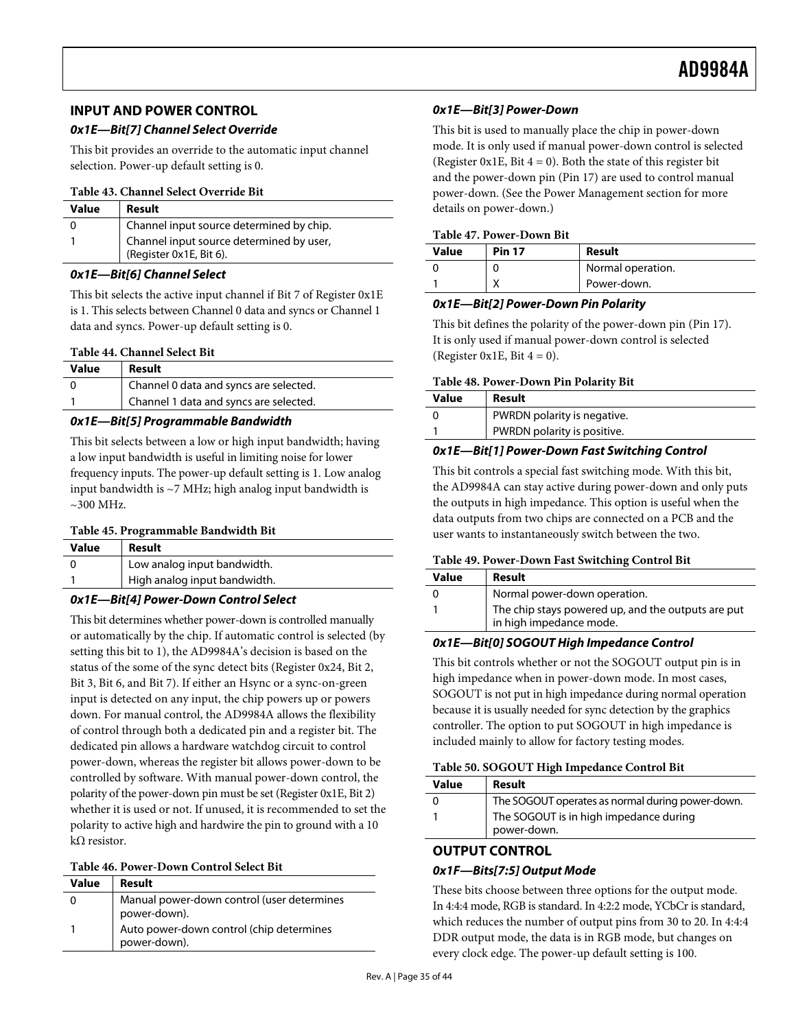# <span id="page-34-0"></span>**INPUT AND POWER CONTROL**

# **0x1E—Bit[7] Channel Select Override**

This bit provides an override to the automatic input channel selection. Power-up default setting is 0.

#### **Table 43. Channel Select Override Bit**

| <b>Value</b> | Result                                                              | de |
|--------------|---------------------------------------------------------------------|----|
|              | Channel input source determined by chip.                            | T. |
|              | Channel input source determined by user,<br>(Register 0x1E, Bit 6). | V. |

#### **0x1E—Bit[6] Channel Select**

This bit selects the active input channel if Bit 7 of Register 0x1E is 1. This selects between Channel 0 data and syncs or Channel 1 data and syncs. Power-up default setting is 0.

#### **Table 44. Channel Select Bit**

| Value | Result                                 |
|-------|----------------------------------------|
|       | Channel 0 data and syncs are selected. |
|       | Channel 1 data and syncs are selected. |

## **0x1E—Bit[5] Programmable Bandwidth**

This bit selects between a low or high input bandwidth; having a low input bandwidth is useful in limiting noise for lower frequency inputs. The power-up default setting is 1. Low analog input bandwidth is ~7 MHz; high analog input bandwidth is  $\sim$ 300 MHz.

#### **Table 45. Programmable Bandwidth Bit**

| Value | Result                       |
|-------|------------------------------|
|       | Low analog input bandwidth.  |
|       | High analog input bandwidth. |

## **0x1E—Bit[4] Power-Down Control Select**

This bit determines whether power-down is controlled manually or automatically by the chip. If automatic control is selected (by setting this bit to 1), the AD9984A's decision is based on the status of the some of the sync detect bits (Register 0x24, Bit 2, Bit 3, Bit 6, and Bit 7). If either an Hsync or a sync-on-green input is detected on any input, the chip powers up or powers down. For manual control, the AD9984A allows the flexibility of control through both a dedicated pin and a register bit. The dedicated pin allows a hardware watchdog circuit to control power-down, whereas the register bit allows power-down to be controlled by software. With manual power-down control, the polarity of the power-down pin must be set (Register 0x1E, Bit 2) whether it is used or not. If unused, it is recommended to set the polarity to active high and hardwire the pin to ground with a 10 kΩ resistor.

#### **Table 46. Power-Down Control Select Bit**

| Value | Result                                                     |
|-------|------------------------------------------------------------|
|       | Manual power-down control (user determines<br>power-down). |
|       | Auto power-down control (chip determines<br>power-down).   |

# **0x1E—Bit[3] Power-Down**

This bit is used to manually place the chip in power-down mode. It is only used if manual power-down control is selected (Register 0x1E, Bit  $4 = 0$ ). Both the state of this register bit and the power-down pin (Pin 17) are used to control manual power-down. (See the [Power Management](#page-18-2) section for more etails on power-down.)

# **Table 47. Power-Down Bit**

| <b>Value</b> | <b>Pin 17</b> | Result            |
|--------------|---------------|-------------------|
|              |               | Normal operation. |
|              |               | Power-down.       |

#### **0x1E—Bit[2] Power-Down Pin Polarity**

This bit defines the polarity of the power-down pin (Pin 17). It is only used if manual power-down control is selected (Register 0x1E, Bit  $4 = 0$ ).

#### **Table 48. Power-Down Pin Polarity Bit**

| Value | Result                      |
|-------|-----------------------------|
|       | PWRDN polarity is negative. |
|       | PWRDN polarity is positive. |

#### **0x1E—Bit[1] Power-Down Fast Switching Control**

This bit controls a special fast switching mode. With this bit, the AD9984A can stay active during power-down and only puts the outputs in high impedance. This option is useful when the data outputs from two chips are connected on a PCB and the user wants to instantaneously switch between the two.

#### **Table 49. Power-Down Fast Switching Control Bit**

| Value | Result                                                                        |
|-------|-------------------------------------------------------------------------------|
|       | Normal power-down operation.                                                  |
|       | The chip stays powered up, and the outputs are put<br>in high impedance mode. |

# **0x1E—Bit[0] SOGOUT High Impedance Control**

This bit controls whether or not the SOGOUT output pin is in high impedance when in power-down mode. In most cases, SOGOUT is not put in high impedance during normal operation because it is usually needed for sync detection by the graphics controller. The option to put SOGOUT in high impedance is included mainly to allow for factory testing modes.

#### **Table 50. SOGOUT High Impedance Control Bit**

| Value | Result                                                |
|-------|-------------------------------------------------------|
|       | The SOGOUT operates as normal during power-down.      |
|       | The SOGOUT is in high impedance during<br>power-down. |

# **OUTPUT CONTROL**

## **0x1F—Bits[7:5] Output Mode**

These bits choose between three options for the output mode. In 4:4:4 mode, RGB is standard. In 4:2:2 mode, YCbCr is standard, which reduces the number of output pins from 30 to 20. In 4:4:4 DDR output mode, the data is in RGB mode, but changes on every clock edge. The power-up default setting is 100.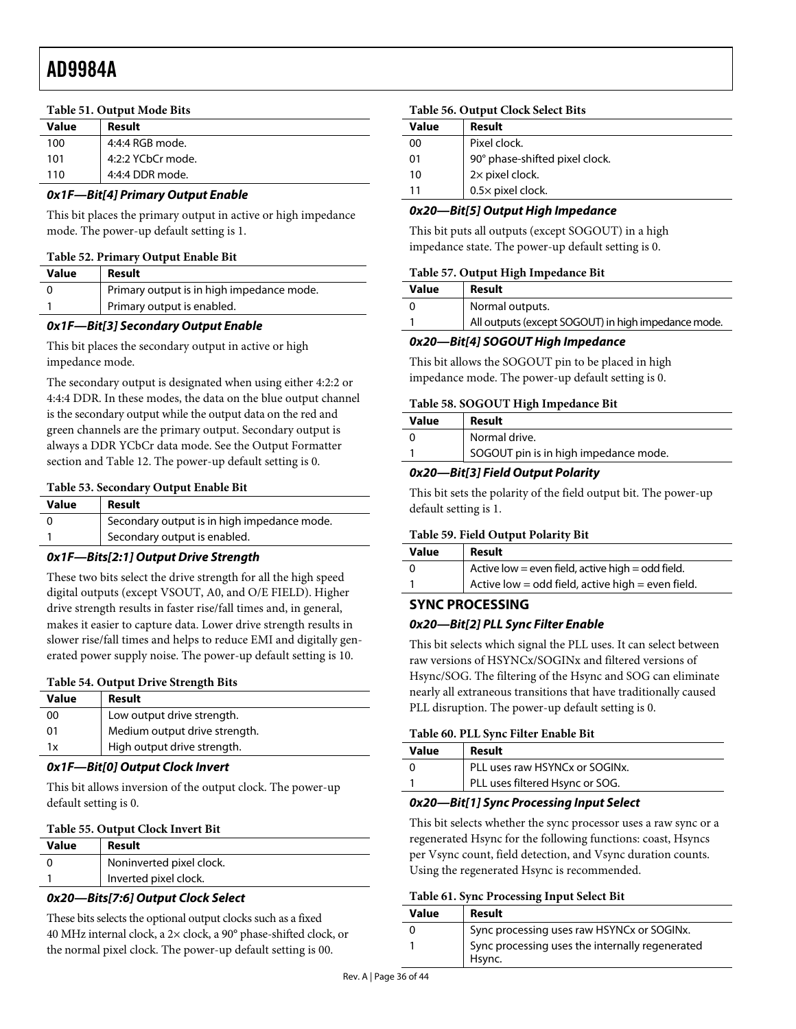#### <span id="page-35-0"></span>**Table 51. Output Mode Bits**

| <b>Value</b> | Result            |
|--------------|-------------------|
| 100          | 4:4:4 RGB mode.   |
| 101          | 4:2:2 YCbCr mode. |
| 110          | 4:4:4 DDR mode.   |

#### **0x1F—Bit[4] Primary Output Enable**

This bit places the primary output in active or high impedance mode. The power-up default setting is 1.

#### **Table 52. Primary Output Enable Bit**

| Value | Result                                    |
|-------|-------------------------------------------|
|       | Primary output is in high impedance mode. |
|       | Primary output is enabled.                |

#### **0x1F—Bit[3] Secondary Output Enable**

This bit places the secondary output in active or high impedance mode.

The secondary output is designated when using either 4:2:2 or 4:4:4 DDR. In these modes, the data on the blue output channel is the secondary output while the output data on the red and green channels are the primary output. Secondary output is always a DDR YCbCr data mode. See the [Output Formatter](#page-20-2) section and [Table 12](#page-20-1). The power-up default setting is 0.

#### **Table 53. Secondary Output Enable Bit**

| Value | Result                                      |
|-------|---------------------------------------------|
|       | Secondary output is in high impedance mode. |
|       | Secondary output is enabled.                |

# **0x1F—Bits[2:1] Output Drive Strength**

These two bits select the drive strength for all the high speed digital outputs (except VSOUT, A0, and O/E FIELD). Higher drive strength results in faster rise/fall times and, in general, makes it easier to capture data. Lower drive strength results in slower rise/fall times and helps to reduce EMI and digitally generated power supply noise. The power-up default setting is 10.

#### **Table 54. Output Drive Strength Bits**

| <b>Value</b> | Result                        |
|--------------|-------------------------------|
| 00           | Low output drive strength.    |
| 01           | Medium output drive strength. |
| 1x           | High output drive strength.   |
|              |                               |

#### **0x1F—Bit[0] Output Clock Invert**

This bit allows inversion of the output clock. The power-up default setting is 0.

#### **Table 55. Output Clock Invert Bit**

| Value | Result                   |
|-------|--------------------------|
|       | Noninverted pixel clock. |
|       | Inverted pixel clock.    |

# **0x20—Bits[7:6] Output Clock Select**

These bits selects the optional output clocks such as a fixed 40 MHz internal clock, a 2× clock, a 90° phase-shifted clock, or the normal pixel clock. The power-up default setting is 00.

#### **Table 56. Output Clock Select Bits**

| <b>Value</b> | Result                         |
|--------------|--------------------------------|
| 00           | Pixel clock.                   |
| 01           | 90° phase-shifted pixel clock. |
| 10           | 2x pixel clock.                |
| 11           | 0.5x pixel clock.              |

#### **0x20—Bit[5] Output High Impedance**

This bit puts all outputs (except SOGOUT) in a high impedance state. The power-up default setting is 0.

#### **Table 57. Output High Impedance Bit**

| Value | Result                                              |
|-------|-----------------------------------------------------|
|       | Normal outputs.                                     |
|       | All outputs (except SOGOUT) in high impedance mode. |

## **0x20—Bit[4] SOGOUT High Impedance**

This bit allows the SOGOUT pin to be placed in high impedance mode. The power-up default setting is 0.

#### **Table 58. SOGOUT High Impedance Bit**

| Value | Result                                |
|-------|---------------------------------------|
|       | Normal drive.                         |
|       | SOGOUT pin is in high impedance mode. |
|       |                                       |

#### **0x20—Bit[3] Field Output Polarity**

This bit sets the polarity of the field output bit. The power-up default setting is 1.

#### **Table 59. Field Output Polarity Bit**

| Value | Result                                            |
|-------|---------------------------------------------------|
|       | Active low = even field, active high = odd field. |
|       | Active low = odd field, active high = even field. |

# **SYNC PROCESSING 0x20—Bit[2] PLL Sync Filter Enable**

This bit selects which signal the PLL uses. It can select between raw versions of HSYNCx/SOGINx and filtered versions of Hsync/SOG. The filtering of the Hsync and SOG can eliminate nearly all extraneous transitions that have traditionally caused PLL disruption. The power-up default setting is 0.

# **Table 60. PLL Sync Filter Enable Bit**

| Value | Result                          |  |
|-------|---------------------------------|--|
|       | PLL uses raw HSYNCx or SOGINx.  |  |
|       | PLL uses filtered Hsync or SOG. |  |
|       |                                 |  |

#### **0x20—Bit[1] Sync Processing Input Select**

This bit selects whether the sync processor uses a raw sync or a regenerated Hsync for the following functions: coast, Hsyncs per Vsync count, field detection, and Vsync duration counts. Using the regenerated Hsync is recommended.

#### **Table 61. Sync Processing Input Select Bit**

| Value | Result                                                    |
|-------|-----------------------------------------------------------|
| O     | Sync processing uses raw HSYNCx or SOGINX.                |
|       | Sync processing uses the internally regenerated<br>Hsvnc. |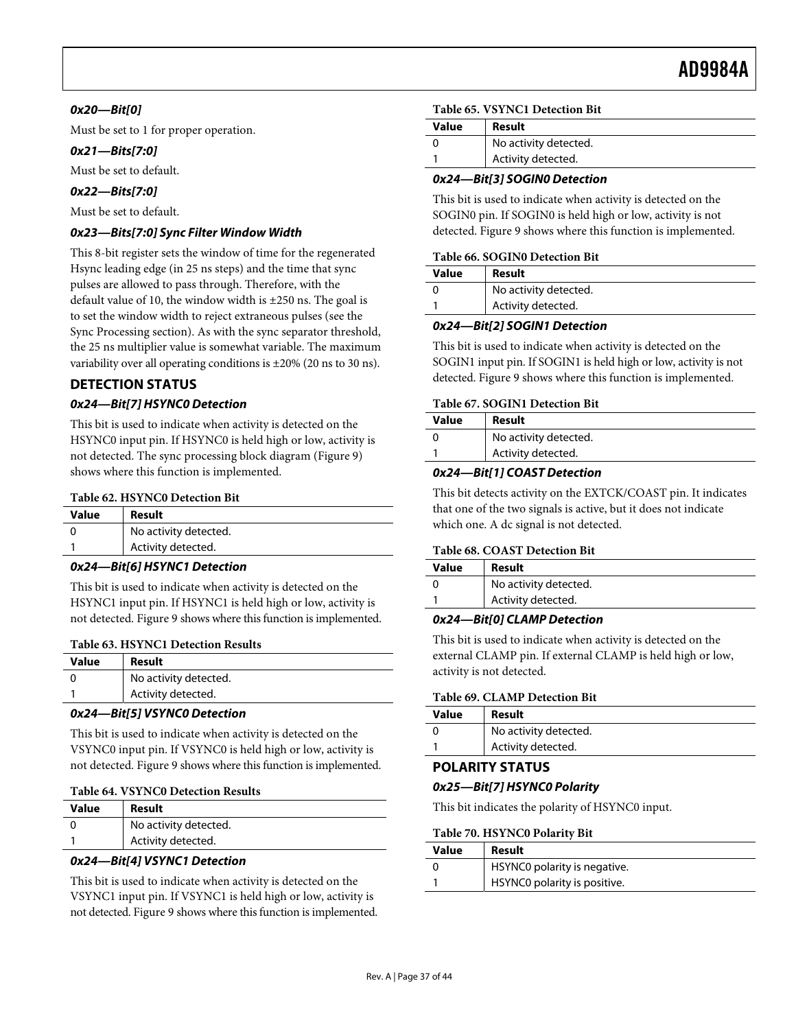# <span id="page-36-0"></span>**0x20—Bit[0]**

Must be set to 1 for proper operation.

# **0x21—Bits[7:0]**

Must be set to default.

# **0x22—Bits[7:0]**

Must be set to default.

# **0x23—Bits[7:0] Sync Filter Window Width**

This 8-bit register sets the window of time for the regenerated Hsync leading edge (in 25 ns steps) and the time that sync pulses are allowed to pass through. Therefore, with the default value of 10, the window width is ±250 ns. The goal is to set the window width to reject extraneous pulses (see the [Sync Processing](#page-15-2) section). As with the sync separator threshold, the 25 ns multiplier value is somewhat variable. The maximum variability over all operating conditions is ±20% (20 ns to 30 ns).

# **DETECTION STATUS**

# **0x24—Bit[7] HSYNC0 Detection**

This bit is used to indicate when activity is detected on the HSYNC0 input pin. If HSYNC0 is held high or low, activity is not detected. The sync processing block diagram [\(Figure 9](#page-15-1)) shows where this function is implemented.

#### **Table 62. HSYNC0 Detection Bit**

| Value | Result                |
|-------|-----------------------|
|       | No activity detected. |
|       | Activity detected.    |

### **0x24—Bit[6] HSYNC1 Detection**

This bit is used to indicate when activity is detected on the HSYNC1 input pin. If HSYNC1 is held high or low, activity is not detected. [Figure 9](#page-15-1) shows where this function is implemented.

## **Table 63. HSYNC1 Detection Results**

| <b>Value</b> | Result                |
|--------------|-----------------------|
|              | No activity detected. |
|              | Activity detected.    |
|              |                       |

# **0x24—Bit[5] VSYNC0 Detection**

This bit is used to indicate when activity is detected on the VSYNC0 input pin. If VSYNC0 is held high or low, activity is not detected. [Figure 9](#page-15-1) shows where this function is implemented.

|  |  | <b>Table 64. VSYNC0 Detection Results</b> |  |
|--|--|-------------------------------------------|--|
|--|--|-------------------------------------------|--|

| Value | Result                |
|-------|-----------------------|
|       | No activity detected. |
|       | Activity detected.    |

# **0x24—Bit[4] VSYNC1 Detection**

This bit is used to indicate when activity is detected on the VSYNC1 input pin. If VSYNC1 is held high or low, activity is not detected. [Figure 9](#page-15-1) shows where this function is implemented.

#### **Table 65. VSYNC1 Detection Bit**

| Value | Result                |
|-------|-----------------------|
|       | No activity detected. |
|       | Activity detected.    |

## **0x24—Bit[3] SOGIN0 Detection**

This bit is used to indicate when activity is detected on the SOGIN0 pin. If SOGIN0 is held high or low, activity is not detected. [Figure 9](#page-15-1) shows where this function is implemented.

#### **Table 66. SOGIN0 Detection Bit**

| <b>Value</b> | Result                |
|--------------|-----------------------|
|              | No activity detected. |
|              | Activity detected.    |

## **0x24—Bit[2] SOGIN1 Detection**

This bit is used to indicate when activity is detected on the SOGIN1 input pin. If SOGIN1 is held high or low, activity is not detected. [Figure 9](#page-15-1) shows where this function is implemented.

#### **Table 67. SOGIN1 Detection Bit**

| <b>Value</b> | Result                |
|--------------|-----------------------|
|              | No activity detected. |
|              | Activity detected.    |

## **0x24—Bit[1] COAST Detection**

This bit detects activity on the EXTCK/COAST pin. It indicates that one of the two signals is active, but it does not indicate which one. A dc signal is not detected.

# **Table 68. COAST Detection Bit**

| <b>Value</b> | Result                |
|--------------|-----------------------|
|              | No activity detected. |
|              | Activity detected.    |

## **0x24—Bit[0] CLAMP Detection**

This bit is used to indicate when activity is detected on the external CLAMP pin. If external CLAMP is held high or low, activity is not detected.

#### **Table 69. CLAMP Detection Bit**

| Value | Result                |
|-------|-----------------------|
|       | No activity detected. |
|       | Activity detected.    |

# **POLARITY STATUS**

## **0x25—Bit[7] HSYNC0 Polarity**

This bit indicates the polarity of HSYNC0 input.

#### **Table 70. HSYNC0 Polarity Bit**

| Value | Result                       |
|-------|------------------------------|
|       | HSYNC0 polarity is negative. |
|       | HSYNC0 polarity is positive. |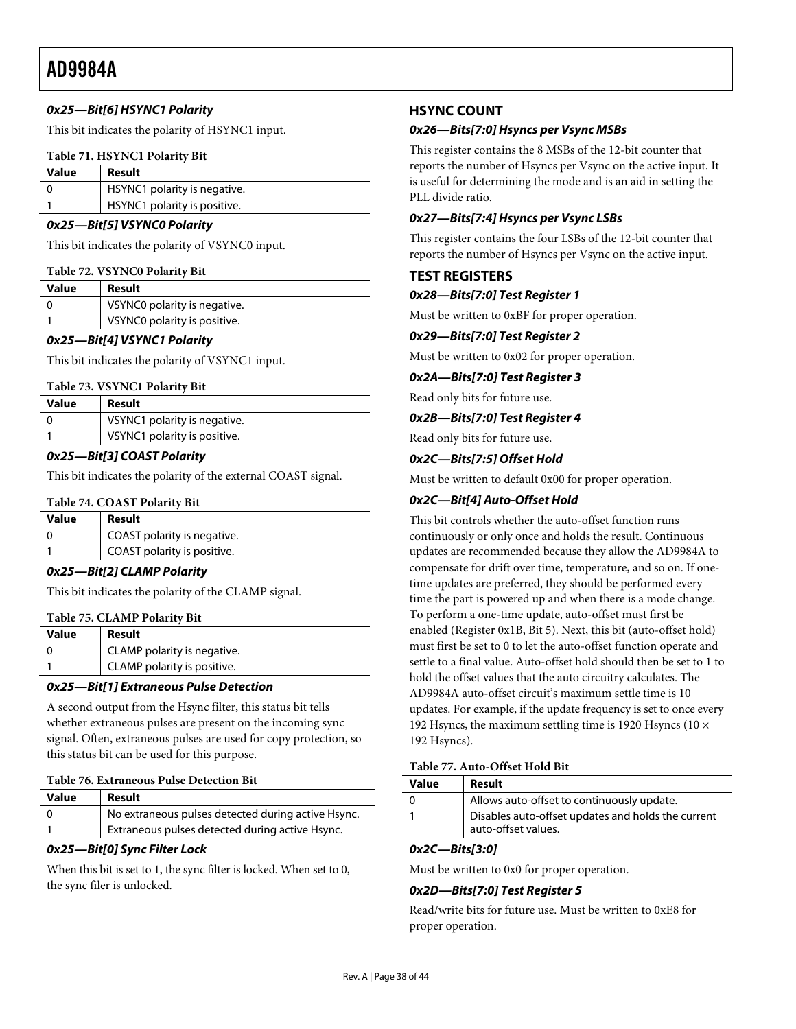# <span id="page-37-0"></span>**0x25—Bit[6] HSYNC1 Polarity**

This bit indicates the polarity of HSYNC1 input.

#### **Table 71. HSYNC1 Polarity Bit**

| <b>Value</b> | Result                       |
|--------------|------------------------------|
|              | HSYNC1 polarity is negative. |
|              | HSYNC1 polarity is positive. |

#### **0x25—Bit[5] VSYNC0 Polarity**

This bit indicates the polarity of VSYNC0 input.

#### **Table 72. VSYNC0 Polarity Bit**

| Value | Result                       |
|-------|------------------------------|
|       | VSYNC0 polarity is negative. |
|       | VSYNC0 polarity is positive. |

#### **0x25—Bit[4] VSYNC1 Polarity**

This bit indicates the polarity of VSYNC1 input.

#### **Table 73. VSYNC1 Polarity Bit**

| Value | Result                       |
|-------|------------------------------|
|       | VSYNC1 polarity is negative. |
|       | VSYNC1 polarity is positive. |

#### **0x25—Bit[3] COAST Polarity**

This bit indicates the polarity of the external COAST signal.

#### **Table 74. COAST Polarity Bit**

<span id="page-37-1"></span>

| Value | Result                      |  |
|-------|-----------------------------|--|
|       | COAST polarity is negative. |  |
|       | COAST polarity is positive. |  |
|       |                             |  |

## **0x25—Bit[2] CLAMP Polarity**

This bit indicates the polarity of the CLAMP signal.

#### **Table 75. CLAMP Polarity Bit**

| Value    | Result                      |
|----------|-----------------------------|
| $\Omega$ | CLAMP polarity is negative. |
|          | CLAMP polarity is positive. |

#### **0x25—Bit[1] Extraneous Pulse Detection**

A second output from the Hsync filter, this status bit tells whether extraneous pulses are present on the incoming sync signal. Often, extraneous pulses are used for copy protection, so this status bit can be used for this purpose.

#### **Table 76. Extraneous Pulse Detection Bit**

| Value | Result                                             |
|-------|----------------------------------------------------|
|       | No extraneous pulses detected during active Hsync. |
|       | Extraneous pulses detected during active Hsync.    |

#### **0x25—Bit[0] Sync Filter Lock**

When this bit is set to 1, the sync filter is locked. When set to 0, the sync filer is unlocked.

# **HSYNC COUNT**

#### **0x26—Bits[7:0] Hsyncs per Vsync MSBs**

This register contains the 8 MSBs of the 12-bit counter that reports the number of Hsyncs per Vsync on the active input. It is useful for determining the mode and is an aid in setting the PLL divide ratio.

#### **0x27—Bits[7:4] Hsyncs per Vsync LSBs**

This register contains the four LSBs of the 12-bit counter that reports the number of Hsyncs per Vsync on the active input.

## **TEST REGISTERS**

#### **0x28—Bits[7:0] Test Register 1**

Must be written to 0xBF for proper operation.

#### **0x29—Bits[7:0] Test Register 2**

Must be written to 0x02 for proper operation.

#### **0x2A—Bits[7:0] Test Register 3**

Read only bits for future use.

#### **0x2B—Bits[7:0] Test Register 4**

Read only bits for future use.

#### **0x2C—Bits[7:5] Offset Hold**

Must be written to default 0x00 for proper operation.

#### **0x2C—Bit[4] Auto-Offset Hold**

This bit controls whether the auto-offset function runs continuously or only once and holds the result. Continuous updates are recommended because they allow the AD9984A to compensate for drift over time, temperature, and so on. If onetime updates are preferred, they should be performed every time the part is powered up and when there is a mode change. To perform a one-time update, auto-offset must first be enabled (Register 0x1B, Bit 5). Next, this bit (auto-offset hold) must first be set to 0 to let the auto-offset function operate and settle to a final value. Auto-offset hold should then be set to 1 to hold the offset values that the auto circuitry calculates. The AD9984A auto-offset circuit's maximum settle time is 10 updates. For example, if the update frequency is set to once every 192 Hsyncs, the maximum settling time is 1920 Hsyncs (10  $\times$ 192 Hsyncs).

# **Table 77. Auto-Offset Hold Bit**

| <b>Value</b> | Result                                                                    |  |  |
|--------------|---------------------------------------------------------------------------|--|--|
|              | Allows auto-offset to continuously update.                                |  |  |
|              | Disables auto-offset updates and holds the current<br>auto-offset values. |  |  |
|              |                                                                           |  |  |

#### **0x2C—Bits[3:0]**

Must be written to 0x0 for proper operation.

## **0x2D—Bits[7:0] Test Register 5**

Read/write bits for future use. Must be written to 0xE8 for proper operation.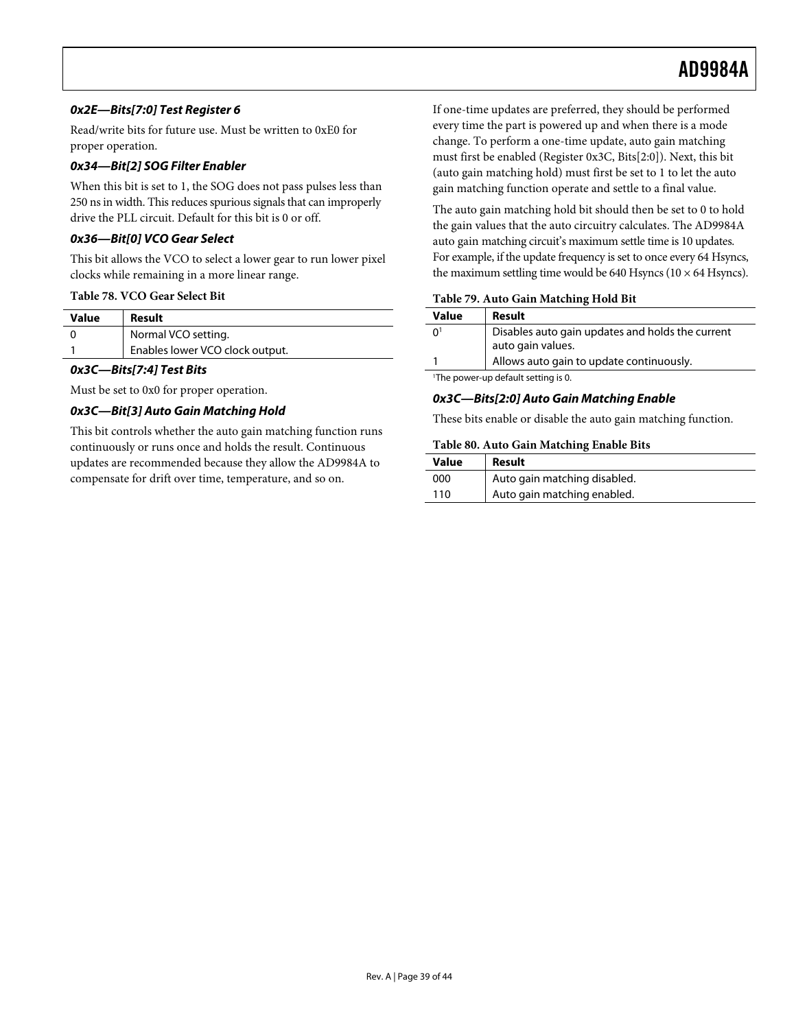# **0x2E—Bits[7:0] Test Register 6**

Read/write bits for future use. Must be written to 0xE0 for proper operation.

# **0x34—Bit[2] SOG Filter Enabler**

When this bit is set to 1, the SOG does not pass pulses less than 250 ns in width. This reduces spurious signals that can improperly drive the PLL circuit. Default for this bit is 0 or off.

# **0x36—Bit[0] VCO Gear Select**

This bit allows the VCO to select a lower gear to run lower pixel clocks while remaining in a more linear range.

#### **Table 78. VCO Gear Select Bit**

| Value | Result                          |
|-------|---------------------------------|
|       | Normal VCO setting.             |
|       | Enables lower VCO clock output. |
|       |                                 |

#### **0x3C—Bits[7:4] Test Bits**

Must be set to 0x0 for proper operation.

## <span id="page-38-0"></span>**0x3C—Bit[3] Auto Gain Matching Hold**

This bit controls whether the auto gain matching function runs continuously or runs once and holds the result. Continuous updates are recommended because they allow the AD9984A to compensate for drift over time, temperature, and so on.

If one-time updates are preferred, they should be performed every time the part is powered up and when there is a mode change. To perform a one-time update, auto gain matching must first be enabled (Register 0x3C, Bits[2:0]). Next, this bit (auto gain matching hold) must first be set to 1 to let the auto gain matching function operate and settle to a final value.

The auto gain matching hold bit should then be set to 0 to hold the gain values that the auto circuitry calculates. The AD9984A auto gain matching circuit's maximum settle time is 10 updates. For example, if the update frequency is set to once every 64 Hsyncs, the maximum settling time would be 640 Hsyncs ( $10 \times 64$  Hsyncs).

#### **Table 79. Auto Gain Matching Hold Bit**

|  | <b>Value</b>                                    | Result                                                                |  |
|--|-------------------------------------------------|-----------------------------------------------------------------------|--|
|  | 0 <sup>1</sup>                                  | Disables auto gain updates and holds the current<br>auto gain values. |  |
|  |                                                 | Allows auto gain to update continuously.                              |  |
|  | <sup>1</sup> The power-up default setting is 0. |                                                                       |  |

# **0x3C—Bits[2:0] Auto Gain Matching Enable**

These bits enable or disable the auto gain matching function.

#### **Table 80. Auto Gain Matching Enable Bits**

| Value | Result                       |
|-------|------------------------------|
| 000   | Auto gain matching disabled. |
| 110   | Auto gain matching enabled.  |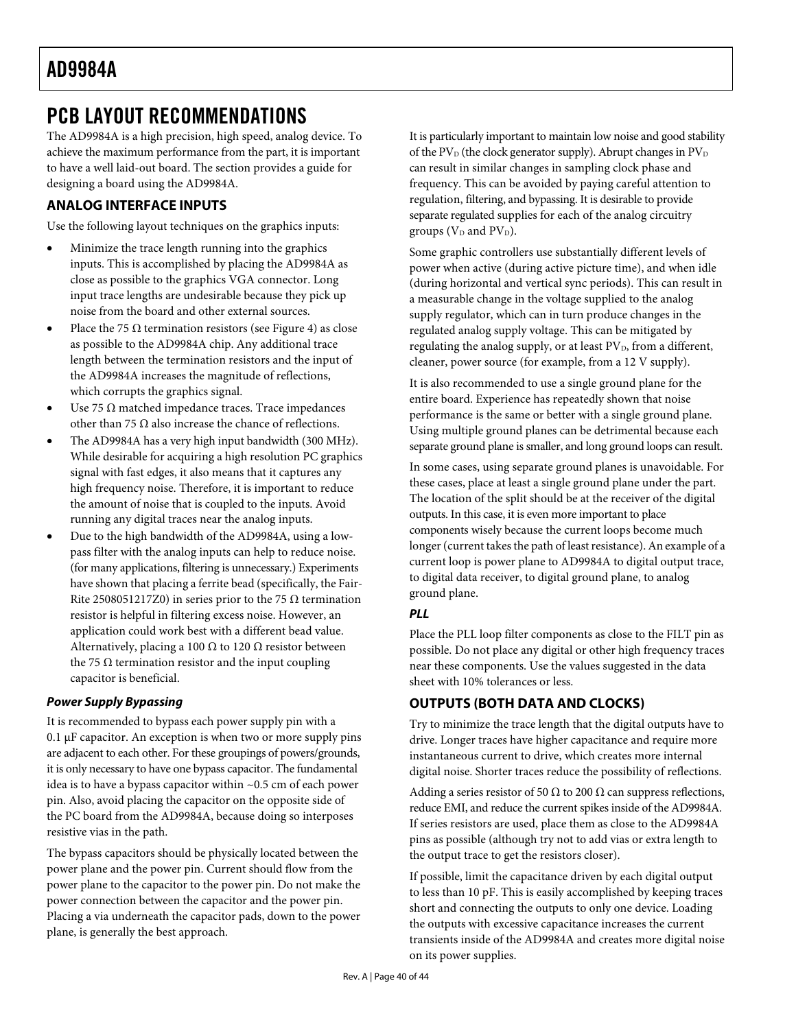# <span id="page-39-1"></span><span id="page-39-0"></span>PCB LAYOUT RECOMMENDATIONS

The AD9984A is a high precision, high speed, analog device. To achieve the maximum performance from the part, it is important to have a well laid-out board. The section provides a guide for designing a board using the AD9984A.

# **ANALOG INTERFACE INPUTS**

Use the following layout techniques on the graphics inputs:

- Minimize the trace length running into the graphics inputs. This is accomplished by placing the AD9984A as close as possible to the graphics VGA connector. Long input trace lengths are undesirable because they pick up noise from the board and other external sources.
- Place the 75  $\Omega$  termination resistors (see [Figure 4](#page-10-1)) as close as possible to the AD9984A chip. Any additional trace length between the termination resistors and the input of the AD9984A increases the magnitude of reflections, which corrupts the graphics signal.
- Use 75  $\Omega$  matched impedance traces. Trace impedances other than 75  $\Omega$  also increase the chance of reflections.
- The AD9984A has a very high input bandwidth (300 MHz). While desirable for acquiring a high resolution PC graphics signal with fast edges, it also means that it captures any high frequency noise. Therefore, it is important to reduce the amount of noise that is coupled to the inputs. Avoid running any digital traces near the analog inputs.
- Due to the high bandwidth of the AD9984A, using a lowpass filter with the analog inputs can help to reduce noise. (for many applications, filtering is unnecessary.) Experiments have shown that placing a ferrite bead (specifically, the Fair-Rite 2508051217Z0) in series prior to the 75  $\Omega$  termination resistor is helpful in filtering excess noise. However, an application could work best with a different bead value. Alternatively, placing a 100  $\Omega$  to 120  $\Omega$  resistor between the 75 Ω termination resistor and the input coupling capacitor is beneficial.

## **Power Supply Bypassing**

It is recommended to bypass each power supply pin with a 0.1 μF capacitor. An exception is when two or more supply pins are adjacent to each other. For these groupings of powers/grounds, it is only necessary to have one bypass capacitor. The fundamental idea is to have a bypass capacitor within ~0.5 cm of each power pin. Also, avoid placing the capacitor on the opposite side of the PC board from the AD9984A, because doing so interposes resistive vias in the path.

The bypass capacitors should be physically located between the power plane and the power pin. Current should flow from the power plane to the capacitor to the power pin. Do not make the power connection between the capacitor and the power pin. Placing a via underneath the capacitor pads, down to the power plane, is generally the best approach.

It is particularly important to maintain low noise and good stability of the PV<sub>D</sub> (the clock generator supply). Abrupt changes in  $PV<sub>D</sub>$ can result in similar changes in sampling clock phase and frequency. This can be avoided by paying careful attention to regulation, filtering, and bypassing. It is desirable to provide separate regulated supplies for each of the analog circuitry groups ( $V_D$  and  $PV_D$ ).

Some graphic controllers use substantially different levels of power when active (during active picture time), and when idle (during horizontal and vertical sync periods). This can result in a measurable change in the voltage supplied to the analog supply regulator, which can in turn produce changes in the regulated analog supply voltage. This can be mitigated by regulating the analog supply, or at least PV<sub>D</sub>, from a different, cleaner, power source (for example, from a 12 V supply).

It is also recommended to use a single ground plane for the entire board. Experience has repeatedly shown that noise performance is the same or better with a single ground plane. Using multiple ground planes can be detrimental because each separate ground plane is smaller, and long ground loops can result.

In some cases, using separate ground planes is unavoidable. For these cases, place at least a single ground plane under the part. The location of the split should be at the receiver of the digital outputs. In this case, it is even more important to place components wisely because the current loops become much longer (current takes the path of least resistance). An example of a current loop is power plane to AD9984A to digital output trace, to digital data receiver, to digital ground plane, to analog ground plane.

# **PLL**

Place the PLL loop filter components as close to the FILT pin as possible. Do not place any digital or other high frequency traces near these components. Use the values suggested in the data sheet with 10% tolerances or less.

# **OUTPUTS (BOTH DATA AND CLOCKS)**

Try to minimize the trace length that the digital outputs have to drive. Longer traces have higher capacitance and require more instantaneous current to drive, which creates more internal digital noise. Shorter traces reduce the possibility of reflections.

Adding a series resistor of 50  $\Omega$  to 200  $\Omega$  can suppress reflections, reduce EMI, and reduce the current spikes inside of the AD9984A. If series resistors are used, place them as close to the AD9984A pins as possible (although try not to add vias or extra length to the output trace to get the resistors closer).

If possible, limit the capacitance driven by each digital output to less than 10 pF. This is easily accomplished by keeping traces short and connecting the outputs to only one device. Loading the outputs with excessive capacitance increases the current transients inside of the AD9984A and creates more digital noise on its power supplies.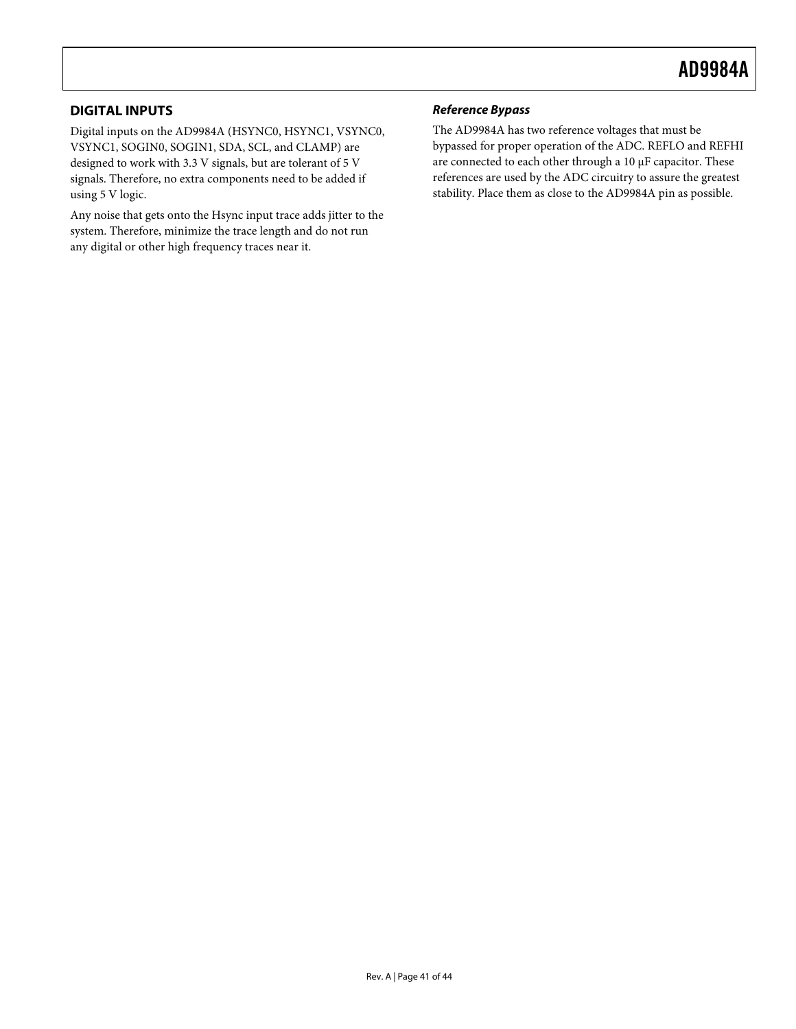# <span id="page-40-0"></span>**DIGITAL INPUTS**

Digital inputs on the AD9984A (HSYNC0, HSYNC1, VSYNC0, VSYNC1, SOGIN0, SOGIN1, SDA, SCL, and CLAMP) are designed to work with 3.3 V signals, but are tolerant of 5 V signals. Therefore, no extra components need to be added if using 5 V logic.

Any noise that gets onto the Hsync input trace adds jitter to the system. Therefore, minimize the trace length and do not run any digital or other high frequency traces near it.

# **Reference Bypass**

The AD9984A has two reference voltages that must be bypassed for proper operation of the ADC. REFLO and REFHI are connected to each other through a 10 μF capacitor. These references are used by the ADC circuitry to assure the greatest stability. Place them as close to the AD9984A pin as possible.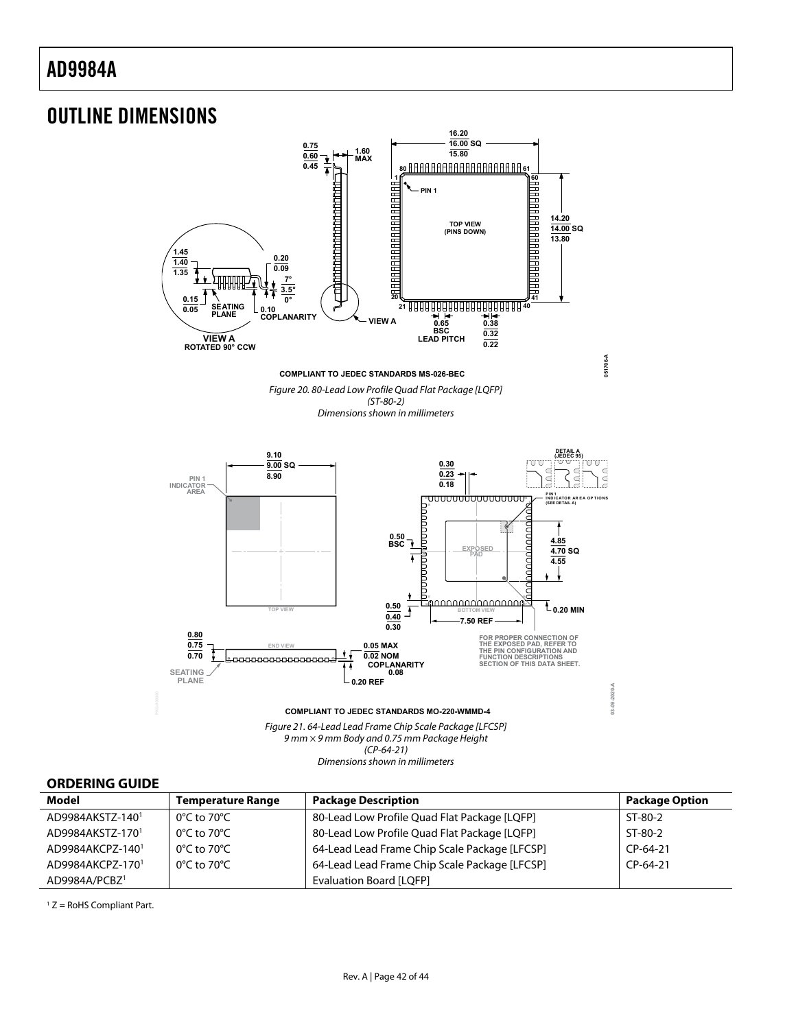# <span id="page-41-0"></span>OUTLINE DIMENSIONS



Figure 21. 64-Lead Lead Frame Chip Scale Package [LFCSP] 9 mm × 9 mm Body and 0.75 mm Package Height (CP-64-21) Dimensions shown in millimeters

# **ORDERING GUIDE**

| Model                        | <b>Temperature Range</b>         | <b>Package Description</b>                    | <b>Package Option</b> |
|------------------------------|----------------------------------|-----------------------------------------------|-----------------------|
| AD9984AKSTZ-1401             | $0^{\circ}$ C to 70 $^{\circ}$ C | 80-Lead Low Profile Quad Flat Package [LQFP]  | ST-80-2               |
| AD9984AKSTZ-170 <sup>1</sup> | $0^{\circ}$ C to 70 $^{\circ}$ C | 80-Lead Low Profile Quad Flat Package [LQFP]  | ST-80-2               |
| AD9984AKCPZ-1401             | $0^{\circ}$ C to 70 $^{\circ}$ C | 64-Lead Lead Frame Chip Scale Package [LFCSP] | $CP-64-21$            |
| AD9984AKCPZ-1701             | $0^{\circ}$ C to 70 $^{\circ}$ C | 64-Lead Lead Frame Chip Scale Package [LFCSP] | $CP-64-21$            |
| AD9984A/PCBZ <sup>1</sup>    |                                  | <b>Evaluation Board [LQFP]</b>                |                       |

 $1 Z =$  RoHS Compliant Part.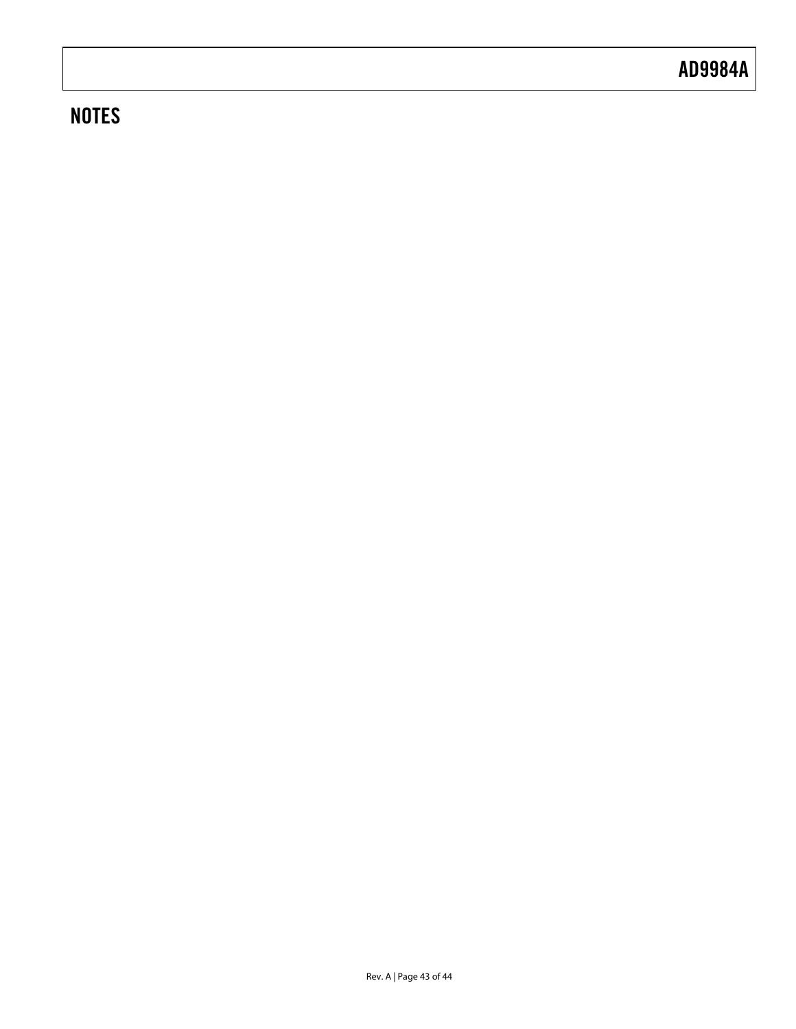# **NOTES**